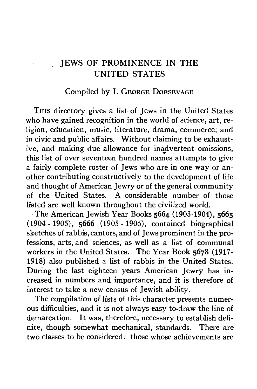## Compiled by I. GEORGE DOBSEVAGE

THIS directory gives a list of Jews in the United States who have gained recognition in the world of science, art, religion, education, music, literature, drama, commerce, and in civic and public affairs. Without claiming to be exhaustive, and making due allowance for inadvertent omissions, this list of over seventeen hundred names attempts to give a fairly complete roster of Jews who are in one way or another contributing constructively to the development of life and thought of American Jewry or of the general community of the United States. A considerable number of those listed are well known throughout the civilized world.

The American Jewish Year Books **5664** (1903-1904), **3665** (1904-1905), **5666** (1905-1906), contained biographical sketches of rabbis, cantors, and of Jews prominent in the professions, arts, and sciences, as well as a list of communal workers in the United States. The Year Book **5678** (1917- 1918) also published a list of rabbis in the United States. During the last eighteen years American Jewry has increased in numbers and importance, and it is therefore of interest to take a new census of Jewish ability.

The compilation of lists of this character presents numerous difficulties, and it is not always easy to-draw the line of demarcation. It was, therefore, necessary to establish definite, though somewhat mechanical, standards. There are two classes to be considered: those whose achievements are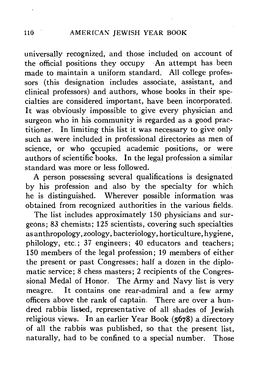universally recognized, and those included on account of the official positions they occupy  $An$  attempt has been made to maintain a uniform standard. All college professors (this designation includes associate, assistant, and clinical professors) and authors, whose books in their specialties are considered important, have been incorporated. It was obviously impossible to give every physician and surgeon who in his community is regarded as a good practitioner. In limiting this list it was necessary to give only such as were included in professional directories as men of science, or who occupied academic positions, or were authors of scientific books. In the legal profession a similar standard was more or less followed.

A person possessing several qualifications is designated by his profession and also by the specialty for which he is distinguished. Wherever possible information was obtained from recognized authorities in the various fields.

The list includes approximately 150 physicians and surgeons; 83 chemists; 125 scientists, covering such specialties as anthropology, zoology, bacteriology, horticulture, hygiene, philology, etc.; 37 engineers; 40 educators and teachers; 150 members of the legal profession; 19 members of either the present or past Congresses; half a dozen in the diplomatic service; 8 chess masters; 2 recipients of the Congressional Medal of Honor. The Army and Navy list is very meagre. It contains one rear-admiral and a few army officers above the rank of captain. There are over a hundred rabbis listed, representative of all shades of Jewish religious views. In an earlier Year Book (5678) a directory of all the rabbis was published, so that the present list, naturally, had to be confined to a special number. Those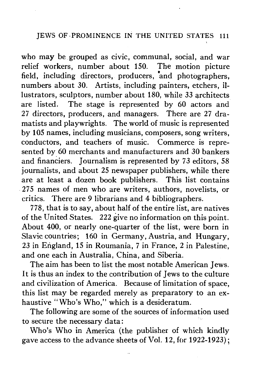who may be grouped as civic, communal, social, and war relief workers, number about 150. The motion picture field, including directors, producers, and photographers, numbers about 30. Artists, including painters, etchers, illustrators, sculptors, number about 180, while *33* architects are listed. The stage is represented by 60 actors and 27 directors, producers, and managers. There are 27 dramatists and playwrights. The world of music is represented by 105 names, including musicians, composers, song writers, conductors, and teachers of music. Commerce is represented by 60 merchants and manufacturers and 30 bankers and financiers. Journalism is represented by 73 editors, 58 journalists, and about 25 newspaper publishers, while there are at least a dozen book publishers. This list contains 275 names of men who are writers, authors, novelists, or critics. There are 9 librarians and 4 bibliographers.

778, that is to say, about half of the entire list, are natives of the United States. 222 give no information on this point. About 400, or nearly one-quarter of the list, were born in Slavic countries; 160 in Germany, Austria, and Hungary, 23 in England, 15 in Roumania, 7 in France, 2 in Palestine, and one each in Australia, China, and Siberia.

The aim has been to list the most notable American Jews. It is thus an index to the contribution of Jews to the culture and civilization of America. Because of limitation of space, this list may be regarded merely as preparatory to an exhaustive "Who's Who," which is a desideratum.

The following are some of the sources of information used to secure the necessary data:

Who's Who in America (the publisher of which kindly gave access to the advance sheets of Vol. 12, for 1922-1923);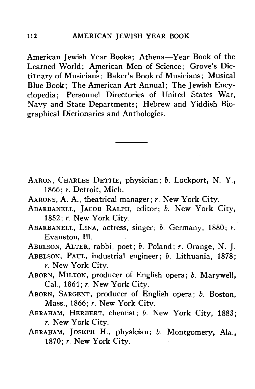American Jewish Year Books; Athena—Year Book of the Learned World; American Men of Science; Grove's DictiTnary of Musicians; Baker's Book of Musicians; Musical Blue Book; The American Art Annual; The Jewish Encyclopedia; Personnel Directories of United States War, Navy and State Departments; Hebrew and Yiddish Biographical Dictionaries and Anthologies.

- AARON, CHARLES DETTIE, physician; *b.* Lockport, N. Y., 1866; *r.* Detroit, Mich.
- AARONS, A. A., theatrical manager; *r.* New York City.
- ABARBANELL, JACOB RALPH, editor; *b.* New York City, 1852; *r.* New York City.
- ABARBANELL, LINA, actress, singer; *b.* Germany, 1880; *r.* Evanston, 111.
- ABELSON, ALTER, rabbi, poet; *b.* Poland; *r.* Orange, N. J.
- ABELSON, PAUL, industrial engineer; *b.* Lithuania, 1878; *r.* New York City.
- ABORN, MILTON, producer of English opera; *b.* Marywell, Cal , 1864; *r.* New York City.
- ABORN, SARGENT, producer of English opera; *b.* Boston, Mass., 1866; *r.* New York City.
- ABRAHAM, HERBERT, chemist; *b.* New York City, 1883; *r.* New York City.
- ABRAHAM, JOSEPH H., physician; *b.* Montgomery, Ala., 1870; *r.* New York City.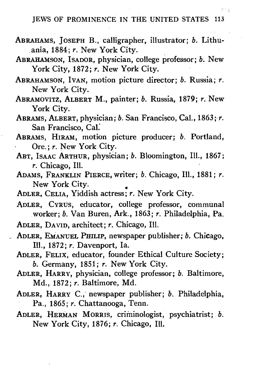- ABRAHAMS, JOSEPH B., calligrapher, illustrator; *b.* Lithuania, 1884; *r.* New York City.
- ABRAHAMSON, ISADOR, physician, college professor; *b.* New York City, 1872; *r.* New York City.
- ABRAHAMSON, IVAN, motion picture director; *b.* Russia; *r.* New York City.
- ABRAMOVITZ, ALBERT M., painter; *b.* Russia, 1879; *r.* New York City.
- ABRAMS, ALBERT, physician; *b.* San Francisco, Cal., 1863; *r.* San Francisco, Cal.
- ABRAMS, HIRAM, motion picture producer; *b.* Portland, Ore.; *r.* New York City.
- ABT, ISAAC ARTHUR, physician; *b.* Bloomington, 111., 1867; *r.* Chicago, 111.
- ADAMS, FRANKLIN PIERCE, writer; *b.* Chicago, 111., 1881; *r.* New York City.
- ADLER, CELIA, Yiddish actress; *r.* New York City.
- ADLER, CYRUS, educator, college professor, communal worker; *b.* Van Buren, Ark., 1863; *r.* Philadelphia, Pa.
- ADLER, DAVID, architect; *r.* Chicago, 111.
- ADLER, EMANUEL PHILIP, newspaper publisher; *b.* Chicago, 111., 1872; *r.* Davenport, la.
	- ADLER, FELIX, educator, founder Ethical Culture Society; *b.* Germany, 1851; *r.* New York City.
	- ADLER, HARRY, physician, college professor; *b.* Baltimore, Md., 1872; *r.* Baltimore, Md.
	- ADLER, HARRY C, newspaper publisher; *b.* Philadelphia,
	- ADLER, HERMAN MORRIS, criminologist, psychiatrist; b. New York City, 1876; *r.* Chicago, Ill. New York City, 1876; *r.* Chicago, 111.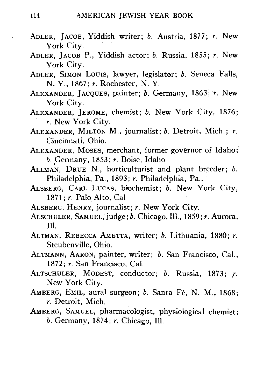- ADLER, JACOB, Yiddish writer; *b.* Austria, 1877; *r.* New York City.
- ADLER, JACOB P., Yiddish actor; *b.* Russia, 1855; *r.* New York City.
- ADLER, SIMON LOUIS, lawyer, legislator; *b.* Seneca Falls, N. Y., 1867; *r.* Rochester, N. Y.
- ALEXANDER, JACQUES, painter; *b.* Germany, 1863; *r.* New York City.
- ALEXANDER, JEROME, chemist; *b.* New York City, 1876; *r.* New York City.
- ALEXANDER, MILTON M., journalist; *b.* Detroit, Mich.; *r.* Cincinnati, Ohio.
- ALEXANDER, MOSES, merchant, former governor of Idaho;' *b.* Germany, 1853; *r.* Boise, Idaho
- ALLMAN, DRUE N., horticulturist and plant breeder; *b.* Philadelphia, Pa., 1893; *r.* Philadelphia, Pa..
- ALSBERG, CARL LUCAS, biochemist; *b.* New York City, 1871; r Palo Alto, Cal
- ALSBERG, HENRY, journalist; *r.* New York City.
- ALSCHULER, SAMUEL, judge; *b.* Chicago, 111., 1859; *r.* Aurora, 111.
- ALTMAN, REBECCA AMETTA, writer; *b.* Lithuania, 1880; *r.* Steubenville, Ohio.
- ALTMANN, AARON, painter, writer; *b.* San Francisco, Cal., 1872; *r.* San Francisco, Cal.
- ALTSCHULER, MODEST, conductor; *b.* Russia, 1873; *r.* New York City.
- AMBERG, EMIL, aural surgeon; *b.* Santa Fé, N. M., 1868; *r.* Detroit, Mich.
- AMBERG, SAMUEL, pharmacologist, physiological chemist; *b.* Germany, 1874; *r.* Chicago, 111.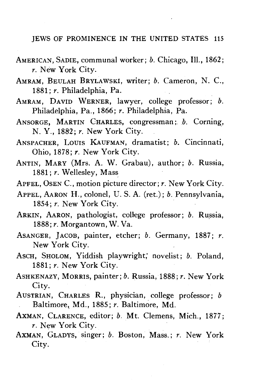- AMERICAN, SADIE, communal worker; *b.* Chicago, 111., 1862; *r.* New York City.
- AMRAM, BEULAH BRYLAWSKI, writer; *b.* Cameron, N. C, 1881; *r.* Philadelphia, Pa.
- AMRAM, DAVID WERNER, lawyer, college professor; *b.* Philadelphia, Pa., 1866; *r.* Philadelphia, Pa.
- ANSORGE, MARTIN CHARLES, congressman; *b.* Corning, N. Y., 1882; r. New York City.
- ANSPACHER, LOUIS KAUFMAN, dramatist; *b.* Cincinnati, Ohio, 1878; *r.* New York City.
- ANTIN. MARY (Mrs. A. W. Grabau), author; b. Russia, 1881; r. Wellesley, Mass.
- APFEL, OSEN C., motion picture director; r. New York City.
- APPEL, AARON H., colonel, U.S.A. (ret.); b. Pennsylvania, 1854; r. New York City.
- ARKIN, AARON, pathologist, college professor; b. Russia, 1888; r. Morgantown, W. Va.
- ASANGER, JACOB, painter, etcher; b. Germany, 1887; r. New York City.
- ASCH, SHOLOM, Yiddish playwright; novelist; b. Poland, 1881; r. New York City.
- ASHKENAZY, MORRIS, painter; b. Russia, 1888; r. New York City.
- AUSTRIAN, CHARLES R., physician, college professor; *b.* Baltimore, Md., 1885; r. Baltimore, Md.  $\alpha$  Dattinoie, Md., 1000, *i*. Dattinoie, Md.
- AN, CLARENCE, CUITOI, *0.* MIT. CIEMENS, *r*. New York City.<br>AXMAN, GLADYS, singer; *b.* Boston, Mass.; *r.* New York.
- City. AXMAN, GLADYS, singer; *b.* Boston, Mass.; *r.* New York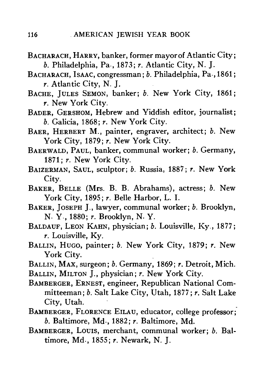- BACHARACH, HARRY, banker, former mayor of Atlantic City; *b.* Philadelphia, Pa , 1873; *r.* Atlantic City, N. J.
- BACHARACH, ISAAC, congressman; *b.* Philadelphia, Pa , 1861; *r.* Atlantic City, N. J.
- BACHE, JULES SEMON, banker; *b.* New York City, 1861; *r.* New York City.
- BADER, GERSHOM, Hebrew and Yiddish editor, journalist; *b.* Galicia, 1868; *r.* New York City.
- BAER, HERBERT M., painter, engraver, architect; *b.* New York City, 1879; r. New York City.
- BAERWALD, PAUL, banker, communal worker; *b.* Germany, 1871; *r.* New York City.
- BAIZERMAN, SAUL, sculptor; *b.* Russia, 1887; *r.* New York City.
- BAKER, BELLE (Mrs. B. B. Abrahams), actress; *b.* New York City, 1895; *r.* Belle Harbor, L. I.
- BAKER, JOSEPH J., lawyer, communal worker; *b.* Brooklyn, N- Y-, 1880; *r.* Brooklyn, N- Y.
- BALDAUF, LEON KAHN, physician; *b.* Louisville, Ky., 1877; *r.* Louisville, Ky.
- BALLIN, HUGO, painter; *b.* New York City, 1879; *r.* New York City.
- BALLIN, MAX, surgeon; *b.* Germany, 1869; *r.* Detroit, Mich.
- BALLIN, MILTON J., physician; *r.* New York City.
- BAMBERGER, ERNEST, engineer, Republican National Committeeman; *b.* Salt Lake City, Utah, 1877; y. Salt Lake City, Utah.
- BAMBERGER, FLORENCE EILAU, educator, college professor; *b.* Baltimore, Md-, 1882; *r.* Baltimore, Md.
- BAMBERGER, LOUIS, merchant, communal worker; *b.* Baltimore, Md-, 1855; *r.* Newark, N. J.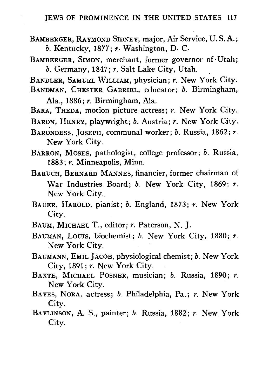- BAMBERGER, RAYMOND SIDNEY, major, Air Service, U.S.A.; *b.* Kentucky, 1877; *r.* Washington, D. C.
- BAMBERGER, SIMON, merchant, former governor of-Utah; *b.* Germany, 1847; *r.* Salt Lake City, Utah.

BANDLER, SAMUEL WILLIAM, physician; *r.* New York City. BANDMAN, CHESTER GABRIEL, educator; *b.* Birmingham,

Ala., 1886; *r.* Birmingham, Ala.

BARA, THEDA, motion picture actress; *r.* New York City.

BARON, HENRY, playwright; *b.* Austria; *r.* New York City.

BARONDESS, JOSEPH, communal worker; 6. Russia, 1862; *r.* New York City.

BARRON, MOSES, pathologist, college professor; *b.* Russia, 1883; *r.* Minneapolis, Minn.

BARUCH, BERNARD MANNES, financier, former chairman of War Industries Board; *b.* New York City, 1869; *r.* New York City.

- BAUER, HAROLD, pianist; *b.* England, 1873; *r.* New York City.
- BAUM, MICHAEL T., editor; *r.* Paterson, N. J.
- BAUMAN, LOUIS, biochemist; *b.* New York City, 1880; *r.* New York City.
- BAUMANN, EMIL JACOB, physiological chemist; *b.* New York City. 1891; *r.* New York City. City, 1891; *r.* New York City.
- BAXTE, MICHAEL POSNER, musician; *b.* Russia, 1890; *r.* New York City.
- BAYES, NORA, actress; *b.* Philadelphia, Pa.; *r.* New York City.
- BAYLINSON, A. S., painter; *b.* Russia, 1882; *r.* New York City.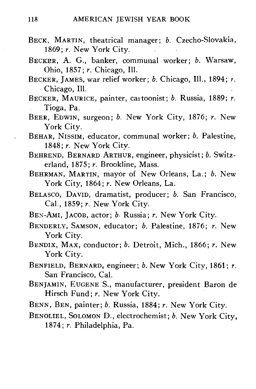- BECK, MARTIN, theatrical manager: *b.* Czecho-Slovakia, 1869; *r.* New York City.
- BECKER, A. G., banker, communal worker; *b.* Warsaw, Ohio, 1857; *r.* Chicago, 111.
- BECKER, JAMES, war relief worker; *b.* Chicago, 111., 1894; *r.* Chicago, 111.
- BECKER, MAURICE, painter, caitoonist; *b.* Russia, 1889; *r.* Tioga, Pa.
- BEER, EDWIN, surgeon; *b.* New York City, 1876; *r.* New York City.
- BEHAR, NISSIM, educator, communal worker; *b.* Palestine, 1848; *r.* New York City.
- BEHREND, BERNARD ARTHUR, engineer, physicist; *b.* Switzerland, 1875; *r.* Brookline, Mass.
- BEHRMAN, MARTIN, mayor of New Orleans, La.; *b.* New York City, 1864; *r.* New Orleans, La.
- BELASCO, DAVID, dramatist, producer; *b.* San Francisco, Cal., 1859; *r.* New York City.
- BEN-AMI, JACOB, actor; *b-* Russia; *r.* New York City.
- BENDERLY, SAMSON, educator; *b.* Palestine, 1876; *r.* New York City.
- BENDIX, MAX, conductor; *b.* Detroit, Mich., 1866; *r.* New York City.
- BENFIELD, BERNARD, engineer; *b.* New York City, 1861; *r.* San Francisco, Cal.<br>Livny - Extonin C
- BENJAMIN, EUGENE S., manufacturer, president Baron de Hirsch Fund; *r.* New York City.
- BENN, BEN, painter; *b.* Russia, 1884; *r.* New York City.
- BENOLIEL, SOLOMON D., electrochemist; *b.* New York City, 1874; *r.* Philadelphia, Pa.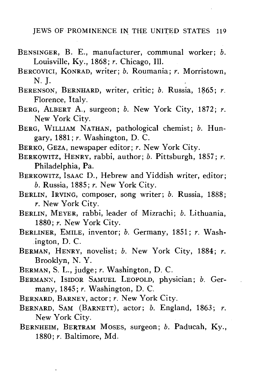- BENSINGER, B. E., manufacturer, communal worker; *b.* Louisville, Ky., 1868; *r.* Chicago, 111.
- BERCOVICI, KONRAD, writer; *b.* Roumania; *r.* Morristown, **N. J.**
- BERENSON, BERNHARD, writer, critic; *b.* Russia, 1865; *r.* Florence, Italy.
- BERG, ALBERT A., surgeon; *b.* New York City, 1872; *r.* New York City.
- BERG, WILLIAM NATHAN, pathological chemist; *b.* Hungary, 1881; *r.* Washington, D. C.
- BERKO, GEZA, newspaper editor; *r.* New York City.
- BERKOWITZ, HENRY, rabbi, author; *b.* Pittsburgh, 1857; *r.* Philadelphia, Pa.
- BERKOWITZ, ISAAC D., Hebrew and Yiddish writer, editor; *b.* Russia, 1885; *r.* New York City.
- BERLIN, IRVING, composer, song writer; *b.* Russia, 1888; *r.* New York City.
- BERLIN, MEYER, rabbi, leader of Mizrachi; *b.* Lithuania, 1880; *r.* New York City.
- BERLINER, EMILE, inventor; *b.* Germany, 1851; *r.* Washington, D. C.
- BERMAN, HENRY, novelist; *b.* New York City, 1884; *r.* Brooklyn, N. Y.
- BERMAN, S. L., judge; *r.* Washington, D. C.
- BERMANX, ISIDOR SAMUEL LEOPOLD, physician; *b.* Germany, 1845; *r.* Washington, D. C.
- BERNARD, BARNEY, actor; *r.* New York City.
- BERNARD, SAM (BARNETT), actor; *b.* England, 1863; *r.* New York City.
- BERNHEIM, BERTRAM MOSES, surgeon; *b.* Paducah, Ky., 1880; *r.* Baltimore, Md.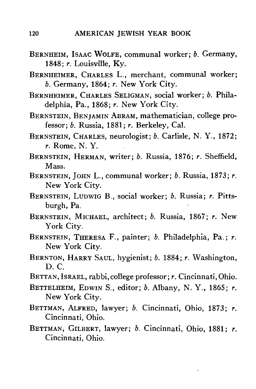- BERNHEIM, ISAAC WOLFE, communal worker; *b.* Germany, 1848; *r.* Louisville, Ky.
- BERNHEIMER, CHARLES L., merchant, communal worker; *b.* Germany, 1864; *r.* New York City.
- BERNHEIMER, CHARLES SELIGMAN, social worker; *b.* Philadelphia, Pa., 1868; *r.* New York City.
- BERNSTEIN, BENJAMIN ABRAM, mathematician, college professor; *b.* Russia, 1881; *r.* Berkeley, Cal.
- BERNSTEIN, CHARLES, neurologist; *b.* Carlisle, N. Y., 1872; *r.* Rome, N. Y.
- BERNSTEIN, HERMAN, writer; *b.* Russia, 1876; *r.* Sheffield, Mass.
- BERNSTEIN, JOHN L., communal worker; *b.* Russia, 1873; *r.* New York City.
- BERNSTEIN, LUDWIG B., social worker; *b.* Russia; *r,* Pittsburgh, Pa.
- BERNSTEIN, MICHAEL, architect; *b.* Russia, 1867; *r.* New York City.
- BERNSTEIN, THERESA F., painter; *b.* Philadelphia, Pa.; *r.* New York City.
- BERNTON, HARRY SAUL, hygienist; *b.* 1884; *r.* Washington, D. C.
- BETTAN, ISRAEL, rabbi,college professor; *r.* Cincinnati, Ohio.
- BETTELHEIM, EDWIN S., editor; *b.* Albany, N. Y., 1865; *r.* New York City.
- BETTMAN, ALFRED, lawyer; *b.* Cincinnati, Ohio, 1873; *r.* Cincinnati, Ohio.
- BETTMAN, GILBERT, lawyer; *b.* Cincinnati, Ohio, 1881; *r.* Cincinnati, Ohio.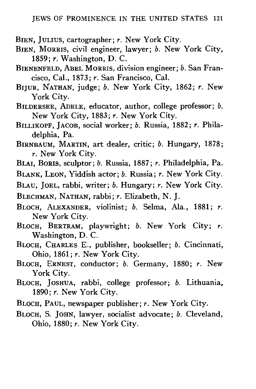- BIEN, JULIUS, cartographer; *r.* New York City.
- BIEN, MORRIS, civil engineer, lawyer; *b.* New York City, 1859; *r.* Washington, D. C.
- BIENENFELD, ABEL MORRIS, division engineer; *b.* San Francisco, Cal., 1873; *r.* San Francisco, Cal.
- BIJUR, NATHAN, judge; *b.* New York City, 1862; *r.* New York City.
- BILDERSEE, ADELE, educator, author, college professor; *b.* New York City, 1883; *r.* New York City.
- BILLIKOPF, JACOB, social worker; *b.* Russia, 1882; *r.* Philadelphia, Pa.
- BIRNBAUM, MARTIN, art dealer, critic; *b.* Hungary, 1878; *r.* New York City.
- BLAI, BORIS, sculptor; *b.* Russia, 1887; *r.* Philadelphia, Pa.

BLANK, LEON, Yiddish actor; *b.* Russia; *r.* New York City.

BLAU, JOEL, rabbi, writer; *b.* Hungary; *r.* New York City.

BLECHMAN, NATHAN, rabbi; *r.* Elizabeth, N. J.

- BLOCH, ALEXANDER, violinist; *b.* Selma, Ala., 1881; *r.* New York City.
- BLOCH, BERTRAM, playwright; *b.* New York City; *r.* Washington, D. C.
- BLOCH, CHARLES E., publisher, bookseller; *b.* Cincinnati, Ohio, 1861; *r.* New York City.
- BLOCH, ERNEST, conductor; *b.* Germany, 1880; *r.* New York City.
- BLOCH, JOSHUA, rabbi, college professor; *b.* Lithuania, 1890; *r.* New York City.
- BLOCH, PAUL, newspaper publisher; *r.* New York City.
- BLOCH, S. JOHN, lawyer, socialist advocate; *b.* Cleveland, Ohio, 1880; *r.* New York City.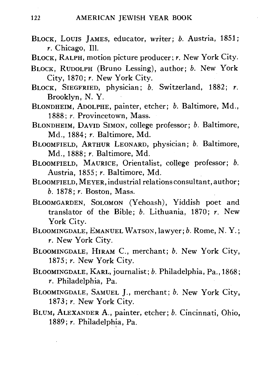- BLOCK, LOUIS JAMES, educator, writer; *b.* Austria, 1851; *r.* Chicago, 111.
- BLOCK, RALPH, motion picture producer; *r.* New York City.
- BLOCK, RUDOLPH (Bruno Lessing), author; *b.* New York City, 1870; *r.* New York City.
- BLOCK, SIEGFRIED, physician; *b.* Switzerland, 1882; *r.* Brooklyn, N. Y.
- BLONDHEIM, ADOLPHE, painter, etcher; *b.* Baltimore, Md., 1888; *r.* Provincetown, Mass.
- BLONDHEIM, DAVID SIMON, college professor; *b.* Baltimore, Md., 1884; *r.* Baltimore, Md.
- BLOOMFIELD, ARTHUR LEONARD, physician; *b.* Baltimore, Md., 1888; *r.* Baltimore, Md.
- BLOOMFIELD, MAURICE, Orientalist, college professor; *b.* Austria, 1855; *r.* Baltimore, Md.
- BLOOMFIELD, MEYER, industrial relations consultant, author; *b.* 1878; *r.* Boston, Mass.
- BLOOMGARDEN, SOLOMON (Yehoash), Yiddish poet and translator of the Bible; *b.* Lithuania, 1870; *r.* New York City.
- BLOOMINGDALE, EMANUEL WATSON, lawyer; *b.* Rome, N. Y.; *r.* New York City.
- BLOOMINGDALE, HIRAM C., merchant; *b*. New York City, 1875; *r*. New York City. 1875; *r.* New York City.
- BLOOMINGDALE, KARL, journalist; *b.* Philadelphia, Pa., 1868; *r.* Philadelphia, Pa.
- 1873; r. New York City.
- BLUM, ALEXANDER A., painter, etcher; b. Cincinnati, Ohio, 1889; r. Philadelphia, Pa.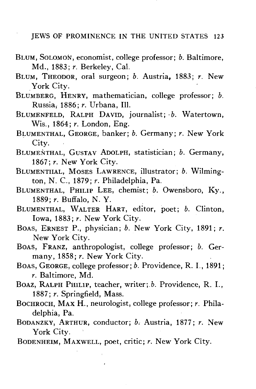- BLUM, SOLOMON, economist, college professor; *b.* Baltimore, Md., 1883; *r.* Berkeley, Cal.
- BLUM, THEODOR, oral surgeon; *b.* Austria, 1883; *r.* New York City.
- BLUMBERG, HENRY, mathematician, college professor; *b.* Russia, 1886; *r.* Urbana, 111.
- BLUMENFELD, RALPH DAVID, journalist; *b.* Watertown, Wis., 1864; *r.* London, Eng.
- BLUMENTHAL, GEORGE, banker; *b.* Germany; *r.* New York City.
- BLUMENTHAL, GUSTAV ADOLPH, statistician; *b.* Germany, 1867; *r.* New York City.
- BLUMENTHAL, MOSES LAWRENCE, illustrator; *b.* Wilmington, N. C, 1879; *r.* Philadelphia, Pa.
- BLUMENTHAL, PHILIP LEE, chemist; *b.* Owensboro, Ky., 1889; r. Buffalo, N. Y.
- BLUMENTHAL, WALTER HART, editor, poet; *b.* Clinton, Iowa, 1883; *r.* New York City.
- BOAS, ERNEST P., physician; *b.* New York City, 1891; *r.* New York City.
- BOAS, FRANZ, anthropologist, college professor; *b.* Germany, 1858; *r.* New York City.
- BOAS, GEORGE, college professor; *b.* Providence, R. I., 1891; *r.* Baltimore, Md.
- BOAZ, RALPH PHILIP, teacher, writer; *b.* Providence, R. I., 1887; *r.* Springfield, Mass.
- BOCHROCH, MAX H., neurologist, college professor; *r.* Philadelphia, Pa.
- BODANZKY, ARTHUR, conductor; b. Austria, 1877; r. New York City.
- BODENHEIM, MAXWELL, poet, critic; *r.* New York City.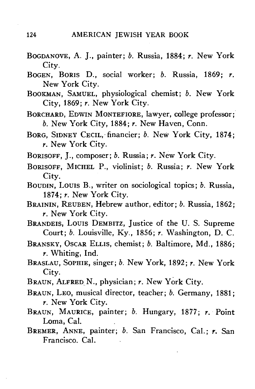- BOGDANOVE, A. J., painter; *b.* Russia, 1884; *r.* New York City.
- BOGEN, BORIS D., social worker; *b.* Russia, 1869; *r.* New York City.
- BOOKMAN, SAMUEL, physiological chemist; *b.* New York City, 1869; *r.* New York City.
- BORCHARD, EDWIN MONTEFIORE, lawyer, college professor; *b.* New York City, 1884; *r.* New Haven, Conn.
- BORG, SIDNEY CECIL, financier; *b.* New York City, 1874; *r.* New York City.
- BORISOFF, J., composer; *b.* Russia; *r.* New York City.
- BORISOFF, MICHEL P., violinist; *b.* Russia; *r.* New York
- City. BOUDIN, Louis B., writer on sociological topics; *b.* Russia, 1874; *r.* New York City.
- BRAININ, REUBEN, Hebrew author, editor; *b.* Russia, 1862; *r.* New York City.<br>BRANDEIS, LOUIS DEMBITZ, Justice of the U.S. Supreme
- Court;  $b$ . Louisville, Ky., 1856;  $r$ . Washington, D. C. Court; *b.* Louisville, Ky., 1856; *r.* Washington, D. C.
- BRANSKY, OSCAR ELLIS, chemist; *b.* Baltimore, Md., 1886;
- *r.* Whiting, Ind. BRASLAU, SOPHIE, singer; *b.* New York, 1892; *r.* New York City.<br>BRAUN, ALFRED N., physician; r. New York City.
- 
- BRAUN, LEO, musical director, teacher; *b.* Germany, 1881;  $r.$  New York City.
- BRAUN, MAURICE, painter; b. Hungary, 1877; r. Point Loma, Cal.
- BREMER, ANNE, painter; b. San Francisco, Cal.; r. San Francisco, Cal.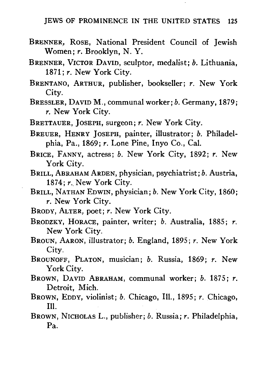- BRENNER, ROSE, National President Council of Jewish Women; *r.* Brooklyn, N. Y.
- BRENNER, VICTOR DAVID, sculptor, medalist; *b.* Lithuania, 1871; *r.* New York City.
- BRENTANO, ARTHUR, publisher, bookseller; *r.* New York City.
- BRESSLER, DAVID M., communal worker; *b.* Germany, 1879; *r.* New York City.
- BRETTAUER, JOSEPH, surgeon; *r.* New York City.
- BREUER, HENRY JOSEPH, painter, illustrator; *b.* Philadelphia, Pa., 1869; *r.* Lone Pine, Inyo Co., Cal.
- BRICE, FANNY, actress; *b.* New York City, 1892; *r.* New York City.
- BRILL, ABRAHAM ARDEN, physician, psychiatrist; *b.* Austria, 1874; *r..* New York City.
- BRILL, NATHAN EDWIN, physician; *b.* New York City, 1860; *r.* New York City.
- BRODY, ALTER, poet; *r.* New York City.
- BRODZKY, HORACE, painter, writer; *b.* Australia, 1885; *r.* New York City.
- BROUN, AARON, illustrator; *b.* England, 1895; *r.* New York City.
- BROUNOFF, PLATON, musician; *b.* Russia, 1869; *r.* New York City.
- BROWN, DAVID ABRAHAM, communal worker; *b.* 1875; *r.* Detroit, Mich.
- BROWN, EDDY, violinist; *b.* Chicago, 111., 1895; *r.* Chicago, 111.
- BROWN, NICHOLAS L., publisher; *b.* Russia; *r.* Philadelphia, Pa.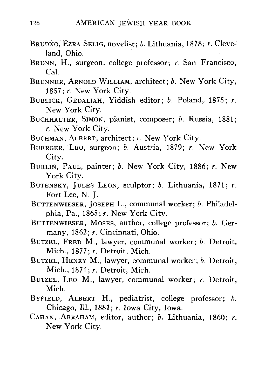- BRUDNO, EZRA SELIG, novelist; *b.* Lithuania, 1878; *r.* Cleveland, Ohio.
- BRUNN, H., surgeon, college professor; *r.* San Francisco, Cal.
- BRUNNER, ARNOLD WILLIAM, architect; *b.* New York City, 1857; *r.* New York City.
- BUBLICK, GEDALIAH, Yiddish editor; *b.* Poland, 1875; *r.* New York City.
- BUCHHALTER, SIMON, pianist, composer; *b.* Russia, 1881; *r.* New York City.
- BUCHMAN, ALBERT, architect; *r.* New York City.
- BUERGER, LEO, surgeon; *b.* Austria, 1879; *r.* New York City.
- BURLIN, PAUL, painter; *b.* New York City, 1886; *r.* New York City.
- BUTENSKY, JULES LEON, sculptor; *b.* Lithuania, 1871; *r.* Fort Lee, N. J.
- BUTTENWIESER, JOSEPH L., communal worker; *b.* Philadelphia, Pa., 1865; *r.* New York City.
- BUTTENWIESER, MOSES, author, college professor; *b.* Germany, 1862; *r.* Cincinnati, Ohio.
- BUTZEL, FRED M., lawyer, communal worker; *b.* Detroit, Mich., 1877; *r.* Detroit, Mich.
- BUTZEL, HENRY M., lawyer, communal worker; *b.* Detroit, Mich., 1871; *r.* Detroit, Mich.
- BUTZEL, LEO M., lawyer, communal worker; *r.* Detroit, Mich.
- BYFIELD, ALBERT H., pediatrist, college professor; *b.* Chicago, 111., 1881; *r.* Iowa City, Iowa.
- CAHAN, ABRAHAM, editor, author; *b.* Lithuania, 1860; *r.* New York City.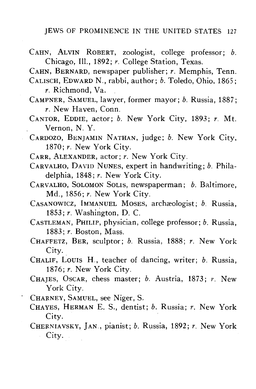CAHN, ALVIN ROBERT, zoologist, college professor; *b.* Chicago, 111., 1892; *r.* College Station, Texas.

CAHN, BERNARD, newspaper publisher; *r.* Memphis, Tenn.

- CALISCH, EDWARD N., rabbi, author; *b.* Toledo, Ohio, 1865; *r.* Richmond, Va.
- CAMPNER, SAMUEL, lawyer, former mayor; *b.* Russia, 1887; *r.* New Haven, Conn.
- CANTOR, EDDIE, actor; *b.* New York City, 1893; *r.* Mt. Vernon, N. Y.
- CARDOZO, BENJAMIN NATHAN, judge; *b.* New York City, 1870; *r.* New York City.
- CARR, ALEXANDER, actor; *r.* New York City.
- CARVALHO, DAVID NUNES, expert in handwriting; *b.* Philadelphia, 1848; *r.* New York City.
- CARVALHO, SOLOMON SOLIS, newspaperman; *b.* Baltimore, Md., 1856; *r.* New York City.
- CASANOWICZ, IMMANUEL MOSES, archaeologist; *b.* Russia, 1853; r. Washington, D. C.
- CASTLEMAN, PHILIP, physician, college professor; *b.* Russia, 1883; *r.* Boston, Mass.
- CHAFFETZ, BER, sculptor; *b.* Russia, 1888; *r.* New York City.
- CHALIF, LOUIS H., teacher of dancing, writer; *b.* Russia, 1876; *r.* New York City.
- CHAJES, OSCAR, chess master; *b.* Austria, 1873; *r.* New York City.
- CHARNEY, SAMUEL, see Niger, S.
- CHAYES, HERMAN E. S., dentist; *b.* Russia; *r.* New York City.
- CHERNIAVSKY, JAN., pianist; *b.* Russia, 1892; *r.* New York City.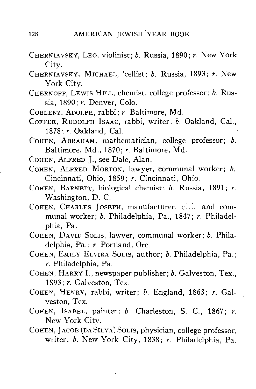- CHERNIAVSKY, LEO, violinist; *b.* Russia, 1890; *r.* New York City.
- CHERNIAVSKY, MICHAEL, 'cellist; *b.* Russia, 1893; *r.* New York City.
- CHERNOFF, LEWIS HILL, chemist, college professor; *b.* Russia, 1890; *r.* Denver, Colo.
- COBLENZ, ADOLPH, rabbi; *r.* Baltimore, Md.
- COFFEE, RUDOLPH ISAAC, rabbi, writer; *b.* Oakland, Cal., 1878; *r.* Oakland, Cal.
- COHEN, ABRAHAM, mathematician, college professor; *b.* Baltimore, Md., 1870; *r.* Baltimore, Md.
- COHEN, ALFRED J., see Dale, Alan.
- COHEN, ALFRED MORTON, lawyer, communal worker; *b.* Cincinnati, Ohio, 1859; *r.* Cincinnati, Ohio.
- COHEN, BARNETT, biological chemist; *b.* Russia, 1891; *r.* Washington, D. C.
- COHEN, CHARLES JOSEPH, manufacturer,  $\overline{c}$ ,  $\overline{c}$  and communal worker; *b.* Philadelphia, Pa., 1847; *r.* Philadelphia, Pa.
- COHEN, DAVID SOLIS, lawyer, communal worker; *b.* Philadelphia, Pa.; *r.* Portland, Ore.
- COHEN, EMILY ELVIRA SOLIS, author; *b.* Philadelphia, Pa.; *r.* Philadelphia, Pa.
- COHEN, HARRY I., newspaper publisher; *b.* Galveston, Tex., 1893; *r.* Galveston, Tex.
- COHEN, HENRY, rabbi, writer; *b.* England, 1863; *r.* Galveston, Tex.
- COHEN, ISABEL, painter; *b.* Charleston, S. C, 1867; *r.* New York City.
- COHEN, JACOB (DASILVA) SOLIS, physician, college professor, writer; *b.* New York City, 1838; *r.* Philadelphia, Pa.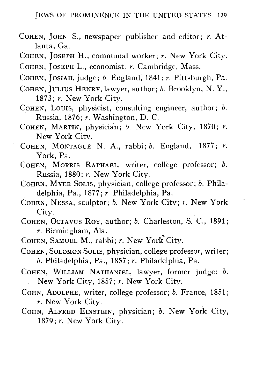- COHEN, JOHN S., newspaper publisher and editor; *r.* Atlanta, Ga.
- COHEN, JOSEPH H., communal worker; *r.* New York City.
- COHEN, JOSEPH L., economist; *r.* Cambridge, Mass.

COHEN, JOSIAH, judge; *b.* England^ 1841; *r.* Pittsburgh, Pa.

- COHEN, JULIUS HENRY, lawyer, author; *b.* Brooklyn, N. Y., 1873; *r.* New York City.
- COHEN, LOUIS, physicist, consulting engineer, author; *b.* Russia, 1876; *r.* Washington, D. C.
- COHEN, MARTIN, physician; *b.* New York City, 1870; *r.* New York City.
- COHEN, MONTAGUE N. A., rabbi; *b.* England, 1877; *r.* York, Pa.
- COHEN, MORRIS RAPHAEL, writer, college professor; *b.* Russia, 1880; *r.* New York City.
- COHEN, MYER SOLIS, physician, college professor; *b.* Philadelphia, Pa., 1877; *r.* Philadelphia, Pa.
- COHEN, NESSA, sculptor; *b.* New York City; *r.* New York City.
- COHEN, OCTAVUS ROY, author; *b.* Charleston, S. C, 1891; *r.* Birmingham, Ala.
- COHEN, SAMUEL M., rabbi; *r.* New York City.
- COHEN, SOLOMON SOLIS, physician, college professor, writer; *b.* Philadelphia, Pa., 1857; *r.* Philadelphia, Pa.
- COHEN, WILLIAM NATHANIEL, lawyer, former judge; *b.* New York City, 1857; *r.* New York City.
- COHN, ADOLPHE, writer, college professor; *b.* France, 1851; *r.* New York City.
- COHN, ALFRED EINSTEIN, physician; *b.* New York City, 1879; *r.* New York City.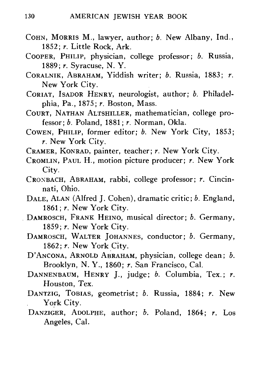- COHN, MORRIS M., lawyer, author; *b.* New Albany, Ind., 1852; *r.* Little Rock, Ark.
- COOPER, PHILIP, physician, college professor; *b.* Russia, 1889; *r.* Syracuse, N. Y.
- CORALNIK, ABRAHAM, Yiddish writer; *b.* Russia, 1883; *r.* New York City.
- CORIAT, ISADOR HENRY, neurologist, author; *b.* Philadelphia, Pa., 1875; *r.* Boston, Mass.
- COURT, NATHAN ALTSHILLER, mathematician, college professor; *b.* Poland, 1881; *r.* Norman, Okla.
- COWEN, PHILIP, former editor; *b.* New York City, 1853; *r.* New York City.
- CRAMER, KONRAD, painter, teacher; *r.* New York City.
- CROMLIN, PAUL H., motion picture producer; *r.* New York City.
- CROXBACH, ABRAHAM, rabbi, college professor; *r.* Cincinnati, Ohio.
- DALE, ALAN (Alfred J. Cohen), dramatic critic; *b.* England, 1861 *;r.* New York City.
- DAMROSCH, FRANK HEINO, musical director; *b.* Germany, 1859; *r.* New York City.
- DAMROSCH, WALTER JOHANNES, conductor; *b.* Germany, 1862; *r.* New York City.
- D'ANCONA, ARNOLD ABRAHAM, physician, college dean; *b.* Brooklyn, N. Y., 1860; *r.* San Francisco, Cal.
- DANNENBAUM, HENRY J., judge; *b.* Columbia, Tex.; *r.* Houston, Tex.
- DANTZIG, TOBIAS, geometrist; *b.* Russia, 1884; *r.* New York City.
- DANZIGER, ADOLPHE, author; *b.* Poland, 1864; *r.* Los Angeles, Cal.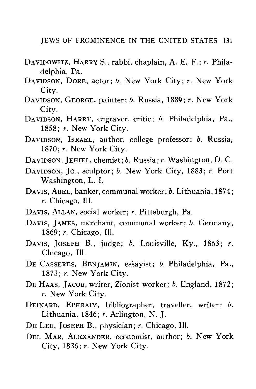- DAVIDOWITZ, HARRY S., rabbi, chaplain, A. E. F.; *r.* Philadelphia, Pa.
- DAVIDSON, DORE, actor; *b.* New York City; *r.* New York City.
- DAVIDSON, GEORGE, painter; *b.* Russia, 1889; *r.* New York City.
- DAVIDSON, HARRY, engraver, critic; *b.* Philadelphia, Pa., 1858; *r.* New York City.
- DAVIDSON, ISRAEL, author, college professor; *b.* Russia, 1870; *r.* New York City.
- DAVIDSON, JEHIEL, chemist; *b.* Russia; *r.* Washington, D. C.
- DAVIDSON, JO., sculptor; *b.* New York City, 1883; *r.* Port Washington, L. I.
- DAVIS, ABEL, banker,communal worker; *b.* Lithuania, 1874; *r.* Chicago, 111.
- DAVIS, ALLAN, social worker; *r.* Pittsburgh, Pa.
- DAVIS, JAMES, merchant, communal worker; *b.* Germany, 1869; *r.* Chicago, 111.
- DAVIS, JOSEPH B., judge; *b.* Louisville, Ky., 1863; *r.* Chicago, 111.
- DE CASSERES, BENJAMIN, essayist; *b.* Philadelphia, Pa., 1873; *r.* New York City.
- DE HAAS, JACOB, writer, Zionist worker; *b.* England, 1872;
- DEINARD, EPHRAIM, bibliographer, traveller, writer; b. Lithuania, 1846; r. Arlington, N. J.
- DE LEE, JOSEPH B., physician; r. Chicago, Ill.
- DEL MAR, ALEXANDER, economist, author; b. New York City, 1836; r. New York City.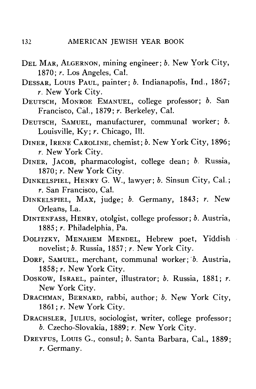- DEL MAR, ALGERNON, mining engineer; b. New York City, 1870; *r.* Los Angeles, Cal.
- DESSAR, LOUIS PAUL, painter; *b.* Indianapolis, Ind., 1867; *r.* New York City.
- DEUTSCH, MONROE EMANUEL, college professor; *b.* San Francisco, Cal., 1879; *r.* Berkeley, Cal.
- DEUTSCH , SAMUEL, manufacturer, communal worker; *b.* Louisville, Ky; r. Chicago, Ill.
- DINER, IRENE CAROLINE, chemist: b. New York City, 1896; *r.* New York City.
- DINER, JACOB, pharmacologist, college dean; *b.* Russia, 1870; *r.* New York City.
- DINKELSPIEL, HENRY G. W., lawyer; *b.* Sinsun City, Cal.; *r.* San Francisco, Cal.
- DINKELSPIEL, MAX, judge; *b.* Germany, 1843; *r.* New Orleans, La.
- DINTENFASS, HENRY, otolgist, college professor; *b.* Austria, 1885; *r.* Philadelphia, Pa.
- DOLITZKY, MENAHEM MENDEL, Hebrew poet, Yiddish novelist; *b.* Russia, 1857; *r.* New York City.<br>DORF, SAMUEL, merchant, communal worker; *b.* Austria,
- 1858; r. New York City. 1858; *r.* New York City.
- DOSKOW, ISRAEL, painter, illustrator; *b.* Russia, 1881; *r.* New York City.
- DRACHMAN, BERNARD, rabbi, author; *b.* New York City, 1861; *r*. New York City.<br>DRACHSLER, JULIUS, sociologist, writer, college professor;
- b. Czecho-Slovakia, 1889; r. New York City. *b.* Czecho-Slovakia, 1889; *r.* New York City.
- DREYFUS, LOUIS G., CONSul; *b. Sa*nta Barbara, Cal., 1889; *r.* Germany.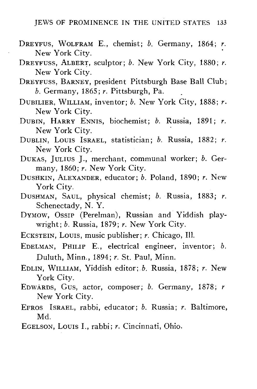- DREYFUS, WOLFRAM E., chemist; *b.* Germany, 1864; *r.* New York City.
- DREYFUSS, ALBERT, sculptor; *b.* New York City, 1880; *r.* New York City.
- DREYFUSS, BARNEY, president Pittsburgh Base Ball Club; *b.* Germany, 1865; *r.* Pittsburgh, Pa.
- DUBILIER, WILLIAM, inventor; *b.* New York City, 1888; *r.* New York City.
- DUBIN, HARRY ENNIS, biochemist; *b.* Russia, 1891; *r.* New York City.
- DUBLIN, LOUIS ISRAEL, statistician; *b.* Russia, 1882; *r.* New York City.
- DUKAS, JULIUS J., merchant, communal worker; *b.* Germany, 1860; *r.* New York City.
- DUSHKIN, ALEXANDER, educator; *b.* Poland, 1890; *r.* New York City.
- DUSHMAN, SAUL, physical chemist; *b.* Russia, 1883; *r.* Schenectady, N. Y.
- DYMOW, OSSIP (Perelman), Russian and Yiddish playwright; *b.* Russia, 1879; *r.* New York City.
- ECKSTEIN, LOUIS, music publisher; *r.* Chicago, 111.
- EDELMAN, PHILIP E., electrical engineer, inventor; *b.* Duluth, Minn., 1894; *r.* St. Paul, Minn.
- EDLIN, WILLIAM, Yiddish editor; *b.* Russia, 1878; *r.* New York City.
- EDWARDS, GUS, actor, composer; *b.* Germany, 1878; *r* New York City.
- EFROS ISRAEL, rabbi, educator; *b.* Russia; *r.* Baltimore, Md.
- EGELSON, LOUIS I., rabbi; *r.* Cincinnati, Ohio.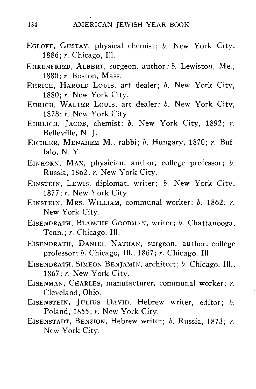- EGLOFF, GUSTAV, physical chemist; *b.* New York City, 1886; *r.* Chicago, 111.
- EHRENFRIED, ALBERT, surgeon, author;' *b.* Lewiston, Me., 1880; *r.* Boston, Mass.
- EHRICH, HAROLD LOUIS, art dealer; *b.* New York City, 1880; *r.* New York City.
- EHRICH, WALTER LOUIS, art dealer; *b.* New York City, 1878; *r.* New York City.
- EHRLICH, JACOB, chemist; *b.* New York City, 1892; *r.* Belleville, N. J.
- EICHLER, MENAHEM M., rabbi; *b.* Hungary, 1870; *r.* Buffalo, N. Y.
- EINHORN, MAX, physician, author, college professor; *b.* Russia, 1862; *r.* New York City.
- EINSTEIN, LEWIS, diplomat, writer; *b.* New York City, 1877; r. New York City.
- EINSTEIN, MRS. WILLIAM, communal worker; *b.* 1862; *r.* New York City.
- EISENDRATH, BLANCHE GOODMAX, writer; *b.* Chattanooga, Tenn.; *r.* Chicago, 111.
- EISENDRATH, DANIEL NATHAN, surgeon, author, college professor; *b.* Chicago, III., 1867; *r.* Chicago, 111.
- EISENDRATH, SIMEON BENJAMIN, architect; *b.* Chicago, 111., 1867; r. New York City.
- EISENMAN, CHARLES, manufacturer, communal worker; *r.* Cleveland, Ohio.
- EISENSTEIN, JULIUS DAVID, Hebrew writer, editor; *b.* Poland, 1855; *r.* New York City.
- EISENSTADT, BENZION, Hebrew writer; *b.* Russia, 1873; *r.* New York City.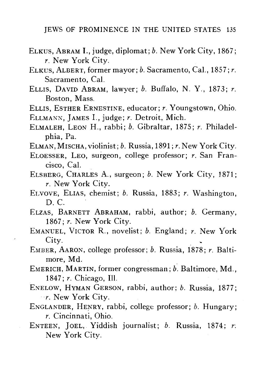- ELKUS, ABRAM I., judge, diplomat; *b.* New York City, 1867; *r.* New York City.
- ELKUS, ALBERT, former mayor; *b.* Sacramento, Cal., 1857; *r.* Sacramento, Cal.
- ELLIS, DAVID ABRAM, lawyer; *b.* Buffalo, N. Y., 1873; *r.* Boston, Mass.
- ELLIS, ESTHER ERNESTINE, educator; *r.* Youngstown, Ohio. ELLMANN, JAMES I., judge; *r.* Detroit, Mich.
- ELMALEH, LEON H., rabbi; *b.* Gibraltar, 1875; *r.* Philadelphia, Pa.
- ELMAN, MISCHA, violinist; *b.* Russia, 1891; *r.* New York City.
- ELOESSER, LEO, surgeon, college professor; *r.* San Francisco, Cal.
- ELSBERG, CHARLES A., surgeon; *b.* New York City, 1871; *r.* New York City.
- EI.VOVE, ELIAS, chemist; *b.* Russia, 1883; *r.* Washington, D. C.
- ELZAS, BARNETT ABRAHAM, rabbi, author; *b.* Germany, 1867; *r.* New York City.
- EMANUEL, VICTOR R., novelist; *b.* England; *r.* New York City.
- EMBER, AARON, college professor; *b.* Russia, 1878; *r.* Baltimore, Md.
- EMERICH, MARTIN, former congressman; *b.* Baltimore, Md., 1847; *r.* Chicago, 111.
- ENELOW, HYMAN GERSON, rabbi, author; *b.* Russia, 1877; *r.* New York City.
- ENGLANDER, HENRY, rabbi, college professor; *b.* Hungary; *r.* Cincinnati, Ohio.
- ENTEEN, JOEL, Yiddish journalist; *b.* Russia, 1874; *r:* New York City.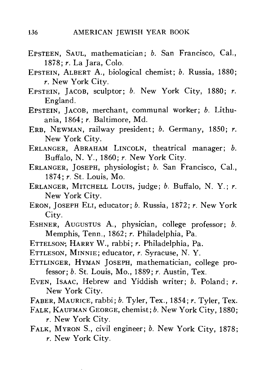- EPSTEEN, SAUL, mathematician; *b.* San Francisco, Cal., 1878; *r.* La Jara, Colo.
- EPSTEIN, ALBERT A., biological chemist; *b.* Russia, 1880; *r.* New York City.
- EPSTEIN, JACOB, sculptor; *b.* New York City, 1880; *r.* England.
- EPSTEIN, JACOB, merchant, communal worker; *b.* Lithuania, 1864; *r.* Baltimore, Md.
- ERB, NEWMAN, railway president; *b.* Germany, 1850; *r.* New York City.
- ERLANGER, ABRAHAM LINCOLN, theatrical manager; *b.* Buffalo, N. Y., 1860; *r.* New York City.
- ERLANGER, JOSEPH, physiologist; *b.* San Francisco, Cal., 1874; *r.* St. Louis, Mo.
- ERLANGER, MITCHELL LOUIS, judge; *b.* Buffalo, N. Y.; *r.* New York City.
- ERON, JOSEPH ELI, educator; *b.* Russia, 1872; *r.* New York City.
- ESHNER, AUGUSTUS A., physician, college professor; *b.* Memphis, Tenn., 1862; *r.* Philadelphia, Pa.
- ETTELSON-, HARRY W., rabbi; *r.* Philadelphia, Pa.
- ETTLESON, MINNIE; educator, *r.* Syracuse, N. Y.
- ETTLINGER, HYMAN JOSEPH, mathematician, college professor; *b.* St. Louis, Mo., 1889; *r.* Austin, Tex.
- EVEN, ISAAC, Hebrew and Yiddish writer; *b.* Poland; *r.* New York City.
- FABER, MAURICE, rabbi; *b.* Tyler, Tex., 1854; *r.* Tyler, Tex.
- FALK, KAUFMAN GEORGE, chemist; *b.* New York City, 1880;
	- *r.* New York City.
- FALK, MYRON S., civil engineer; *b.* New York City, 1878; *r.* New York City.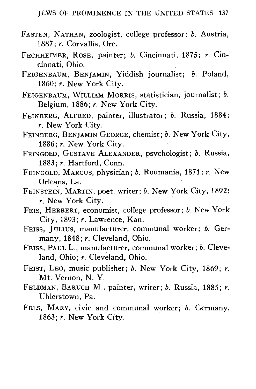- FASTEN, NATHAN, zoologist, college professor; *b.* Austria, 1887; *r.* Corvallis, Ore.
- FECHHEIMER, ROSE, painter; *b.* Cincinnati, 1875; *r.* Cincinnati, Ohio.
- FEIGENBAUM, BENJAMIN, Yiddish journalist; *b.* Poland, 1860; *r.* New York City.
- FEIGENBAUM, WILLIAM MORRIS, statistician, journalist; *b.* Belgium, 1886; *r.* New York City.
- FEINBERG, ALFRED, painter, illustrator; *b.* Russia, 1884; *r.* New York City.
- FEINBERG, BENJAMIN GEORGE, chemist; *b.* New York City, 1886; *r.* New York City.
- FEINGOED, GUSTAVE ALEXANDER, psychologist; *b.* Russia, 1883; *r.* Hartford, Conn.
- FEINGOLD, MARCUS, physician; *b.* Roumania, 1871; *r.* New Orleans, La.
- FEINSTEIN, MARTIN, poet, writer; *b.* New York City, 1892; *r.* New York City.
- FEIS, HERBERT, economist, college professor; *b.* New York City, 1893; *r.* Lawrence, Kan.
- FEISS, JULIUS, manufacturer, communal worker; *b.* Germany, 1848; *r.* Cleveland, Ohio.
- FEISS, PAUL L., manufacturer, communal worker; *b.* Cleveland, Ohio; *r.* Cleveland, Ohio.
- FEIST, LEO, music publisher; *b.* New York City, 1869; *r.* Mt. Vernon, N. Y.
- FELDMAN, BARUCH M., painter, writer; *b.* Russia, 1885; *r.* Uhlerstown, Pa.
- FELS, MARY, civic and communal worker; *b.* Germany, 1863; *r.* New York City.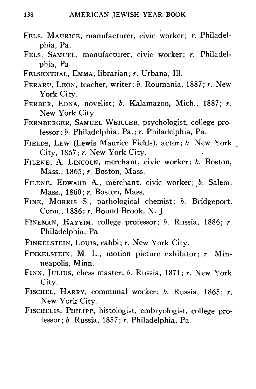- FELS, MAURICE, manufacturer, civic worker; *r.* Philadelphia, Pa.
- FELS , SAMUEL, manufacturer, civic worker; *r.* Philadelphia, Pa.
- FELSENTHAL, EMMA, librarian; *r.* Urbana, 111.
- FERARU, LEON, teacher, writer; *b.* Roumania, 1887; *r.* New York City.
- FERBER, EDNA, novelist; *b.* Kalamazoo, Mich., 1887; *r.* New York City.
- FERNBERGER, SAMUEL WEILLER, psychologist, college professor; *b.* Philadelphia, Pa.; *r.* Philadelphia, Pa.
- FIELDS, LEW (Lewis Maurice Fields), actor; *b.* New York City, 1867; *r.* New York City.
- FILENE, A. LINCOLN, merchant, civic worker; *b.* Boston, Mass., 1865; *r.* Boston, Mass.
- FILENE, EDWARD A., merchant, civic worker; *b.* Salem, Mass., 1860; *r.* Boston, Mass.
- FINE. MORRIS S., pathological chemist; *b.* Bridgeport. Conn., 1886; *r.* Bound Brook, N. J
- FINEMAN, HAYYIM, college professor; *b.* Russia, 1886; *r.* Philadelphia, Pa
- FINKELSTEIN, Louis, rabbi; *r.* New York City.
- FINKELSTEIN, M. L., motion picture exhibitor; *r.* Minneapolis, Minn.
- FINN , JULIUS, chess master; *b.* Russia, 1871; *r.* New York City.
- FISCHEL, HARRY, communal worker; *b.* Russia, 1865; r. New York City.
- FISCHELIS, PHILIPP, histologist, embryologist, college professor; *b.* Russia, 1857; *r.* Philadelphia, Pa.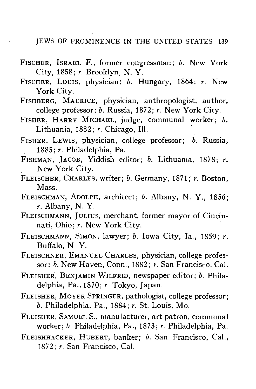- FISCHER, ISRAEL F., former congressman; *b.* New York City, 1858; *r.* Brooklyn, N. Y.
- FISCHER, LOUIS, physician; *b.* Hungary, 1864; *r.* New York City.
- FISHBERG, MAURICE, physician, anthropologist, author, college professor; *b.* Russia, 1872; *r.* New York City.
- FISHER, HARRY MICHAEL, judge, communal worker; *b.* Lithuania, 1882; *r.* Chicago, 111.
- FISHER, LEWIS, physician, college professor; *b.* Russia, 1885; *r.* Philadelphia, Pa.
- FISHMAN, JACOB, Yiddish editor; *b.* Lithuania, 1878; *r.* New York City.
- FLEISCHER, CHARLES, writer; *b.* Germany, 1871; *r.* Boston, Mass.
- FLEISCHMAN, ADOLPH, architect; *b.* Albany, N. Y., 1856; *r.* Albany, N. Y.
- FLEISCHMANN, JULIUS, merchant, former mayor of Cincinnati, Ohio; *r.* New York City.
- FLEISCHMANN, SIMON, lawyer; *b.* Iowa City, la., 1859; *r.* Buffalo, N. Y.
- FLEISCHNER, EMANUEL CHARLES, physician, college professor; *b.* New Haven, Conn., 1882; *r.* San Francisco, Cal.
- FLEISHER, BENJAMIN WILFRID, newspaper editor; *b.* Philadelphia, Pa., 1870; *r.* Tokyo, Japan.
- FLEISHER, MOYER SPRINGER, pathologist, college professor; *b.* Philadelphia, Pa., 1884; *r.* St. Louis, Mo.
- FLEISHER, SAMUEL S., manufacturer, art patron, communal worker; *b.* Philadelphia, Pa., 1873; *r.* Philadelphia, Pa.
- FLEISHHACKER, HUBERT, banker; *b.* San Francisco, Cal., 1872; *r.* San Francisco, Cal.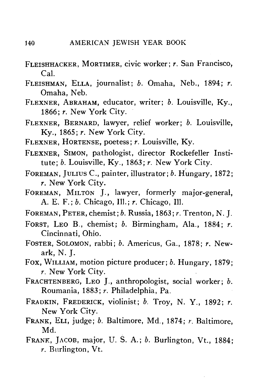- FLEISHHACKER, MORTIMER, civic worker; *r.* San Francisco, Cal.
- FLEISHMAN, ELLA, journalist; *b.* Omaha, Neb., 1894; *r.* Omaha, Neb.
- FLEXNER, ABRAHAM, educator, writer; *b.* Louisville, Ky., 1866; *r.* New York City.
- FLEXNER, BERNARD, lawyer, relief worker; *b.* Louisville, Ky., 1865; *r.* New York City.
- FLEXNER, HORTENSE, poetess; *r.* Louisville, Ky.
- FLEXNER, SIMON, pathologist, director Rockefeller Institute; *b.* Louisville, Ky., 1863; *r.* New York City.
- FOREMAN, JULIUS C, painter, illustrator; *b.* Hungary, 1872; *r.* New York City.
- FOREMAN, MILTON J., lawyer, formerly major-general, A. E. F.; *b.* Chicago, 111.; *r.* Chicago, 111.
- FOREMAN, PETER, chemist; *b.* Russia, 1863; *r.* Trenton, N. J.
- FORST, LEO B., chemist; *b.* Birmingham, Ala., 1884; *r.* Cincinnati, Ohio.
- FOSTER, SOLOMON, rabbi; *b.* Americus, Ga., 1878; *r.* Newark, N. J.
- Fox, WILLIAM, motion picture producer; *b.* Hungary, 1879; *r.* New York City.
- FRACHTENBERG, LEO J., anthropologist, social worker; *b.* Roumania, 1883; *r.* Philadelphia, Pa.
- FRADKIN, FREDERICK, violinist; *b.* Troy, N. Y.<sup>f</sup> 1892; *r.* New York City.
- FRANK, ELI, judge; *b.* Baltimore, Md., 1874; *r.* Baltimore, wiu.<br>...
- FRANK, JACOB, major, U. S. A.; *b.* Burlington, Vt., 1884; *r.* Burlington, Vt.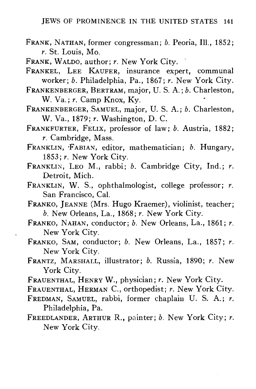- FRANK, NATHAN, former congressman; *b.* Peoria, 111., 1852; *r.* St. Louis, Mo.
- FRANK, WALDO, author; *r.* New York City.
- FRANKEL, LEE KAUFER, insurance expert, communal worker; *b.* Philadelphia, Pa., 1867; *r.* New York City.
- FRANKENBERGER, BERTRAM, major, U. S. A.; *b.* Charleston, W. Va.; *r.* Camp Knox, Ky.
- FRANKENBERGER, SAMUEL, major, U. S. A.; *b.* Charleston, W. Va., 1879; *r.* Washington, D. C.
- FRANKFURTER, FELIX, professor of law; *b.* Austria, 1882; *r.* Cambridge, Mass.
- FRANKLIN, -FABIAN, editor, mathematician; *b.* Hungary, 1853; *r.* New York City.
- FRANKLIN, LEO M., rabbi; *b.* Cambridge City, Ind.; *r.* Detroit, Mich.
- FRANKLIN, W. S., ophthalmologist, college professor; *r.* San Francisco, Cal.
- FRANKO, JEANNE (Mrs. Hugo Kraemer), violinist, teacher; *b.* New Orleans, La., 1868; *r.* New York City.
- FRANKO, NAHAN, conductor; *b.* New Orleans, La., 1861; *r.* New York City.
- FRANKO, SAM, conductor; *b.* New Orleans, La., 1857; *r.* New York City.
- FRANTZ, MARSHALL, illustrator; *b.* Russia, 1890; *r.* New York City.
- FRAUENTHAL, HENRY W., physician; *r.* New York City.
- FRAUENTHAL, HERMAN C, orthopedist; *r.* New York City.
- FREDMAN, SAMUEL, rabbi, former chaplain U. S. A.; *r.* Philadelphia, Pa.
- FREEDLANDER, ARTHUR R., painter; *b.* New York City; *r.* New York City.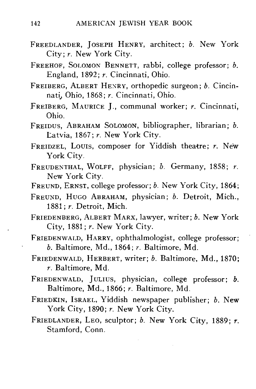- FREEDLANDER, JOSEPH HENRY, architect; *b.* New York City; *r.* New York City.
- FREEHOF, SOLOMON BENNETT, rabbi, college professor; *b.* England, 1892; *r.* Cincinnati, Ohio.
- FREIBERG, ALBERT HEXRY, orthopedic surgeon; *b.* Cincinnati., Ohio, 1868; *r.* Cincinnati, Ohio.
- FREIBERG, MAURICE J., communal worker; *r.* Cincinnati, Ohio.
- FREIDUS, ABRAHAM SOLOMON, bibliographer, librarian; *b.* Latvia, 1867; *r.* New York City.
- FREIDZEL, LOUIS, composer for Yiddish theatre; *r.* New York City.
- FREUDENTHAL, WOLFF, physician; *b.* Germany, 1858; *r.* New York City.
- FREUND, ERNST, college professor; *b.* New York City, 1864;
- FREUND, HUGO ABRAHAM, physician; *b.* Detroit, Mich.,
- FRIEDENBERG, ALBERT MARX, lawyer, writer; b. New York City, 1881; r. New York City.
- FRIEDENWALD, HARRY, ophthalmologist, college professor;  $b.$  Baltimore, Md., 1864;  $r.$  Baltimore, Md.
- FRIEDENWALD, HERBERT, writer; b. Baltimore, Md., 1870;  $r.$  Baltimore, Md.
- FRIEDENWALD, JULIUS, physician, college professor: b. Baltimore, Md., 1866; r. Baltimore, Md.
- FRIEDKIN, ISRAEL, Yiddish newspaper publisher; b. New York City, 1890; r. New York City.
- FRIEDLANDER, LEO, sculptor; *b.* New York City, 1889; *r.* Stamford, Conn.  $\alpha$ annora<sub>,</sub> conn.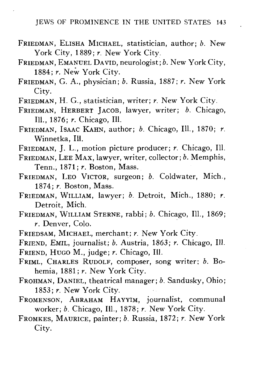- FRIEDMAN, ELISHA MICHAEL, statistician, author; *b.* New York City, 1889; r. New York City.
- FRIEDMAN, EMANUEL DAVID, neurologist; *b.* New York City, 1884; *r.* New York City.
- FRIEDMAN, G. A., physician; *b.* Russia, 1887; *r.* New York City.
- FRIEDMAN, H. G., statistician, writer; *r.* New York City.
- FRIEDMAN, HERBERT JACOB, lawyer, writer; *b.* Chicago, 111., 1876; *r.* Chicago, 111.
- FRIEDMAN, ISAAC KAHN, author; *b.* Chicago, 111., 1870; *r.* Winnetka, 111.
- FRIEDMAN, J. L., motion picture producer; *r.* Chicago, 111.
- FRIEDMAN, LEE MAX, lawyer, writer, collector; *b.* Memphis, Term., 1871; *r.* Boston, Mass.
- FRIEDMAN, LEO VICTOR, surgeon; *b.* Coldwater, Mich., 1874; *r.* Boston, Mass.
- FRIEDMAN, WILLIAM, lawyer; *b.* Detroit, Mich., 1880; *r.* Detroit, Mich.
- FRIEDMAN, WILLIAM STERNE, rabbi; *b.* Chicago, 111., 1869; *r.* Denver, Colo.
- FRIEDSAM, MICHAEL, merchant; *r.* New York City.

FRIEND, EMIL, journalist; *b.* Austria, 1863; *r.* Chicago, 111. FRIEND, HUGO M., judge; *r.* Chicago, 111.

- FRIML, CHARLES RUDOLF, composer, song writer; *b.* Bohemia, 1881; *r.* New York City.
- FROHMAN, DANIEL, theatrical manager; *b.* Sandusky, Ohio; 1853; *r.* New York City.
- FROMENSON, ABRAHAM HAYYIM, journalist, communal worker; *b.* Chicago, 111., 1878; *r.* New York City.
- FROMKES, MAURICE, painter; *b.* Russia, 1872; *r.* New York City.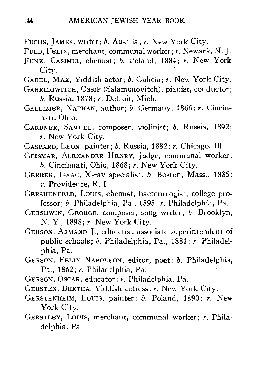- FUCHS, JAMES, writer; *b.* Austria; *r.* New York City.
- FULD, FELIX, merchant, communal worker; *r.* Newark, N. J.
- FUNK, CASIMIR, chemist; *b.* Poland, 1884; *r.* New York City.
- GABEL, MAX, Yiddish actor; *b.* Galicia; *r.* New York City.
- GABRILOWITCH, OSSIP (Salamonovitch), pianist, conductor; *b.* Russia, 1878; *r.* Detroit, Mich.
- GALLIZIER, NATHAN, author; *b.* Germany, 1866; *r.* Cincinnati, Ohio.
- GARDNER, SAMUEL, composer, violinist; *b.* Russia, 1892; *r.* New York City.
- GASPARD, LEON, painter; *b.* Russia, 1882; *r.* Chicago, 111.
- GEISMAR, ALEXANDER HENRY, judge, communal worker; *b.* Cincinnati, Ohio, 1868; *r.* New York City.
- GERBER, ISAAC, X-ray specialist; *b.* Boston, Mass., 1885: *r.* Providence, R. I.
- GERSHENFELD, LOUIS, chemist, bacteriologist, college professor; *b.* Philadelphia, Pa., 1895; *r.* Philadelphia, Pa.
- GERSHWIN, GEORGE, composer, song writer; *b.* Brooklyn, N. Y., 1898; *r.* New York City.
- GERSON, ARMAND J., educator, associate superintendent of public schools; *b.* Philadelphia, Pa., 1881; *r.* Philadelphia, Pa.
- GERSON, FELIX NAPOLEON, editor, poet; *b.* Philadelphia, Pa., 1862; *r.* Philadelphia, Pa.
- GERSON, OSCAR, educator; *r.* Philadelphia, Pa.
- GERSTEN, BERTHA, Yiddish actress; *r.* New York City.
- GERSTENHEIM, LOUIS, painter; *b.* Poland, 1890; *r.* New York City.
- GERSTLEY, LOUIS, merchant, communal worker; *r.* Philadelphia, Pa.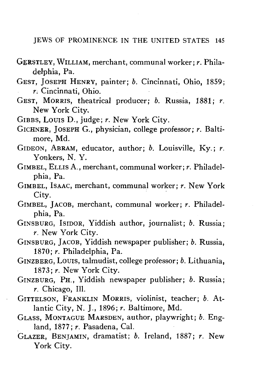- GERSTLEY, WILLIAM, merchant, communal worker; *r.* Philadelphia, Pa.
- GEST, JOSEPH HENRY, painter; *b.* Cincinnati, Ohio, 1859; *r.* Cincinnati, Ohio.
- GEST, MORRIS, theatrical producer; *b.* Russia, 1881; *r.* New York City,
- GIBBS, Louis D., judge; *r.* New York City.
- GICHNER, JOSEPH G., physician, college professor; *r.* Baltimore, Md.
- GIDEON, ABRAM, educator, author; *b.* Louisville, Ky.; *r.* Yonkers, N. Y.
- GIMBEL, ELLIS A., merchant, communal worker; *r.* Philadelphia, Pa.
- GIMBEL, ISAAC, merchant, communal worker; *r.* New York City.
- GIMBEL, JACOB, merchant, communal worker; *r.* Philadelphia, Pa.
- GINSBURG, ISIDOR, Yiddish author, journalist; *b.* Russia; *r.* New York City.
- GINSBURG, JACOB, Yiddish newspaper publisher; *b.* Russia, 1870; *r.* Philadelphia, Pa.
- GINZBERG, Louis, talmudist, college professor; *b.* Lithuania, 1873; *r.* New York City.
- GINZBURG, PH., Yiddish newspaper publisher; *b.* Russia; *r.* Chicago, 111.
- GITTELSON, FRANKLIN MORRIS, violinist, teacher; *b.* Atlantic City, N. J., 1896; *r.* Baltimore, Md.
- GLASS, MONTAGUE MARSDEN, author, playwright; *b.* England, 1877; *r.* Pasadena, Cal.
- GLAZER, BENJAMIN, dramatist; *b.* Ireland, 1887; *r.* New York City.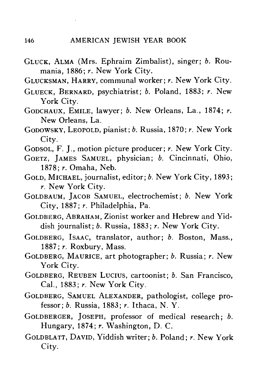- GLUCK, ALMA (Mrs. Ephraim Zimbalist), singer; *b.* Roumania, 1886; *r.* New York City.
- GLUCKSMAN, HARRY, communal worker; *r.* New York City.
- GLUECK, BERNARD, psychiatrist; *b.* Poland, 1883; *r.* New York City.
- GODCHAUX, EMILE, lawyer; *b.* New Orleans, La., 1874; *r.* New Orleans, La.
- GODOWSKY, LEOPOLD, pianist; *b.* Russia, 1870; *r.* New York City.
- GODSOL, F. J., motion picture producer; *r.* New York City.
- GOETZ, JAMES SAMUEL, physician; *b.* Cincinnati, Ohio, 1878; *r.* Omaha, Neb.
- GOLD, MICHAEL, journalist, editor; *b.* New York City, 1893; *r.* New York City.
- GOLDBAUM, JACOB SAMUEL, electrochemist; *b.* New York City, 1887; *r.* Philadelphia, Pa.
- GOLDBERG, ABRAHAM, Zionist worker and Hebrew and Yiddish journalist; *b.* Russia, 1883; *r.* New York City.
- GOLDBERG, ISAAC, translator, author; *b.* Boston, Mass., 1887; *r.* Roxbury, Mass.
- GOLDBERG, MAURICE, art photographer; *b.* Russia; *r.* New York City.
- GOLDBERG, REUBEN LUCIUS, cartoonist; *b.* San Francisco, Cal., 1883; *r.* New York City.
- GOLDBERG, SAMUEL ALEXANDER, pathologist, college professor; *b.* Russia, 1883; *r.* Ithaca, N. Y.
- GOLDBERGER, JOSEPH, professor of medical research; *b.* Hungary, 1874; *r.* Washington, D. C.
- GOLDBLATT, DAVID, Yiddish writer; *b.* Poland; *r.* New York City.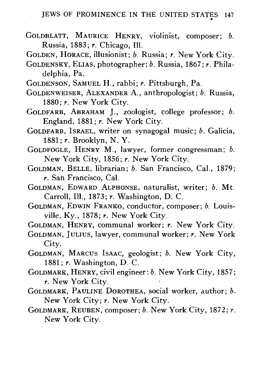- GOLDBLATT, MAURICE HENRY, violinist, composer; *b.* Russia, 1883; *r.* Chicago, 111.
- GOLDEN, HORACE, illusionist; *b.* Russia; *r.* New York City.
- GOLDENSKY, ELIAS, photographer; *b.* Russia, 1867; *r.* Philadelphia, Pa.
- GOLDENSON, SAMUEL H., rabbi; *r.* Pittsburgh, Pa.
- GOLDENWEISER, ALEXANDER A., anthropologist; *b.* Russia, 1880; *r.* New York City.
- GOLDFARB, ABRAHAM J., zoologist, college professor; *b.* England, 1881; *r.* New York City.
- GOLDFARB, ISRAEL, writer on synagogal music; *b.* Galicia, 1881; *r.* Brooklyn, N. Y.
- GOLDFOGLE, HENRY M., lawyer, former congressman; *b.* New York City, 1856; *r.* New York City.
- GOLDMAN, BELLE, librarian; *b.* San Francisco, Cal., 1879; *r.* San Francisco, Cal.
- GOLDMAN, EDWARD ALPHONSE, naturalist, writer; *b.* Mt. Carroll, 111., 1873; *r.* Washington, D. C.
- GOLDMAN, EDWIN FRANKO, conductor, composer; *b.* Louisville, Ky., 1878; *r.* New York City.

GOLDMAN, HENRY, communal worker; *r.* New York City.

- GOLDMAN, JULIUS, lawyer, communal worker; *r.* New York City.
- GOLDMAN, MARCUS ISAAC, geologist; *b.* New York City, 1881; *r.* Washington, D. C.
- GOLDMARK, HENRY, civil engineer: *b.* New York City, 1857; *r.* New York City.
- GOLDMARK, PAULINE DOROTHEA, social worker, author; *b.* New York City; *r.* New York City.
- GOLDMARK, REUBEN, composer; *b.* New York City, 1872; *r.* New York City.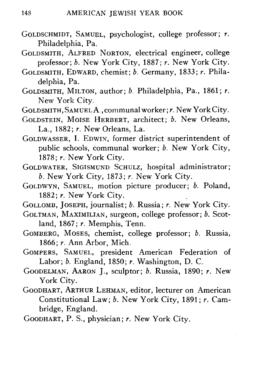- GOLDSCHMIDT, SAMUEL, psychologist, college professor; *r.* Philadelphia, Pa.
- GOLDSMITH, ALFRED NORTON, electrical engineer, college professor; *b.* New York City, 1887; *r.* New York City.
- GOLDSMITH, EDWARD, chemist; *b.* Germany, 1833; *r.* Philadelphia, Pa.
- GOLDSMITH, MILTON, author; *b.* Philadelphia, Pa., 1861; r. New York City.
- GOLDSMITH, SAMUEL A., communal worker; *r.* New York City.
- GOLDSTEIN, MOISE HERBERT, architect; *b*. New Orleans, La., 1882; *r.* New Orleans, La.

GOLDWASSER, I. EDWIN, former district superintendent of public schools, communal worker; *b.* New York City, 1878; r. New York City.

- GOLDWATER, SIGISMUND SCHULZ, hospital administrator; *b.* New York City, 1873; *r.* New York City.
- GOLDWYN, SAMUEL, motion picture producer; *b.* Poland, 1882; *r.* New York City.
- GOLLOMB, JOSEPH, journalist; *b.* Russia; *r.* New York City.
- GOLTMAN, MAXIMILIAN, surgeon, college professor; *b.* Scotland, 1867; *r.* Memphis, Tenn.
- GOMBERG, MOSES, chemist, college professor; *b.* Russia, 1866; *r.* Ann Arbor, Mich.
- GOMPERS, SAMUEL, president American Federation of Labor; *b.* England, 1850; *r.* Washington, D. C.
- GOODELMAN, AARON J., sculptor; *b.* Russia, 1890; *r.* New York City.
- GOODHART, ARTHUR LEHMAN, editor, lecturer on American Constitutional Law; *b.* New York City, 1891; *r.* Cambridge, England.
- GOODHART, P. S., physician; *r.* New York City.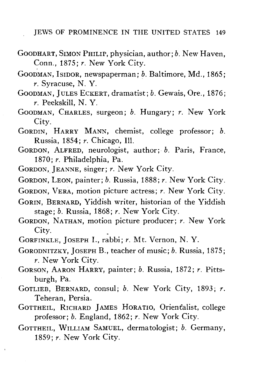- GOODHART, SIMON PHILIP, physician, author; *b.* New Haven, Conn., 1875; *r.* New York City.
- GOODMAN, ISIDOR, newspaperman; *b.* Baltimore, Md., 1865; *r.* Syracuse, N. Y.
- GOODMAN, JULES ECKERT, dramatist; *b.* Gewais, Ore., 1876; *r.* Peekskill, N. Y.
- GOODMAN, CHARLES, surgeon; *b.* Hungary; *r.* New York City.
- GORDIN, HARRY MANN, chemist, college professor; *b.* Russia, 1854; *r.* Chicago, 111.
- GORDON, ALFRED, neurologist, author; *b.* Paris, France, 1870; *r.* Philadelphia, Pa.
- GORDON, JEANNE, singer; *r.* New York City.
- GORDON, LEON, painter; *b.* Russia, 1888; *r.* New York City.
- GORDON, VERA, motion picture actress; *r.* New York City.
- GORIN, BERNARD, Yiddish writer, historian of the Yiddish stage; *b.* Russia, 1868; *r.* New York City.
- GORDON, NATHAN, motion picture producer; *r.* New York City.
- GORFINKLE, JOSEPH I., rabbi; *r.* Mt. Vernon, N. Y.
- GORODNITZKY, JOSEPH B., teacher of music; *b.* Russia, 1875; *r.* New York City.
- GORSON, AARON HARRY, painter; *b.* Russia, 1872; *r.* Pittsburgh, Pa.
- GOTLIEB, BERNARD, consul; *b.* New York City, 1893; *r.* Teheran, Persia.
- GOTTHEIL, RICHARD JAMES HORATIO, Orientalist, college professor; *b.* England, 1862; *r.* New York City.
- GOTTHEIL, WILLIAM SAMUEL, dermatologist; *b.* Germany, 1859; *r.* New York City.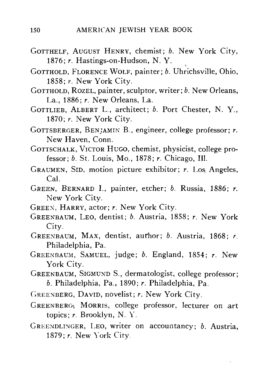- GOTTHELF, AUGUST HENRY, chemist; *b.* New York City, 1876; *r.* Hastings-on-Hudson, N. Y.
- GOTTHOLD, FLORENCE WOLF, painter; *b.* Uhrichsville, Ohio, 1858; *r.* New York City.
- GOTTHOLD, ROZEL, painter, sculptor, writer; *b.* New Orleans, La., 1886; *r.* New Orleans, La.
- GOTTLIEB, ALBERT L., architect; *b.* Port Chester, N. Y., 1870; *r.* New York City.
- GOTTSBERGER, BENJAMIN B., engineer, college professor; *r.* New Haven, Conn.
- GOTTSCHALK, VICTOR HUGO, chemist, physicist, college professor; *b.* St. Louis, Mo., 1878; *r.* Chicago, 111.
- GRAUMEN, SID, motion picture exhibitor; *r.* Los, Angeles, Cal.
- GREEN, BERNARD I., painter, etcher; *b.* Russia, 1886; *r.* New York City.
- GREEN, HARRY, actor; *r.* New York City.
- GREENBAUM, LEO, dentist; *b.* Austria, 1858; *r.* New York City.
- GREENBAUM, MAX, dentist, author; *b.* Austria, 1868; *r.* Philadelphia, Pa.
- GREENBAUM, SAMUEL, judge; *b.* England, 1854; *r.* New York City.
- GREENBAUM, SIGMUND S., dermatologist, college professor; *b.* Philadelphia, Pa., 1890; *r.* Philadelphia, Pa.
- GREENBERG, DAVID, novelist; *r.* New York City.
- GREENBERG-, MORRIS, college professor, lecturer on art topics; *r.* Brooklyn, N. Y.
- GREENDLINGER, LEO, writer on accountancy; *b.* Austria. 1879; *r.* New York City.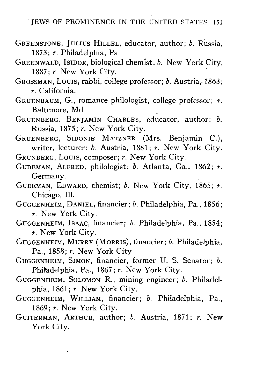- GREENSTONE, JULIUS HILLEL, educator, author; *b.* Russia, 1873; *r.* Philadelphia, Pa.
- GREENWALD, ISIDOR, biological chemist; *b.* New York City,  $1887: r.$  New York City.
- GROSSMAN, LOUIS, rabbi, college professor; *b.* Austria,-1863; *r.* California.
- GRUENBAUM, G., romance philologist, college professor; *r.* Baltimore, Md.
- GRUENBERG, BENJAMIN CHARLES, educator, author; *b.* Russia, 1875; *r.* New York City.
- GRUENBERG, SIDONIE MATZNER (Mrs. Benjamin C), writer, lecturer; *b.* Austria, 1881; *r.* New York City.
- GRUNBERG, LOUIS, composer; *r.* New York City.
- GUDEMAN, ALFRED, philologist; *b.* Atlanta, Ga., 1862; *r.* Germany.
- GUDEMAN, EDWARD, chemist; *b.* New York City, 1865; *r.* Chicago, 111.
- GUGGENHEIM, DANIEL, financier; *b.* Philadelphia, Pa., 1856; *r.* New York City.
- GUGGENHEIM, ISAAC, financier; *b.* Philadelphia, Pa., 1854; *r.* New York City.
- GUGGENHEIM, MURRY (MORRIS), financier; *b.* Philadelphia, Pa., 1858; *r.* New York City.
- GUGGENHEIM, SIMON, financier, former U. S. Senator; *b.* Philadelphia, Pa., 1867; *r.* New York City.
- GUGGENHEIM, SOLOMON R., mining engineer; *b.* Philadelphia, 1861; *r.* New York City.
- GUGGENHEIM, WILLIAM, financier; *b.* Philadelphia, Pa., 1869; r. New York City.
- GUITERMAN, ARTHUR, author; *b.* Austria, 1871; *r.* New York City.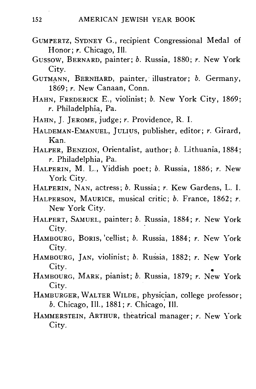- GUMPERTZ, SYDNEY G., recipient Congressional Medal of Honor; r. Chicago, Ill.
- Gussow, BERNARD, painter; *b.* Russia, 1880; *r.* New York City.
- GUTMANN, BERNHARD, painter, illustrator; *b.* Germany, 1869; *r.* New Canaan, Conn.
- HAHN, FREDERICK E., violinist; *b.* New York City, 1869; *r.* Philadelphia, Pa.
- HAHN, J. JEROME, judge; *r.* Providence, R. I.
- HALDEMAN-EMANUEL, JULIUS, publisher, editor; *r.* Girard, Kan.
- HALPER, BENZION, Orientalist, author; *b.* Lithuania, 1884; *r.* Philadelphia, Pa.
- HALPERIN, M. L., Yiddish poet; *b.* Russia, 1886; *r.* New York City.
- HALPERIN, NAN, actress; *b.* Russia; *r.* Kew Gardens, L. I.
- HALPERSON, MAURICE, musical critic; *b.* France, 1862; *r.*
- New York City. HALPERT, SAMUEL, painter; *b.* Russia, 1884; *r.* New York
- י *ניי*י<br>פוזחס HAMBOURG, BORIS,'cellist; *b.* Russia, 1884; *r.* New York
- City. HAMBOURG, JAN, violinist; *b.* Russia, 1882; *r.* New York
- City. HAMBOURG, MARK, pianist; *b.* Russia, 1879; *r.* New York City.
- HAMBURGER, WALTER WILDE, physician, college professor;
- *b.* Chicago, 111., 1881; *r.* Chicago^ 111. HAMMERSTEIN, ARTHUR, theatrical manager; *r.* New York City.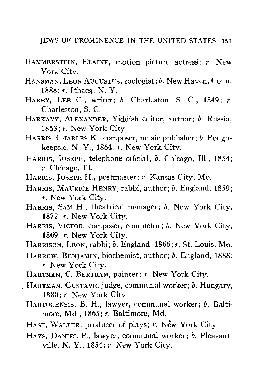- HAMMERSTEIN, ELAINE, motion picture actress; *r.* New York City.
- HANSMAN, LEON AUGUSTUS, zoologist; *b.* New Haven, Conn. 1888; *r.* Ithaca, N. Y.
- HARBY, LEE C, writer; *b.* Charleston, S. C, 1849; *r.* Charleston, S. C.
- HARKAVY, ALEXANDER, Yiddish editor, author; *b.* Russia, 1863; *r.* New York City
- HARRIS, CHARLES K., composer, music publisher; *b.* Poughkeepsie, N. Y., 1864; *r.* New York City.
- HARRIS, JOSEPH, telephone official; *b.* Chicago, 111., 1854; *r.* Chicago, I1L
- HARRIS, JOSEPH H., postmaster; *r.* Kansas City, Mo.
- HARRIS, MAURICE HENRY, rabbi, author; *b*. England, 1859;<br>*r*. New York City. *r.* New York City.
- HARRIS, SAM H., theatrical manager; *b.* New York City, 1872; *r.* New York City.
- HARRIS, VICTOR, composer, conductor; *b.* New York City, 1869; *r.* New York City.<br>HARRISON, LEON, rabbi; *b.* England, 1866; *r.* St. Louis, Mo.
- HARRISON, LEON, rabbi; *b.* England, 1866; *r.* St. Louis, Mo.
- HARROW, BENJAMIN, biochemist, author; *b.* England, 1888; *r.* New York City.<br>HARTMAN, C. BERTRAM, painter; *r.* New York City.
- 
- HARTMAN, GUSTAVE, judge, communal worker; *b.* Hungary, 1880; r. New York City.
	- HARTOGENSIS, B. H., lawyer, communal worker; b. Baltimore, Md., 1865; r. Baltimore, Md.
	- HAST. WALTER, producer of plays; *r.* New York City.
	- HAYS, DANIEL P., lawyer, communal worker; *b.* Pleasantville, N. Y., 1854; r. New York City.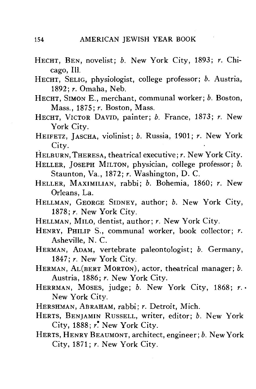- HECHT, BEN, novelist; *b.* New York City, 1893; *r.* Chicago, 111.
- HECHT, SELIG, physiologist, college professor; *b.* Austria, 1892; *r.* Omaha, Neb.
- HECHT, SIMON E., merchant, communal worker; *b.* Boston, Mass., 1875; *r.* Boston, Mass.
- HECHT, VICTOR DAVID, painter; *b.* France, 1873; *r.* New York City.
- HEIFETZ, JASCHA, violinist; *b.* Russia, 1901; *r.* New York City.
- HELBURN,THERESA, theatrical executive; *r.* New York City.
- HELLER, JOSEPH MILTON, physician, college professor; *b.* Staunton, Va., 1872; *r.* Washington, D. C.
- HELLER, MAXIMILIAN, rabbi; *b.* Bohemia, 1860; *r.* New Orleans, La.
- HELLMAN, GEORGE SIDNEY, author; *b.* New York City, 1878; *r.* New York City.
- HELLMAN, MILO, dentist, author;  $r$ . New York City.
- HENRY, PHILIP S., communal worker, book collector; *r.* Asheville, N. C.
- HERMAN, ADAM, vertebrate paleontologist; *b.* Germany, 1847; *r.* New York City.
- HERMAN, AL(BERT MORTON), actor, theatrical manager; *b.* Austria, 1886; *r.* New York City.
- HERRMAN, MOSES, judge; *b.* New York City, 1868; *r. •* New York City.
- HERSHMAN, ABRAHAM, rabbi; *r.* Detroit, Mich.
- HERTS, BENJAMIN RUSSELL, writer, editor; *b.* New York City, 1888; *r'* New York City.
- HERTS , HENRY BEAUMONT, architect, engineer; *b.* New York City, 1871; *r.* New York City.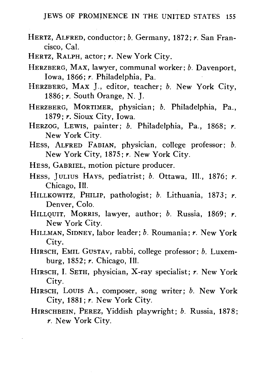- HERTZ, ALFRED, conductor; *b.* Germany, 1872; *r.* San Francisco, Cal.
- HERTZ, RALPH, actor; *r.* New York City.
- HERZBERG, MAX, lawyer, communal worker; *b.* Davenport, Iowa, 1866; *r.* Philadelphia, Pa.
- HERZBERG, MAX J., editor, teacher; *b.* New York City, 1886; *r.* South Orange, N. J.
- HERZBERG, MORTIMER, physician; *b.* Philadelphia, Pa., 1879; *r.* Sioux City, Iowa.
- HERZOG, LEWIS, painter; *b.* Philadelphia, Pa., 1868; *r.* New York City.
- HESS, ALFRED FABIAN, physician, college professor; *b.* New York City, 1875; *r*. New York City.<br>HESS, GABRIEL, motion picture producer.
- HESS, GABRIEL, motion picture producer.
- HESS, JULIUS HAYS, pediatrist; *b.* Ottawa, 111., 1876; *r.*
- Chicago, In. HILLKOWITZ, PHILIP, pathologist; *b.* Lithuania, 1873; *r.* Denver, Colo.<br>HILLOUIT, MORRIS, lawyer, author: b. Russia, 1869: r.
- New York City.
- New York City.<br>Man Sidney la HILLMAN, SIDNEY, labor leader; *b.* Roumania; *r.* New York City.<br>HIRSCH, EMIL GUSTAV, rabbi, college professor; b. Luxem-
- burg, 1852; r. Chicago, Ill.
- burg, 1852; *r.* Chicago, 111. HIRSCH, I. SETH, physician, X-ray specialist; *r.* New York  $City.$
- HIRSCH, LOUIS A., composer, song writer; *b.* New York City, 1881; *r.* New York City.
- HIRSCHBEIN, PEREZ, Yiddish playwright; *b.* Russia, 1878; *r.* New York City.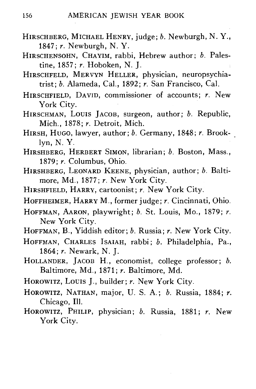- HIRSCHBERG, MICHAEL HENRY, judge; b. Newburgh, N.Y., 1847; *r.* Newburgh, N. Y.
- HIRSCHENSOHN, CHAYIM, rabbi, Hebrew author; *b.* Palestine, 1857; *r.* Hoboken, N. J.
- HIRSCHFELD, MERVYN HELLER, physician, neuropsychiatrist; *b.* Alameda, Cal., 1892; *r.* San Francisco, Cal.
- HIRSCHFIELD, DAVID, commissioner of accounts; *r.* New York City.
- HIRSCHMAN, Louis JACOB, surgeon, author; *b.* Republic, Mich., 1878; *r.* Detroit, Mich.
- HIRSH, HUGO, lawyer, author; *b.* Germany, 1848; *r.* Brooklyn, N. Y.
- HIRSHBERG, HERBERT SIMON, librarian; *b.* Boston, Mass., 1879; *r.* Columbus, Ohio.
- HIRSHBERG, LEONARD KEENE, physician, author; *b.* Baltimore, Md., 1877; *r.* New York City.
- HIRSHFIELD, HARRY, cartoonist; *r.* New York City.
- HOFFHEIMER, HARRY M., former judge; *r.* Cincinnati, Ohio.
- HOFFMAN, AARON, playwright; *b.* St. Louis, Mo., 1879; *r.* New York City.
- HOFFMAN, B., Yiddish editor; *b.* Russia; *r.* New York City.
- HOFFMAN, CHARLES ISAIAH, rabbi; *b.* Philadelphia, Pa., 1864; *r.* Newark, N. J.
- HOLLANDER, JACOB H., economist, college professor; *b.* Baltimore, Md., 1871; *r.* Baltimore, Md.
- HOROWITZ, LOUIS J., builder; *r.* New York City.
- HOROWITZ, NATHAN, major, U. S. A.; *b.* Russia, 1884; *r.* Chicago, 111.
- HOROWITZ, PHILIP, physician; *b.* Russia, 1881; *r.* New York City.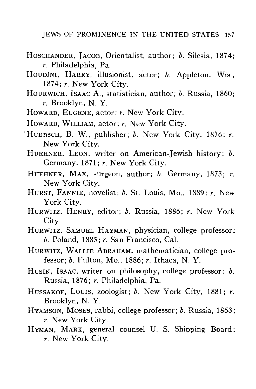- HOSCHANDER, JACOB, Orientalist, author; *b.* Silesia, 1874; *r.* Philadelphia, Pa.
- HOUDINI, HARRY, illusionist, actor; *b.* Appleton, Wis., 1874; *r.* New York City.
- HOURWICH, ISAAC A., statistician, author; *b.* Russia, 1860; *r.* Brooklyn, N. Y.
- HOWARD, EUGENE, actor; *r.* New York City.
- HOWARD, WILLIAM, actor; *r.* New York City.
- 'HUEBSCH, B. W., publisher; *b.* New York City, 1876; *r.* New York City.
	- HUEHNER, LEON, writer on American-Jewish history; *b.* Germany, 1871; *r.* New York City.
	- HUEHNER, MAX, surgeon, author; *b.* Germany, 1873; *r.* New York City.
	- HURST, FANNIE, novelist; *b.* St. Louis, Mo., 1889; *r.* New YOR CIty.
	- HURWITZ, HENRY, editor, *b.* Russia, 1880, *t.* New York City.<br>HURWITZ, SAMUEL HAYMAN, physician, college professor:
	- $b.$  Poland, 1885;  $r.$  San Francisco, Cal. *b. r* bland, 1885; *r.* San Francisco, Cal.
	- HURWITZ, WALLIE ABRAHAM, mathematician, college professor; *b.* Fulton, Mo., 1886; *r.* Ithaca, N. Y.
	- HUSIK, ISAAC, writer on philosophy, college professor; *b.* Russia, 1876; *r.* Philadelphia, Pa.
	- HUSSAKOF, Louis, zoologist; *b.* New York City, 1881; *r.* Brooklyn, N. Y.
	- HYAMSON, MOSES, rabbi, college professor; *b.* Russia, 1863; *r.* New York City.
	- HYMAN, MARK, general counsel U. S. Shipping Board; *r.* New York City.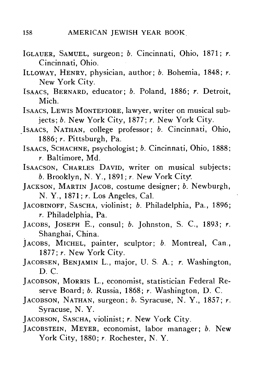- IGLAUER, SAMUEL, surgeon; *b.* Cincinnati, Ohio, 1871; *r.* Cincinnati, Ohio.
- ILLOWAY, HENRY, physician, author; *b.* Bohemia, 1848; *r.* New York City.
- ISAACS, BERNARD, educator; *b.* Poland, 1886; *r.* Detroit, Mich.
- ISAACS, LEWIS MONTEFIORE, lawyer, writer on musical subjects; *b.* New York City, 1877; *r.* New York City.
- ISAACS, NATHAN, college professor; *b.* Cincinnati, Ohio, 1886; *r.* Pittsburgh, Pa.
- ISAACS, SCHACHNE, psychologist; *b.* Cincinnati, Ohio, 1888; *r.* Baltimore, Md.
- ISAACSON, CHARLES DAVID, writer on musical subjects; *b.* Brooklyn, N. Y., 1891; *r.* New York City.
- JACKSON, MARTIN JACOB, costume designer; *b.* Newburgh, N. Y., 1871; *r.* Los Angeles, Cal.
- JACOBINOFF, SASCHA, violinist; *b.* Philadelphia, Pa., 1896; *r.* Philadelphia, Pa.
- JACOBS, JOSEPH E., consul; *b.* Johnston, S. C, 1893; *r.* Shanghai, China.
- JACOBS, MICHEL, painter, sculptor; *b.* Montreal, Can., 1877; *r.* New York City.
- JACOBSEN, BENJAMIN L., major, U. S. A.; *r.* Washington, D. C.
- JACOBSON, MORRIS L., economist, statistician Federal Reserve Board; *b.* Russia, 1868; *r.* Washington, D. C.
- JACOBSON, NATHAN, surgeon; *b.* Syracuse, N. Y., 1857; *r.* Syracuse, N. Y.
- JACOBSON, SASCHA, violinist; *r.* New York City.
- JACOBSTEIN, MEYER, economist, labor manager; *b.* New York City, 1880; *r.* Rochester, N. Y.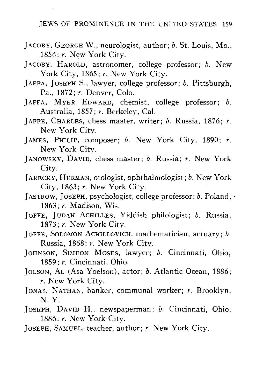- JACOBY, GEORGE W., neurologist, author; *b.* St. Louis, Mo., 1856; *r.* New York City.
- JACOBY, HAROLD, astronomer, college professor; *b.* New York City, 1865; *r*. New York City.
- JAFFA, JOSEPH S., lawyer, college professor; *b.* Pittsburgh, Pa., 1872; *r.* Denver, Colo.
- JAFFA, MYER EDWARD, chemist, college professor; *b.* Australia, 1857; *r.* Berkeley, Cal.
- JAFFE, CHARLES, chess master, writer; *b.* Russia, 1876; *r.* New York City.
- JAMES, PHILIP, composer; *b.* New York City, 1890; *r.* New York City.
- JANOWSKY, DAVID, chess master; *b.* Russia; *r.* New York City.
- JARECKY, HERMAN, otologist, ophthalmologist; *b.* New York City, 1863; *r.* New York City.
- JASTROW, JOSEPH, psychologist, college professor; *b.* Poland, 1863; *r.* Madison, Wis.
- JOFFE, JUDAH ACHILLES, Yiddish philologist; *b.* Russia, 1873; *r.* New York City.
- JOFFE, SOLOMON ACHILLOVICH, mathematician, actuary; *b.* Russia, 1868; *r.* New York City.
- JOHNSON, SIMEON MOSES, lawyer; *b.* Cincinnati, Ohio, 1859; *r.* Cincinnati, Ohio.
- JOLSON, AL (Asa Yoelson), actor; *b.* Atlantic Ocean, 1886; *r.* New York City.
- JONAS, NATHAN, hanker, communal worker; *r.* Brooklyn, N. Y.
- JOSEPH, DAVID H., newspaperman; *b.* Cincinnati, Ohio, 1886; *r.* New York City.
- JOSEPH, SAMUEL, teacher, author; *r.* New York City.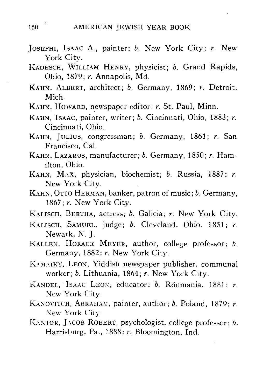- JOSEPHI, ISAAC A., painter; *b.* New York City; *r.* New-York City.
- KADESCH, WILLIAM HENRY, physicist; *b.* Grand Rapids, Ohio, 1879; *r.* Annapolis, Md.
- KAHN, ALBERT, architect; *b.* Germany, 1869; *r.* Detroit, Mich.
- KAHN, HOWARD, newspaper editor; *r.* St. Paul, Minn.
- KAHN, ISAAC, painter, writer; *b.* Cincinnati, Ohio, 1883; *r.* Cincinnati, Ohio.
- KAHN, JULIUS, congressman; *b.* Germany, 1861; *r.* San Francisco, Cal.
- KAHN, LAZARUS, manufacturer; *b.* Germany, 1850; *r.* Hamilton, Ohio.
- KAHN, MAX, physician, biochemist; *b.* Russia, 1887; *r.* New York City.
- KAHN, OTTO HERMAN, banker, patron of music; *b.* Germany, 1867; *r.* New York City.
- KALISCH, BERTHA, actress; *b.* Galicia; *r.* New York City.
- KALISCH, SAMUEL, judge; *b.* Cleveland, Ohio, 1851; *r.* Newark, N. J.
- KALLEN, HORACE MEYER, author, college professor; *b.* Germany, 1882; *r.* New York City.
- KAMAIKY, LEON, Yiddish newspaper publisher, communal worker; *b.* Lithuania, 1864; *r.* New York City.
- KANDEL, ISAAC LEON, educator; *b.* Roumania, 1881; *r.* New York City.
- KANOVITCH, ABRAHAM, painter, author; *b.* Poland, 1879; *r.* New York City.
- KANTOR, JACOB ROBERT, psychologist, college professor; *b.* Harrisburg, Pa., 1888; r. Bloomington, Ind.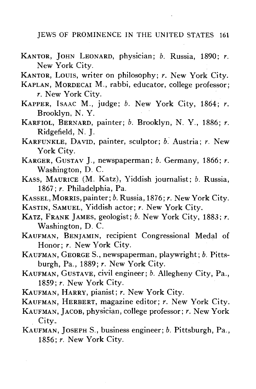- KANTOR, JOHN LEONARD, physician; *b.* Russia, 1890; *r.* New York City.
- KANTOR, LOUIS, writer on philosophy; *r.* New York City.
- KAPLAN, MORDECAI M., rabbi, educator, college professor; *r.* New York City.
- KAPPER, ISAAC M., judge; *b.* New York City, 1864; *r.* Brooklyn, N. Y.
- KARFIOL, BERNARD, painter; *b.* Brooklyn, N. Y., 1886; *r.* Ridgefield, N. J.
- KARFUNKLE, DAVID, painter, sculptor; *b.* Austria; *r.* New York City.
- KARGER, GUSTAV J., newspaperman; *b.* Germany, 1866; *r.* Washington, D. C.
- KASS, MAURICE (M. Katz), Yiddish journalist; *b.* Russia, 1867; *r.* Philadelphia, Pa.
- KASSEL, MORRIS, painter *;b.* Russia, 1876; *r.* New York City.
- KASTIN, SAMUEL, Yiddish actor; *r.* New York City.
- KATZ, FRANK JAMES, geologist; *b.* New York City, 1883; *r.* Washington, D. C.
- KAUFMAN, BENJAMIN, recipient Congressional Medal of Honor; *r.* New York City.
- KAUFMAN, GEORGE S., newspaperman, playwright; *b.* Pittsburgh, Pa., 1889; *r.* New York City.
- KAUFMAN, GUSTAVE, civil engineer; *b.* Allegheny City, Pa., 1859; *r.* New York City.
- KAUFMAN, HARRY, pianist; *r.* New York City.
- KAUFMAN, HERBERT, magazine editor; *r.* New York City.
- KAUFMAN, JACOB, physician, college professor; *r.* New York City.
- KAUFMAN, JOSEPH S., business engineer; *b.* Pittsburgh, Pa., 1856; *r.* New York City.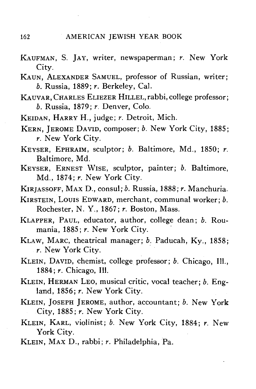- KAUFMAN, S. JAY, writer, newspaperman; *r.* New York City.
- KAUN, ALEXANDER SAMUEL, professor of Russian, writer; *b.* Russia, 1889; *r.* Berkeley, Cal.
- KAUVAR,CHARLES ELIEZER HILLEL,rabbi,college professor; *b.* Russia, 1879; *r.* Denver, Colo.
- KEIDAN, HARRY H., judge; *r.* Detroit, Mich.
- KERN, JEROME DAVID, composer; *b.* New York City, 1885; *r.* New York City.
- KEYSER, EPHRAIM, sculptor; *b.* Baltimore, Md., 1850; *r.* Baltimore, Md.
- KEYSER, ERNEST WISE, sculptor, painter; *b.* Baltimore, Md., 1874; *r.* New York City.
- KIRJASSOFF, MAX D., consul; *b.* Russia, 1888; *r.* Manchuria.
- KIRSTEIN, Louis EDWARD, merchant, communal worker; *b.* Rochester, N. Y., 1867; *r.* Boston, Mass.
- KLAPPER, PAUL, educator, author, college dean; *b,* Roumania, 1885; *r*. New York City.<br>KLAW, MARC, theatrical manager; *b*. Paducah, Ky., 1858;
- $r.$  New York City.
- KLEIN, DAVID, chemist, college professor; b. Chicago, Ill., 1884; r. Chicago, Ill.
- KLEIN, HERMAN LEO, musical critic, vocal teacher: b. England, 1856; r. New York City.
- KLEIN, JOSEPH JEROME, author, accountant; b. New York Kity, 1885; r. New York City.
- KLEIN, KARL, violinist; b. New York City, 1884; r. New York City.
- KLEIN, MAX D., rabbi; r. Philadelphia, Pa.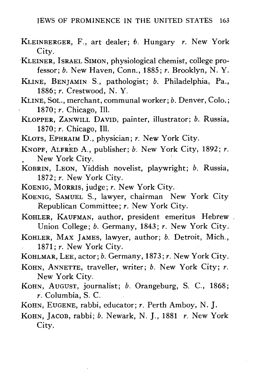- KLEINBERGEK, F., art dealer; *b.* Hungary *r.* New York City.
- KLEINER, ISRAEL SIMON, physiological chemist, college professor; *b.* New Haven, Conn., 1885; *r.* Brooklyn, N. Y.
- KLINE, BENJAMIN S., pathologist; *b.* Philadelphia, Pa., 1886; *r.* Crestwood, N. Y.
- KLINE, SoL., merchant, communal worker; b. Denver, Colo.; 1870; *r.* Chicago, 111.
- KLOPPER, ZANWILL DAVID, painter, illustrator; *b.* Russia, 1870; *r.* Chicago, 111.
- KLOTS, EPHRAIM D., physician; *r.* New York City.
- KNOPF, ALFRED A., publisher; *b.* New York City, 1892; *r.* New York City.
- KOBRIN, LEON, Yiddish novelist, playwright; *b.* Russia, 1872; *r.* New York City.
- KOENIG, MORRIS, judge; *r.* New York City.
- KOENIG, SAMUEL S., lawyer, chairman New York City Republican Committee; *r.* New York City.
- KOHLER, KAUFMAN, author, president emeritus Hebrew Union College; *b.* Germany, 1843; *r.* New York City.
- KOHLER, MAX JAMES, lawyer, author; *b.* Detroit, Mich., 1871: *r.* New York City.
- KOHLMAR, LEE, actor; b. Germany, 1873; r. New York City. KOHLMAR, LEE, actor; *b.* Germany, 1873; *r.* New York City.
- KOHN, ANNETTE, traveller, writer; *b.* New York City; *r.*
- NEW TOIR CIty. KOHN, AUGUST, journalist; *b.* Orangeburg, S. C., 1860, *r.* Columbia, S. C.
- 
- KOHN, JACOB, rabbi; b. Newark, N. J., 1881 r. New York **KOHN, JACOB, rabbi;** b. Newark, N. J., 1882<sup>,</sup> *b.* New York 1881 City.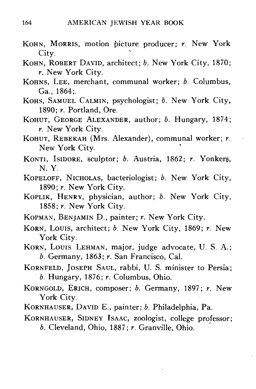- KOHN, MORRIS, motion picture producer; *r.* New York City.
- KOHN, ROBERT DAVID, architect; *b.* New York City, 1870; *r.* New York City.
- KOHNS, LEE, merchant, communal worker; *b.* Columbus, Ga., 1864;.
- KOHS, SAMUEL CALMIN, psychologist; *b.* New York City, 1890; *r.* Portland, Ore.
- KOHUT, GEORGE ALEXANDER, author; *b.* Hungary, 1874; *r.* New York City.
- KOHUT, REBEKAH (Mrs. Alexander), communal worker; *r.* New York City.
- KONTI, ISIDORE, sculptor; *b.* Austria, 1862; *r.* Yonkers, N. Y.
- KOPELOFF, NICHOLAS, bacteriologist; *b.* New York City, 1890; *r.* New York City.
- KOPLIK, HENRY, physician, author; *b.* New York City, 1858; *r.* New York City.
- KOPMAN, BENJAMIN D., painter; *r.* New York City.
- KORN, Louis, architect; *b.* New York City, 1869; *r.* New York City.
- KORN, LOUIS LEHMAN, major, judge advocate, U. S. A.; *b.* Germany, 1863; *r.* San Francisco, Cal.
- KORNFELD, JOSEPH SAUL, rabbi, U. S. minister to Persia; *b.* Hungary, 1876; *r.* Columbus, Ohio.
- KORNGOLD, ERICH, composer; *b.* Germany, 1897; *r.* New
- KORNHAUSER, DAVID E., painter; b. Philadelphia, Pa.
- KORNHAUSER, SIDNEY ISAAC, zoologist, college professor;  $b.$  Cleveland, Ohio, 1887;  $r.$  Granville, Ohio. *b.* Cleveland, Ohio, 1887; *r.* Granville, Ohio.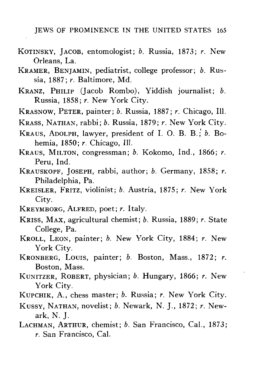- KOTINSKY, JACOB, entomologist; *b.* Russia, 1873; *r.* New Orleans, La.
- KRAMER, BENJAMIN, pediatrist, college professor; *b.* Russia, 1887; *r.* Baltimore, Md.
- KRANZ, PHILIP (Jacob Rombo), Yiddish journalist; *b.* Russia, 1858; *r.* New York City.
- KRASNOW, PETER, painter; *b.* Russia, 1887; *r.* Chicago, 111.
- KRASS, NATHAN, rabbi; *b.* Russia, 1879; *r.* New York City.
- KRAUS, ADOLPH, lawyer, president of I. 0. B. B.;' *b.* Bohemia, 1850; *r.* Chicago, 111.
- KRAUS, MILTON, congressman; *b.* Kokomo, Ind., 1866; *r.* Peru, Ind.
- KRAUSKOPF, JOSEPH, rabbi, author; *b.* Germany, 1858; *r.* Philadelphia, Pa.
- KREISLER, FRITZ, violinist; *b.* Austria, 1875; *r.* New York City.
- KREYMBORG, ALFRED, poet; *r.* Italy.
- KRISS, MAX, agricultural chemist; *b.* Russia, 1889; *r.* State College, Pa.
- KROLL, LEON, painter; *b.* New York City, 1884; *r.* New York City.
- KRONBERG, LOUIS, painter; *b.* Boston, Mass., 1872; *r.* Boston, Mass.
- KUNITZER, ROBERT, physician; *b.* Hungary, 1866; *r.* New York City.
- KUPCHIK, A., chess master; *b.* Russia; *r.* New York City.
- KUSSY, NATHAN, novelist; *b.* Newark, N. J., 1872; *r.* Newark, N. J.
- LACHMAN, ARTHUR, chemist; *b.* San Francisco, Cal., 1873; *r.* San Francisco, Cal.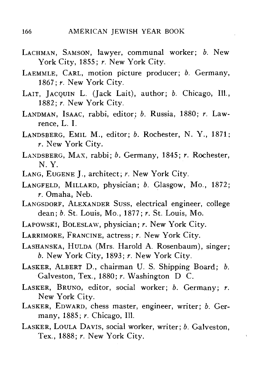- LACHMAN, SAMSON, lawyer, communal worker; *b.* New York City, 1855; *r.* New York City.
- LAEMMLE, CARL, motion picture producer; *b.* Germany, 1867; *r.* New York City.
- LAIT, JACQUIN L. (Jack Lait), author; *b.* Chicago, Ill., 1882; *r.* New York City.
- LANDMAN, ISAAC, rabbi, editor; *b.* Russia, 1880; *r.* Lawrence, L. I.
- LANDSBERG, EMIL M., editor; *b.* Rochester, N. Y., 1871; *r.* New York City.
- LANDSBERG, MAX, rabbi; *b.* Germany, 1845; *r.* Rochester, N. Y.
- LANG, EUGENE J., architect; *r.* New York City.
- LANGFELD, MILLARD, physician; *b.* Glasgow, Mo., 1872; *r.* Omaha, Neb.
- LANGSDORF, ALEXANDER SUSS, electrical engineer, college dean; b. St. Louis, Mo., 1877; r. St. Louis, Mo. dean; *b.* St. Louis, Mo., 1877; *r.* St. Louis, Mo.
- LAPOWSKI, BOLESLAW, physician; *r.* New York City.
- LARRIMORE, FRANCINE, actress; *r.* New York City.
- $b.$  New York City, 1893;  $r.$  New York City.
- LASKER, ALBERT D., chairman U. S. Shipping Board: b. Galveston, Tex., 1880; *r*. Washington D. C.
- LASKER, BRUNO, editor, social worker; b. Germany; r. New York City.
- LASKER, EDWARD, chess master, engineer, writer; b. Germany, 1885; r. Chicago, Ill.
- LASKER, LOULA DAVIS, social worker, writer; b. Galveston. Tex., 1888; r. New York City.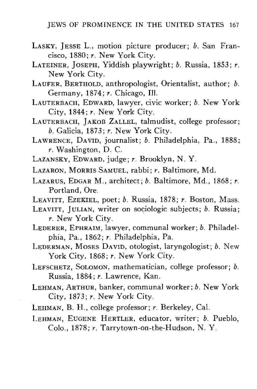- LASKY, JESSE L., motion picture producer; *b.* San Francisco, 1880; *r.* New York City.
- LATEINER, JOSEPH, Yiddish playwright; *b.* Russia, 1853; *r.* New York City.
- LAUFER, BERTHOLD, anthropologist, Orientalist, author; *b.* Germany, 1874; *r.* Chicago, 111.
- LAUTERBACH, EDWARD, lawyer, civic worker; *b.* New York City, 1844; *r.* New York City.
- LAUTERBACH, JAKOB ZALLEL, talmudist, college professor; *b.* Galicia, 1873; *r.* New York City.
- LAWRENCE, DAVID, journalist; *b.* Philadelphia, Pa., 1888; *r.* Washington, D. C.
- LAZANSKY, EDWARD, judge; *r.* Brooklyn, N. Y.
- LAZARON, MORRIS SAMUEL, rabbi; *r.* Baltimore, Md.
- LAZARUS, EDGAR M., architect; *b.* Baltimore, Md., 1868; *r,* Portland, Ore.
- LEAVITT, EZEKIEL, poet; *b.* Russia, 1878; *r.* Boston, Mass.
- LEAVITT, JULIAN, writer on sociologic subjects; *b.* Russia; *r.* New York City.
- LEDERER, EPHRAIM, lawyer, communal worker; *b.* Philadelphia, Pa., 1862; *r.* Philadelphia, Pa.
- LEDERMAN, MOSES DAVID, otologist, laryngologist; *b.* New York City, 1868; *r.* New York City.
- LEFSCHETZ, SOLOMON, mathematician, college professor; *b.* Russia, 1884; *r.* Lawrence, Kan.
- LEHMAN, ARTHUR, banker, communal worker; *b.* New York
- LEHMAN, B. H., college professor; r. Berkeley, Cal.
- LEHMAN, EUGENE HERTLER, educator, writer; b. Pueblo, LEHMAN, EUGENE HERTLER, educator, writer, *b.* Pueblo, Colo., 1878; *r.* Tarrytown-on-the-Hudson, N. Y.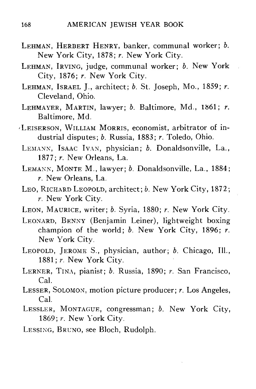- LEHMAN, HERBERT HENRY, banker, communal worker; *b.* New York City, 1878; *r.* New York City.
- LEHMAN, IRVING, judge, communal worker; *b.* New York City, 1876; *r.* New York City.
- LEHMAN, ISRAEL J., architect; *b.* St. Joseph, Mo., 1859; *r.* Cleveland, Ohio.
- LEHMAYER, MARTIN, lawyer; *b.* Baltimore, Md., 1861; *r.* Baltimore, Md.
- 'LEISERSON, WILLIAM MORRIS, economist, arbitrator of industrial disputes; *b.* Russia, 1883; *r.* Toledo, Ohio.
	- LEMANN, ISAAC IVAN, physician; *b.* Donaldsonville, La., 1877; *r.* New Orleans, La.
	- LEMANN, MONTE M., lawyer; *b.* Donaldsonville, La., 1884; *r.* New Orleans, La.
	- LEO, RICHARD LEOPOLD, architect; *b.* New York City, 1872; *r.* New York City.
	- LEON, MAURICE, writer; *b.* Syria, 1880; *r.* New York City.
	- LEONARD, BENNY (Benjamin Leiner), lightweight boxing champion of the world; *b.* New York City, 1896; *r.* New York City.
	- LEOPOLD, JEROME S., physician, author; *b.* Chicago, 111., 1881; *r.* New York City.
	- LERNER, TINA, pianist; *b.* Russia, 1890; *r.* San Francisco, Cal.
	- LESSER, SOLOMON, motion picture producer; *r.* Los Angeles, Cal.
	- LESSLER, MONTAGUE, congressman; *b.* New York City, 1869; *r.* New York City.
	- LESSING, BRUNO, see Bloch, Rudolph.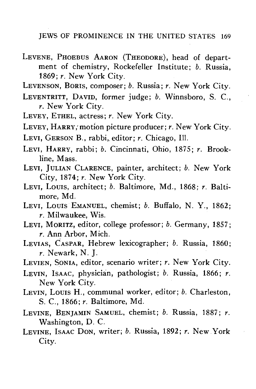LEVENE, PHOEBUS AARON (THEODORE), head of department of chemistry, Rockefeller Institute; *b.* Russia, 1869; *r.* New York City.

LEVENSON, BORIS, composer; *b.* Russia; *r.* New York City.

- LEVENTRITT, DAVID, former judge; *b.* Winnsboro, S. C, *r.* New York City.
- LEVEY, ETHEL, actress; *r.* New York City.
- LEVEY, HARRY/motion picture producer; *r.* New York City.
- LEVI, GERSON B., rabbi, editor; *r.* Chicago, Ill.
- LEVI, HARRY, rabbi; *b.* Cincinnati, Ohio, 1875; *r.* Brookline, Mass.
- LEVI, JULIAN CLARENCE, painter, architect; *b.* New York City, 1874; *r.* New York City.
- LEVI, LOUIS, architect; *b.* Baltimore, Md., 1868; *r.* Baltimore, Md.
- LEVI, LOUIS EMANUEL, chemist; *b.* Buffalo, N. Y., 1862; *r.* Milwaukee, Wis.
- LEVI, MORITZ, editor, college professor; *b.* Germany, 1857; *r.* Ann Arbor, Mich.
- LEVIAS, CASPAR, Hebrew lexicographer; *b.* Russia, 1860; *r.* Newark, N. J.
- LEVIEN, SONIA, editor, scenario writer; *r.* New York City.
- LEVIN, ISAAC, physician, pathologist; *b.* Russia, 1866; *r.* New York City.
- LEVIN, LOUIS H., communal worker, editor; *b.* Charleston, S. C, 1866; *r.* Baltimore, Md.
- LEVINE, BENJAMIN SAMUEL, chemist; *b.* Russia, 1887; *r.* Washington, D. C.
- LEVINE, ISAAC DON, writer; *b.* Russia, 1892; *r.* New York City.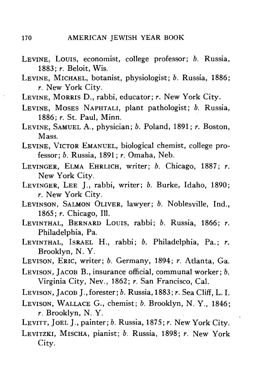- LEVINE, LOUIS, economist, college professor; *b.* Russia, 1883; *r.* Beloit, Wis.
- LEVINE, MICHAEL, botanist, physiologist; *b.* Russia, 1886; *r.* New York City.
- LEVINE, MORRIS D., rabbi, educator; *r.* New York City.
- LEVINE, MOSES NAPHTALI, plant pathologist; *b.* Russia, 1886; *r.* St. Paul, Minn.
- LEVINE, SAMUEL A., physician; *b.* Poland, 1891; *r.* Boston, Mass.
- LEVINE, VICTOR EMANUEL, biological chemist, college professor; *b.* Russia, 1891; *r.* Omaha, Neb.
- LEVINGER, ELMA EHRLICH, writer; *b.* Chicago, 1887; *r.* New York City.
- LEVINGER, LEE J., rabbi, writer; *b.* Burke, Idaho, 1890; *r.* New York City.
- LEVINSON, SALMON OLIVER, lawyer; *b.* Noblesville, Ind., 1865; *r.* Chicago, 111.
- LEVINTHAL, BERNARD LOUIS, rabbi; *b.* Russia, 1866; *r.* Philadelphia, Pa.
- LEVINTHAL, ISRAEL H., rabbi; *b.* Philadelphia, Pa.; *r.* Brooklyn, N. Y.
- LEVISON, ERIC, writer; *b.* Germany, 1894; *r.* Atlanta, Ga.
- LEVISON, JACOB B., insurance official, communal worker; *b.* Virginia City, Nev., 1862; *r.* San Francisco, Cal.
- LEVISON, JACOB J.,forester; *b.* Russia, 1883; *r.* Sea Cliff, L. I.
- LEVISON, WALLACE G., chemist; *b.* Brooklyn, N. Y., 1846;  $r$ . Brooklyn, N. Y.
- LEVITT, JOEL J., painter; *b.* Russia, 1875; *r.* New York City.
- LEVITZKI, MISCHA, pianist; *b.* Russia, 1898; *r.* New York City.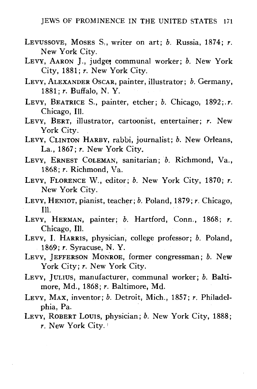- LEVUSSOVE, MOSES S,, writer on art; *b.* Russia, 1874; *r.* New York City.
- LEVY, AARON J., judge? communal worker; *b.* New York City, 1881; *r.* New York City.
- LEVY, ALEXANDER OSCAR, painter, illustrator; *b.* Germany, 1881; *r.* Buffalo, N. Y.
- LEVY, BEATRICE S., painter, etcher; *b.* Chicago, 1892;.*r.* Chicago, 111.
- LEVY, BERT, illustrator, cartoonist, entertainer; *r.* New York City.
- LEVY, CLINTON HARBY, rabbi, journalist; *b.* New Orleans, La., 1867; *r.* New York City,
- LEVY, ERNEST COLEMAN, sanitarian; *b.* Richmond, Va.,
- LEVY, FLORENCE W., editor; b. New York City, 1870; r. New York City.
- LEVY, HENIOT, pianist, teacher;  $b$ . Poland, 1879;  $r$ . Chicago, LEVY, HENIOT, pianist, teacher; *b.* Poland, 1879; *r.* Chicago,
- LEVY, HERMAN, painter; b. Hartford, Conn., 1868; r. Chicago, Ill.
- LEVY, I. HARRIS, physician, college professor; b. Poland, . 1869; *r.* Syracuse, N. Y.
- LEVY, JEFFERSON MONROE, former congressman; b. New York City;  $r$ . New York City.
- LEVY, JULIUS, manufacturer, communal worker; b. Baltimore, Md., 1868; r. Baltimore, Md.
- more, Md., 1868; *r.* Baltimore, Md. LEVY, MAX, inventor; *b.* Detroit, Mich., 1857; *r.* Philadelphia, Pa.
- LEVY, ROBERT LOUIS, physician; *b.* New York City, 1888; *r.* New York City.'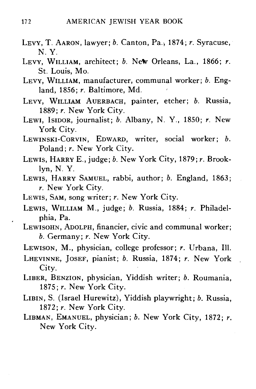- LEVY, T. AARON, lawyer; *b.* Canton, Pa., 1874; *r.* Syracuse, N. Y.
- LEVY, WILLIAM, architect; *b.* New Orleans, La., 1866; *r.* St. Louis, Mo.
- LEVY, WILLIAM, manufacturer, communal worker; *b.* England, 1856; *r.* Baltimore, Md.
- LEVY, WILLIAM AUERBACH, painter, etcher; *b.* Russia, 1889; *r.* New York City.
- LEWI, ISIDOR, journalist; *b.* Albany, N. Y., 1850; r. New York City.
- LEWINSKI-CORVIN, EDWARD, writer, social worker; *b.* Poland; *r.* New York City.
- LEWIS, HARRY E., judge; *b.* New York City, 1879; *r.* Brooklyn, N. Y.
- LEWIS, HARRY SAMUEL, rabbi, author; *b.* England, 1863; *r.* New York City.
- LEWIS, SAM, song writer; *r.* New York City.
- LEWIS, WILLIAM M., judge; *b.* Russia, 1884; *r.* Philadelphia, Pa.
- LEWISOHN, ADOLPH, financier, civic and communal worker; *b.* Germany; *r.* New York City.
- LEWISON, M., physician, college professor; *r.* Urbana, 111.
- LHEVINNE, JOSEF, pianist; *b.* Russia, 1874; *r.* New York City.
- LIBER, BENZION, physician, Yiddish writer; *b.* Roumania, 1875; *r.* New York City.
- LIBIN, S. (Israel Hurewitz), Yiddish playwright; *b.* Russia, 1872;  $r$ . New York City.
- LIBMAN, EMANUEL, physician; *b.* New York City, 1872; *r.* New York City.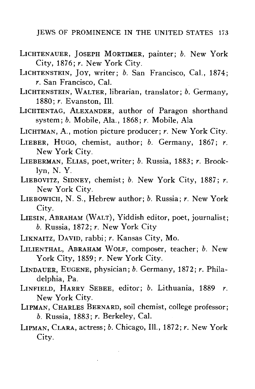- LICHTENAUER, JOSEPH MORTIMER, painter; *b.* New York City, 1876; *r.* New York City.
- LICHTENSTEIN, JOY, writer; *b.* San Francisco, Cal., 1874; *r.* San Francisco, Cal.
- LICHTENSTEIN, WALTER, librarian, translator; *b.* Germany, 1880; *r.* Evanston, 111.
- LICHTENTAG, ALEXANDER, author of Paragon shorthand system; *b.* Mobile, Ala., 1868; *r.* Mobile, Ala
- LICHTMAN, A., motion picture producer; *r.* New York City.
- LIEBER, HUGO, chemist, author; *b.* Germany, 1867; *r.* New York City.
- LIEBERMAN, ELIAS, poet,writer; *b.* Russia, 1883; *r.* Brooklyn, N. Y.
- LIEBOVITZ, SIDNEY, chemist; *b.* New York City, 1887; *r.* New York City.
- LIEBOWICH, N. S., Hebrew author; *b.* Russia; *r.* New York City.
- LIESIN, ABRAHAM (WALT), Yiddish editor, poet, journalist; *b.* Russia, 1872; *r.* New York City
- LIKNAITZ, DAVID, rabbi; *r.* Kansas City, Mo.
- LILIENTHAL, ABRAHAM WOLF, composer, teacher; *b.* New York City, 1859; *r.* New York City.
- LINDAUER, EUGENE, physician; *b.* Germany, 1872; *r.* Philadelphia, Pa.
- LINFIELD, HARRY SEBEE, editor; *b.* Lithuania, 1889 *r.* New York City.
- LIPMAN, CHARLES BERNARD, soil chemist, college professor; *b.* Russia, 1883; *r.* Berkeley, Cal.
- LIPMAN, CLARA, actress; *b.* Chicago, 111., 1872; *r.* New York City.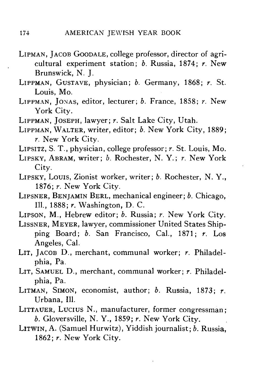- LIPMAN, JACOB GOODALE, college professor, director of agricultural experiment station; *b.* Russia, 1874; *r.* New Brunswick, N. J.
- LIPPMAN, GUSTAVE, physician; *b.* Germany, 1868; *r.* St. Louis, Mo.
- LIPPMAN, JONAS, editor, lecturer; *b.* France, 1858; *r.* New York City.
- LIPPMAN, JOSEPH, lawyer; *r.* Salt Lake City, Utah.
- LIPPMAN, WALTER, writer, editor; *b.* New York City, 1889; *r.* New York City.
- LIPSITZ, S. T., physician, college professor; *r.* St. Louis, Mo.
- LIPSKY, ABRAM, writer; *b.* Rochester, N. Y.; *r.* New York City.
- LIPSKY, LOUIS, Zionist worker, writer; *b.* Rochester, N. Y., 1876; *r.* New York City.
- LIPSNER, BENJAMIN BERL, mechanical engineer; *b.* Chicago, 111., 1888; *r.* Washington, D. C.
- LIPSON, M., Hebrew editor; *b.* Russia; *r.* New York City.
- LISSNER, MEYER, lawyer, commissioner United States Shipping Board; *b.* San Francisco, Cal., 1871; *r.* Los Angeles, Cal.
- LIT, JACOB D., merchant, communal worker; *r.* Philadelphia, Pa.
- LIT, SAMUEL D., merchant, communal worker; *r.* Philadelphia, Pa.
- LITMAN, SIMON, economist, author; *b.* Russia, 1873; *r.* Urbana, 111.
- LITTAUER, Lucius N., manufacturer, former congressman; *b.* Gloversville, N. Y., 1859; *r.* New York City.
- LITWIN, A. (Samuel Hurwitz), Yiddish journalist; *b.* Russia, 1862; *r.* New York City.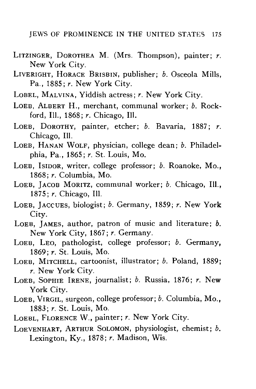- LITZINGER, DOROTHEA M. (Mrs. Thompson), painter; *r.* New York City.
- LIVERIGHT, HORACE BRISBIN, publisher; *b.* Osceola Mills, Pa., 1885; *r.* New York City.
- LOBEL, MALVINA, Yiddish actress; *r.* New York City.
- LOEB, ALBERT H., merchant, communal worker; *b.* Rockford, 111., 1868; *r.* Chicago, 111.
- LOEB, DOROTHY, painter, etcher; *b.* Bavaria, 1887; *r.* Chicago, 111.
- LOEB, HANAN WOLF, physician, college dean; *b.* Philadelphia, Pa., 1865; *r.* St. Louis, Mo.
- LOEB, ISIDOR, writer, college professor; *b.* Roanoke, Mo., 1868; *r.* Columbia, Mo.
- LOEB, JACOB MORITZ, communal worker; *b.* Chicago, 111., 1875; *r.* Chicago, 111.
- LOEB, JACCUES, biologist; *b.* Germany, 1859; *r.* New York City.
- LOEB, JAMES, author, patron of music and literature; *b.* New York City, 1867; *r.* Germany.
- LOEB, LEO, pathologist, college professor; *b.* Germany, 1869; *r.* St. Louis, Mo.
- LOEB, MITCHELL, cartoonist, illustrator; *b.* Poland, 1889; *r.* New York City.
- LOEB, SOPHIE IRENE, journalist; *b.* Russia, 1876; *r.* New York City.
- LOEB, VIRGIL, surgeon, college professor; *b.* Columbia, Mo., 1883; *r.* St. Louis, Mo.
- LOEBL, FLORENCE W., painter; *r.* New York City.
- LOEVENHART, ARTHUR SOLOMON, physiologist, chemist; *b.* Lexington, Ky., 1878; *r.* Madison, Wis.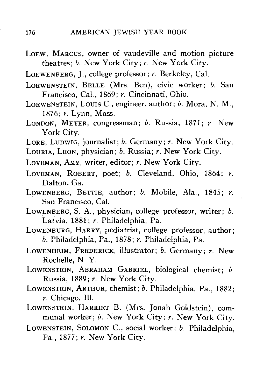LOEW, MARCUS, owner of vaudeville and motion picture theatres; *b.* New York City; *r.* New York City.

LOEWENBERG, J., college professor; *r.* Berkeley, Cal.

- LOEWENSTEIN, BELLE (Mrs. Ben), civic worker; *b.* San Francisco, Cal., 1869; *r.* Cincinnati, Ohio.
- LOEWENSTEIN, LOUIS C, engineer, author; *b.* Mora, N. M., 1876; *r.* Lynn, Mass.
- LONDON, MEYER, congressman; *b.* Russia, 1871; *r.* New York City.
- LORE, LUDWIG, journalist; *b.* Germany; *r.* New York City.
- LOURIA, LEON, physician; *b.* Russia; *r.* New York City.
- LOVEMAN, AMY, writer, editor; *r.* New York City.
- LOVEMAN, ROBERT, poet; *b.* Cleveland, Ohio, 1864; *r.* Dalton, Ga.
- LOWENBERG, BETTIE, author; *b.* Mobile, Ala., 1845; r. San Francisco, Cal.
- LOWENBERG, S. A., physician, college professor, writer; *b.* Latvia, 1881; *r.* Philadelphia, Pa.
- LOWENBURG, HARRY, pediatrist, college professor, author; *b.* Philadelphia, Pa., 1878; *r.* Philadelphia, Pa.
- LOWENHEIM, FREDERICK, illustrator; *b.* Germany; *r.* New Rochelle, N.Y.
- LOWENSTEIN, ABRAHAM GABRIEL, biological chemist; *b.* Russia, 1889; *r.* New York City.
- LOWENSTEIN, ARTHUR, chemist; *b.* Philadelphia, Pa., 1882; *r.* Chicago, 111.
- LOWENSTEIN, HARRIET B. (Mrs. Jonah Goldstein), communal worker; *b.* New York City; *r.* New York City.
- LOWENSTEIN, SOLOMON C, social worker; *b.* Philadelphia, Pa., 1877; *r.* New York City.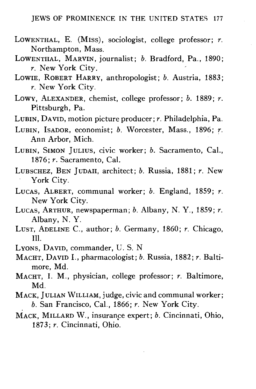- LOWENTHAL, E. (Miss), sociologist, college professor; *r.* Northampton, Mass.
- LOWENTHAL, MARVIN, journalist; *b.* Bradford, Pa., 1890; *r.* New York City.
- LOWIE, ROBERT HARRY, anthropologist; *b.* Austria, 1883; *r.* New York City.
- LOWY, ALEXANDER, chemist, college professor; *b.* 1889; *r.* Pittsburgh, Pa.
- LUBIN, DAVID, motion picture producer; *r.* Philadelphia, Pa.
- LUBIN, ISADOR, economist; *b.* Worcester, Mass., 1896; *r.* Ann Arbor, Mich.
- LUBIN, SIMON JULIUS, civic worker; *b.* Sacramento, Cal., 1876; *r.* Sacramento, Cal.
- LUBSCHEZ, BEN JUDAH, architect; *b.* Russia, 1881; *r.* New
- $\frac{1}{1}$   $\frac{1}{1}$ LUCAS, ALBERT, communal worker; *b.* England, 1859; *r.*
- New York City. LUCAS, ARTHUR, newspaperman; *b.* Albany, N. Y., 1859; *r.*
- Albany, N. Y. LUST, ADELINE C, author; *b.* Germany, 1860; *r.* Chicago, Ill.<br>Lyons, David, commander, U.S. N
- 
- LIONS, DAVID, commander, U. S. N. MACHT, DAVID I., pharmacologist; *b.* Russia, 1882; *r.* Baltimore, Mu.<br>wa I M
- MACHT, I. M., physician, college professor; *r.* Baltimore, Md.<br>MACK, JULIAN WILLIAM, judge, civic and communal worker;
- $b.$  San Francisco, Cal., 1866;  $r.$  New York City.
- MACK. MILLARD W., insurance expert; *b.* Cincinnati, Ohio. 1873; r. Cincinnati, Ohio. 1873; *r.* Cincinnati, Ohio.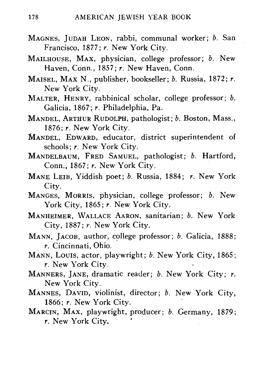- MAGNES, JUDAH LEON, rabbi, communal worker; *b.* San Francisco, 1877; *r.* New York City.
- MAILHOUSE, MAX, physician, college professor; *b.* New Haven, Conn., 1857; *r.* New Haven, Conn.
- MAISEL, MAX N., publisher, bookseller; *b.* Russia, 1872; *r.* New York City.
- MALTER, HENRY, rabbinical scholar, college professor; *b.* Galicia, 1867; *r.* Philadelphia, Pa.
- MANDEL, ARTHUR RUDOLPH, pathologist; *b.* Boston, Mass., 1876: *r.* New York City. 1876; *r.* New York City.
- MANDEL, EDWARD, educator, district superintendent of schools; *r.* New York City.
- MANDELBAUM, FRED SAMUEL, pathologist; *b.* Hartford, Conn., 1867; *r.* New York City.
- MANE LEIB, Yiddish poet; *b.* Russia, 1884; *r.* New York
- City.<br>C<sup>ro</sup> MANGES, MORRIS, physician, college professor; *b.* New York City, 1865; *r*. New York City.<br>MANHEIMER. WALLACE AARON, sanitarian; *b*. New York
- City, 1887; r. New York City,
- MANN. JACOB. author, college professor; *b.* Galicia, 1888;  $r$ . Cincinnati, Ohio.
- MANN, Louis, actor, playwright; b. New York City. 1865:  $r$ . New York City,
- MANNERS, JANE, dramatic reader; b. New York City; r. New York City.
- MANNES, DAVID, violinist, director; b. New York City, 1866: r. New York City.
- MARCIN, MAX, playwright, producer; b. Germany, 1879; MARCIN, MAX, playwright, producer; *b.* Germany, 1879; *r.* New York City.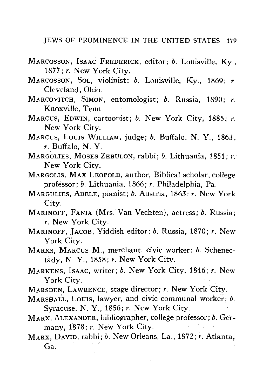- MARCOSSON, ISAAC FREDERICK, editor; *b.* Louisville, Ky., 1877; *r.* New York City.
- MARCOSSON, SOL, violinist; *b.* Louisville, Ky., 1869; *r.* Cleveland, Ohio.
- MARCOVITCH, SIMON, entomologist; *b.* Russia, 1890; *r.* Knoxville, Tenn.
- MARCUS, EDWIN, cartoonist; *b.* New York City, 1885; *r.* New York City.
- MARCUS, LOUIS WILLIAM, judge; *b.* Buffalo, N. Y., 1863; *r.* Buffalo, N. Y.
- MARGOLIES, MOSES ZEBULON, rabbi; *b.* Lithuania, 1851; *r.* New York City.
- MARGOLIS, MAX LEOPOLD, author, Biblical scholar, college professor; *b.* Lithuania, 1866; *r.* Philadelphia, Pa.
- MARGULIES, ADELE, pianist; *b.* Austria, 1863; *r.* New York City.
- MARINOFF, FANIA (Mrs. Van Vechten), actress; *b.* Russia; *r.* New York City.
- MARINOFF, JACOB, Yiddish editor; *b.* Russia, 1870; *r.* New York City.
- MARKS, MARCUS M., merchant, civic worker; *b.* Schenectady, N. Y., 1858; *r.* New York City.
- MARKENS, ISAAC, writer; *b.* New York City, 1846; *r.* New York City.
- MARSDEN, LAWRENCE, stage director; *r.* New York City.
- MARSHALL, LOUIS, lawyer, and civic communal worker; *b.* Syracuse, N. Y., 1856; *r.* New York City.
- MARX, ALEXANDER, bibliographer, college professor; *b.* Germany, 1878; *r.* New York City.
- MARX, DAVID, rabbi; *b.* New Orleans, La., 1872; *r,* Atlanta, Ga.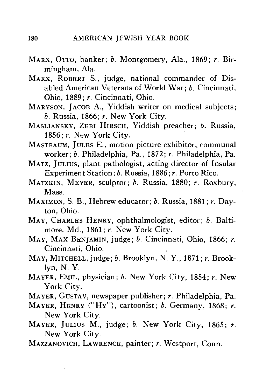- MARX , OTTO, banker; *b.* Montgomery, Ala., 1869; *r.* Birmingham, Ala.
- MARX, ROBERT S., judge, national commander of Disabled American Veterans of World War; *b.* Cincinnati, Ohio, 1889; *r.* Cincinnati, Ohio.
- MARYSON, JACOB A., Yiddish writer on medical subjects; *b.* Russia, 1866; *r.* New York City.
- MASLIANSKY, ZEBI HIRSCH, Yiddish preacher; b. Russia, 1856; *r.* New York City.
- MASTBAUM, JULES E., motion picture exhibitor, communal worker; *b.* Philadelphia, Pa., 1872; *r.* Philadelphia, Pa.
- MATZ. JULIUS, plant pathologist, acting director of Insular Experiment Station; *b.* Russia, 1886; *r.* Porto Rico.
- MATZKIN, MEYER , sculptor; *b.* Russia, 1880; *r.* Roxbury, Mass.
- MAXIMON, S. B., Hebrew educator; *b.* Russia, 1881; *r.* Dayton, Ohio.
- MAY, CHARLES HENRY, ophthalmologist, editor; *b.* Baltimore, Md., 1861; *r.* New York City.
- MAY, MAX BENJAMIN, judge; *b.* Cincinnati, Ohio, 1866; *r.* Cincinnati, Ohio.
- MAY , MITCHELL, judge ; *b.* Brooklyn, N. Y., 1871; *r.* Brooklyn, N. Y.
- MAYER, EMIL, physician; *b.* New York City, 1854; *r.* New York City.
- MAYER, GUSTAV, newspaper publisher; *r.* Philadelphia, Pa.
- MAYER, HENR Y ("HY") , cartoonist; *b.* Germany, 1868; *r.* New York City.
- MAYER, JULIUS M., judge; *b.* New York City, 1865; r. New York City.
- MAZZANOVICH, LAWRENCE, painter; *r.* Westport, Conn.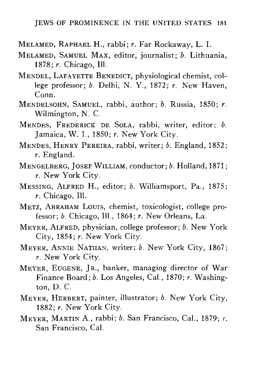- MELAMED, RAPHAEL H., rabbi; *r.* Far Rockaway, L. I.
- MELAMED, SAMUEL MAX, editor, journalist; *b.* Lithuania, 1878; *r.* Chicago, 111.
- MENDEL, LAFAYETTE BENEDICT, physiological chemist, college professor; *b.* Delhi, N. Y., 1872; *r.* New Haven, Conn.
- MENDELSOHN, SAMUEL, rabbi, author; *b.* Russia, 1850; *r.* Wilmington, N. C.
- MENDES, FREDERICK DE SOLA, rabbi, writer, editor; *b.* Jamaica, W. I., 1850; *r.* New York City.
- MENDES, HENRY PEREIRA, rabbi, writer; *b.* England, 1852; *r.* England.
- MENGELBERG, JOSEF WILLIAM, conductor; *b.* Holland, 1871; *r.* New York City.
- MESSING, ALFRED H., editor; *b.* Williamsport, Pa., 1875; *r.* Chicago, 111.
- METZ, ABRAHAM LOUIS, chemist, toxicologist, college professor; *b.* Chicago, 111., 1864; *r.* New Orleans, La.
- MEYER, ALFRED, physician, college professor; *b.* New York City, 1854; *r.* New York City.
- MEYER, ANNIE NATHAN, writer; *b.* New York City, 1867; *r.* New York City.
- MEYER, EUGENE, JR., banker, managing director of War Finance Board; *b.* Los Angeles, Cal., 1870; *r.* Washington, D. C.
- MEYER, HERBERT, painter, illustrator; *b.* New York City, 1882; *r.* New York City.
- MEYER, MARTIN A., rabbi; *b.* San Francisco, Cal., 1879; *r.* San Francisco, Cal.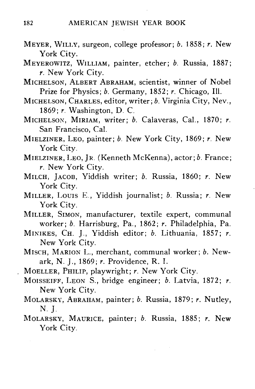- MEYER, WILLY, surgeon, college professor; *b.* 1858; *r.* New York City.
- MEYEROWITZ, WILLIAM, painter, etcher; *b.* Russia, 1887; *r.* New York City.
- MICHELSON, ALBERT ABRAHAM, scientist, winner of Nobel Prize for Physics; *b.* Germany, 1852; *r.* Chicago, 111.
- MICHELSON, CHARLES, editor, writer; *b.* Virginia City, Nev., 1869; *r.* Washington, D. C.
- MICHELSON, MIRIAM, writer; *b.* Calaveras, Cal., 1870; *r.* San Francisco, Cal.
- MIELZINER, LEO, painter; *b.* New York City, 1869; *r.* New York City.
- MIELZINER, LEO, JR. (Kenneth McKenna), actor; *b.* France; *r.* New York City.
- MILCH, JACOB, Yiddish writer; *b.* Russia, 1860; *r.* New York City.
- MILLER, LOUIS E., Yiddish journalist; *b.* Russia; *r.* New York City.
- MILLER, SIMON, manufacturer, textile expert, communal worker; *b.* Harrisburg, Pa., 1862; *r.* Philadelphia, Pa.
- MINIKES, CH. J., Yiddish editor; *b.* Lithuania, 1857; *r.* New York City.
- MISCH, MARION L., merchant, communal worker; *b.* Newark, N. J., 1869; *r.* Providence, R. I.
- MOELLER, PHILIP, playwright; *r.* New York City.
- MOISSEIFF, LEON S., bridge engineer; *b.* Latvia, 1872; *r.* New York City.
- MOLARSKY, ABRAHAM, painter; *b.* Russia, 1879; *r.* Nutley, **N. J.**
- MOLARSKY, MAURICE, painter; *b.* Russia, 1885; *r.* New York City.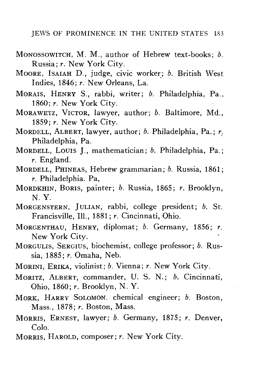- MONOSSOWITCH, M. M., author of Hebrew text-books; *b.* Russia; *r.* New York City.
- MOORE, ISAIAH D., judge, civic worker; *b.* British West Indies, 1846; *r.* New Orleans, La.
- MORAIS, HENRY S., rabbi, writer; *b.* Philadelphia, Pa., 1860; *r.* New York City.
- MORAWETZ, VICTOR, lawyer, author; *b.* Baltimore, Md., 1859; *r.* New York City.
- MORDELL, ALBERT, lawyer, author; *b.* Philadelphia, Pa.; *r.* Philadelphia, Pa.
- MORDELL, LOUIS J., mathematician; *b.* Philadelphia, Pa.; *r.* England.
- MORDELL, PHINEAS, Hebrew grammarian; *b.* Russia, 1861; *r.* Philadelphia. Pa,
- MORDKHIN, BORIS, painter; *b.* Russia, 1865; *r.* Brooklyn, N. Y.
- MORGENSTERN, JULIAN, rabbi, college president; *b.* St. Francisville, 111., 1881; *r.* Cincinnati, Ohio.
- MORGENTHAU, HENRY, diplomat; *b.* Germany, 1856; *r.* New York City.
- MORGULIS, SERGIUS, biochemist, college professor; *b.* Russia, 1885; *r.* Omaha, Neb.
- MORINI, ERIKA, violinist; *b.* Vienna; *r.* New York City.
- MORITZ, ALBERT, commander, U. S. N.; *b.* Cincinnati, Ohio, 1860; *r.* Brooklyn, N. Y.
- MORK, HARRY SOLOMON, chemical engineer; *b.* Boston, Mass., 1878; *r.* Boston, Mass.
- MORRIS, ERNEST, lawyer; *b.* Germany, 1875; *r.* Denver,  $\frac{C_{\text{OIO}}}{\frac{1}{2}}$
- MORRIS, HAROLD, composer; *r.* New York City.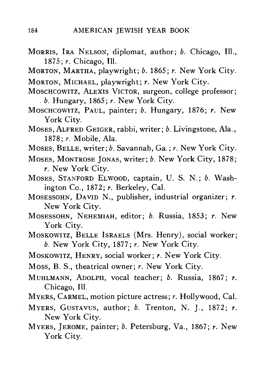- MORRIS, IRA NELSON, diplomat, author; *b.* Chicago, 111., 1875; *r.* Chicago, 111.
- MORTON, MARTHA, playwright; *b.* 1865; *r.* New York City.
- MORTON, MICHAEL, playwright; *r.* New York City.
- MOSCHCOWITZ, ALEXIS VICTOR, surgeon, college professor; . *b.* Hungary, 1865; *r.* New York City.
- MOSCHCOWITZ, PAUL, painter; *b.* Hungary, 1876; *r.* New York City.
- MOSES, ALFRED GEIGER, rabbi, writer; *b.* Livingstone, Ala., 1878; *r.* Mobile, Ala.
- MOSES, BELLE, writer; *b.* Savannah, Ga.; *r.* New York City.
- MOSES, MONTROSE JONAS, writer; *b.* New York City, 1878; *r.* New York City.
- MOSES, STANFORD ELWOOD, captain, U. S. N.; *b.* Washington Co., 1872; *r.* Berkeley, Cal.
- MOSESSOHN, DAVID N., publisher, industrial organizer; *r.* New York City.
- MOSESSOHN, NEHEMIAH, editor; *b.* Russia, 1853; *r.* New York City.
- MOSKOWITZ, BELLE ISRAELS (Mrs. Henry), social worker; *b.* New York City, 1877; *r.* New York City.
- MOSKOWITZ, HENRY, social worker; *r.* New York City.
- Moss, B. S., theatrical owner; *r.* New York City.
- MUHLMANN, ADOLPH, vocal teacher; *b.* Russia, 1867; *r.* Chicago, 111.
- MYERS, CARMEL, motion picture actress; *r.* Hollywood, Cal.
- MYERS, GUSTAVUS, author; *b.* Trenton, N. J., 1872; *r.* New York City.
- MYERS, JEROME, painter; *b.* Petersburg, Va., 1867; *r.* New York City.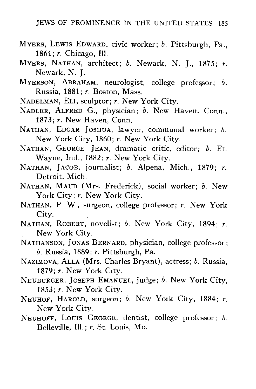- MYERS, LEWIS EDWARD, civic worker; *b.* Pittsburgh, Pa., 1864; *r.* Chicago, 111.
- MYERS, NATHAN, architect; *b.* Newark, N. J., 1875; *r.* Newark, N. J.
- MYERSON, ABRAHAM, neurologist, college professor; *b.* Russia, 1881; *r.* Boston, Mass.
- NADELMAN, ELI, sculptor; *r.* New York City.
- NADLER, ALFRED G., physician; *b.* New Haven, Conn., 1873; *r.* New Haven, Conn.
- NATHAN, EDGAR JOSHUA, lawyer, communal worker; *b.* New York City, 1860; *r.* New York City.
- NATHAN, GEORGE JEAN, dramatic critic, editor; *b.* Ft. Wayne, Ind., 1882; *r.* New York City.
- NATHAN, JACOB, journalist; *b.* Alpena, Mich., 1879; *r.* Detroit, Mich.
- NATHAN, MAUD (Mrs. Frederick), social worker; *b.* New York City; r. New York City.
- NATHAN, P. W., surgeon, college professor; *r.* New York City.
- NATHAN, ROBERT, novelist; *b.* New York City, 1894; *r.* New York City.
- NATHANSON, JONAS BERNARD, physician, college professor; *b.* Russia, 1889; *r.* Pittsburgh, Pa.
- NAZIMOVA, ALLA (Mrs. Charles Bryant), actress; *b.* Russia, 1879; *r.* New York City.
- NEUBURGER, JOSEPH EMANUEL, judge; *b.* New York City, 1853; *r.* New York City.
- NEUHOF, HAROLD, surgeon; *b.* New York City, 1884; *r.* New York City.
- NEUHOFF, LOUIS GEORGE, dentist, college professor; *b.* Belleville, 111.; *r.* St. Louis, Mo.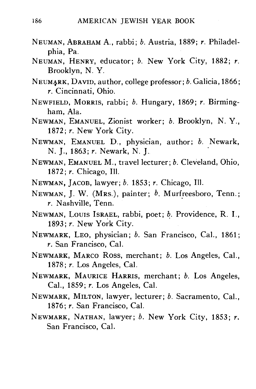- NEUMAN, ABRAHAM A., rabbi; *b.* Austria, 1889; *r.* Philadelphia, Pa.
- NEUMAN, HENRY, educator; *b.* New York City, 1882; *r.* Brooklyn, N. Y.
- NEUMARK, DAVID, author, college professor; *b.* Galicia, 1866; *r.* Cincinnati, Ohio.
- NEWFIELD, MORRIS, rabbi; *b.* Hungary, 1869; *r.* Birmingham, Ala.
- NEWMAN, EMANUEL, Zionist worker; *b.* Brooklyn, N. Y., 1872; *r.* New York City.
- NEWMAN, EMANUEL D., physician, author; *b.* Newark, N. J., 1863; *r.* Newark, N. J.
- NEWMAN, EMANUEL M., travel lecturer; *b.* Cleveland, Ohio, 1872; *r.* Chicago, 111.
- NEWMAN, JACOB, lawyer; *b.* 1853; *r.* Chicago, 111.
- NEWMAN, J. W. (MRS.), painter; *b.* Murfreesboro, Tenn.; *r.* Nashville, Tenn.
- NEWMAN, LOUIS ISRAEL, rabbi, poet; *b.* Providence, R. I., 1893; *r.* New York City. 1893; *r.* New York City.
- NEWMARK, LEO, physician; *b.* San Francisco, Cal., 1861; *r.* San Francisco, Cal.
- NEWMARK, MARCO ROSS, merchant; *b,* Los Angeles, Cal., 1878; *r.* Los Angeles, Cal.<br>NEWMARK, MAURICE HARRIS, merchant; *b.* Los Angeles,
- Cal., 1859; *r.* Los Angeles, Cal.
- NEWMARK, MILTON, lawyer, lecturer; b. Sacramento, Cal., 1876; r. San Francisco, Cal.
- NEWMARK, NATHAN, lawyer; b. New York City, 1853; r. San Francisco, Cal.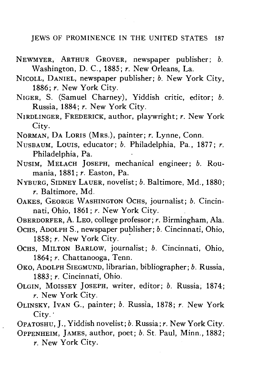- NEWMYER, ARTHUR GROVER, newspaper publisher; *b.* Washington, D. C, 1885; *r.* New Orleans, La.
- NICOLL, DANIEL, newspaper publisher; *b.* New York City, 1886; *r.* New York City.
- NIGER, S. (Samuel Charney), Yiddish critic, editor; *b.* Russia, 1884; *r.* New York City.
- NIRDLINGER, FREDERICK, author, playwright; *r.* New York City.
- NORMAN, DA LORIS (MRS.), painter; *r.* Lynne, Conn.
- NUSBAUM, Louis, educator; *b.* Philadelphia, Pa., 1877; *r.* Philadelphia, Pa.
- NUSIM, MELACH JOSEPH, mechanical engineer; *b.* Roumania, 1881; *r.* Easton, Pa.
- NYBURG, SIDNEY LAUER, novelist; *b.* Baltimore, Md., 1880; *r.* Baltimore, Md.
- OAKES, GEORGE WASHINGTON OCHS, journalist; *b.* Cincinnati, Ohio, 1861; *r.* New York City.
- OBERDORFER, A. LEO, college professor; *r.* Birmingham, Ala.
- OCHS, ADOLPH S., newspaper publisher; *b.* Cincinnati, Ohio, 1858; *r.* New York City.
- OCHS, MILTON BARLOW, journalist; *b.* Cincinnati, Ohio, 1864; *r.* Chattanooga, Tenn.
- OKO, ADOLPH SIEGMUND, librarian, bibliographer; *b.* Russia, 1883; *r.* Cincinnati, Ohio.
- OLGIN, MOISSEY JOSEPH, writer, editor; *b.* Russia, 1874; *r.* New York City.
- OLINSKY, IVAN G., painter; *b.* Russia, 1878; *r.* New York City.'
- OPATOSHU, J., Yiddish novelist; *b.* Russia; *r.* New York City.
- OPPENHEIM, JAMES, author, poet; *b.* St. Paul, Minn., 1882; *r.* New York City.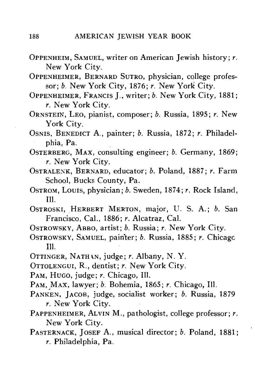- OPPENHEIM, SAMUEL, writer on American Jewish history; *r.* New York City.
- OPPENHEIMER, BERNARD SUTRO, physician, college professor; *b.* New York City, 1876; *r.* New York City.
- OPPENHEIMER, FRANCIS J., writer; *b.* New York City, 1881; *r.* New York City.
- ORNSTEIN, LEO, pianist, composer; *b.* Russia, 1895; *r.* New York City.
- OSNIS, BENEDICT A., painter; *b.* Russia, 1872; *r.* Philadelphia, Pa.
- OSTERBERG, MAX, consulting engineer; *b.* Germany, 1869; *r.* New York City.
- OSTRALEXK, BERNARD, educator; *b.* Poland, 1887; *r.* Farm School, Bucks County, Pa.
- OSTROM, Louis, physician; *b.* Sweden, 1874; *r.* Rock Island, 111.
- OSTROSKI, HERBERT MERTON, major, U. S. A.; b. San Francisco, Cal., 1886; *r.* Alcatraz, Cal.
- OSTROWSKY, ABBO, artist; *b.* Russia; *r.* New York City.
- OSTROWSKY, SAMUEL, painter; *b.* Russia, 1885; *r.* Chicago 111.
- OTTINGER, NATHAN, judge; r. Albany, N. Y.
- OTTOLENGUI, R., dentist; *r.* New York City.
- PAM, HUGO, judge; r. Chicago, Ill.
- PAM, MAX, lawyer; *b.* Bohemia, 1865; *r.* Chicago, 111.
- PANKEN, JACOB, judge, socialist worker; *b.* Russia, 1879 *r.* New York City.
- PAPPENHEIMER, ALVIN M., pathologist, college professor; *r.* New York City.
- PASTERNACK, JOSEF A., musical director; *b.* Poland, 1881; *r.* Philadelphia, Pa.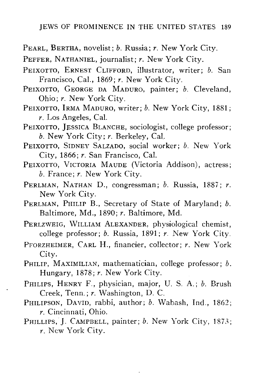- PEARL, BERTHA, novelist; *b.* Russia; *r.* New York City.
- PEFFER, NATHANIEL, journalist; *r.* New York City.
- PEIXOTTO, ERNEST CLIFFORD, illustrator, writer; *b.* San Francisco, Cal., 1869; *r.* New York City.
- PEIXOTTO, GEORGE DA MADURO, painter; *b.* Cleveland, Ohio; *r.* New York City.
- PEIXOTTO, IRMA MADURO, writer; *b.* New York City, 1881; *r.* Los Angeles, Cal.
- PEIXOTTO, JESSICA BLANCHE, sociologist, college professor: *b.* New York City; *r.* Berkeley, Cal,
- PEIXOTTO, SIDNEY SALZADO, social worker; *b.* New York City, 1866; *r.* San Francisco, Cal.
- PEIXOTTO, VICTORIA MAUDE (Victoria Addison), actress; *b.* France; *r.* New York City.
- PERLMAN, NATHAN D., congressman; *b.* Russia, 1887; *r.* New York City.
- PERLMAN, PHILIP B., Secretary of State of Maryland; *b.* Baltimore, Md., 1890; *r.* Baltimore, Md.
- PERLZWEIG, WILLIAM ALEXANDER, physiological chemist, college professor; *b.* Russia, 1891; *r.* New York City.
- PFORZHEIMER, CARL H., financier, collector; *r.* New York
- PHILIP, MAXIMILIAN, mathematician, college professor; b. Hungary, 1878; r. New York City.
- PHILIPS, HENRY F., physician, major, U. S. A.; b. Brush Creek, Tenn.; r. Washington, D. C.
- PHILIPSON, DAVID, rabbi, author; b. Wabash, Ind., 1862;  $r$ . Cincinnati, Ohio.
- PHILLIPS, J. CAMPBELL, painter; b. New York City, 1873;  $r.$  New York City. *r.* New York City.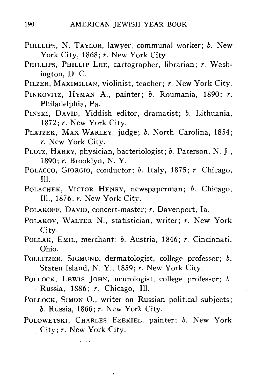- PHILLIPS, N. TAYLOR, lawyer, communal worker; *b.* New York City, 1868; r. New York City.
- PHILLIPS, PHILLIP LEE, cartographer, librarian; *r.* Washington, D. C.

PILZER, MAXIMILIAN, violinist, teacher; *r.* New York City.

- PINKOVITZ, HYMAN A., painter; *b.* Roumania, 1890; *r.* Philadelphia, Pa.
- PINSKI, DAVID, Yiddish editor, dramatist; *b.* Lithuania, 1872; *r.* New York City.
- PLATZEK, MAX WARLEY, judge; *b.* North Carolina, 1854; *r.* New York City.
- PLOTZ, HARRY, physician, bacteriologist; *b.* Paterson, N. J., 1890; *r.* Brooklyn, N. Y.
- POLACCO, GIORGIO, conductor; *b.* Italy, 1875; *r.* Chicago, 111.
- POLACHEK, VICTOR HENRY, newspaperman; *b.* Chicago, 111., 1876; *r.* New York City.
- POLAKOFF, DAVID, concert-master; *r.* Davenport, la.
- POLAKOV, WALTER N., statistician, writer; *r.* New York City.
- POLLAK, EMIL, merchant; *b.* Austria, 1846; *r.* Cincinnati, Ohio.
- POLLITZER, SIGMUND, dermatologist, college professor; *b.* Staten Island, N. Y., 1859; *r.* New York City.
- POLLOCK, LEWIS JOHN, neurologist, college professor; *b.* Russia, 1886; *r.* Chicago, 111.
- POLLOCK, SIMON O., writer on Russian political subjects; *b.* Russia, 1866; *r.* New York City.
- POLOWETSKI, CHARLES EZEKIEL, painter; *b.* New York City; *r.* New York City.

Links a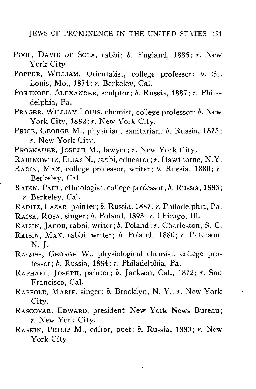- POOL, DAVID DE SOLA, rabbi; *b.* England, 1885; *r.* New York City.
- POPPER, WILLIAM, Orientalist, college professor; *b.* St. Louis, Mo.,  $1874$ ;  $r$ . Berkeley, Cal.
- PORTNOFF, ALEXANDER, sculptor; *b.* Russia, 1887; *r.* Philadelphia, Pa.
- PRAGER, WILLIAM LOUIS, chemist, college professor; *b.* New York City, 1882; r. New York City.
- PRICE, GEORGE M., physician, sanitarian; *b.* Russia, 1875; *r.* New York City.
- PROSKAUER, JOSEPH M., lawyer; *r.* New York City.
- RABINOWITZ, ELIAS N., rabbi, educator; *r.* Hawthorne, N.Y.
- RADIN, MAX, college professor, writer; *b.* Russia, 1880; *r.* Berkeley, Cal.
- RADIN, PAUL, ethnologist, college professor; *b.* Russia, 1883; *r.* Berkeley, Cal.
- RADITZ, LAZAR, painter; *b.* Russia, 1887; *r.* Philadelphia, Pa. RAISA, ROSA, singer; *b.* Poland, 1893; *r.* Chicago, 111.
- RAISIN, JACOB, rabbi, writer; *b.* Poland; *r.* Charleston, S. C.
- RAISIN, MAX, rabbi, writer; *b.* Poland, 1880; *r.* Paterson, **N. J.**
- RAIZISS, GEORGE W., physiological chemist, college professor; *b.* Russia, 1884; *r.* Philadelphia, Pa.
- RAPHAEL, JOSEPH, painter; *b.* Jackson, Cal., 1872; *r.* San Francisco, Cal.
- RAPPOLD, MARIE, singer; *b.* Brooklyn, N. Y.; *r.* New York City.
- RASCOVAR, EDWARD, president New York News Bureau; *r.* New York City.
- RASKIN, PHILIP M., editor, poet; *b.* Russia, 1880; *r.* New York City.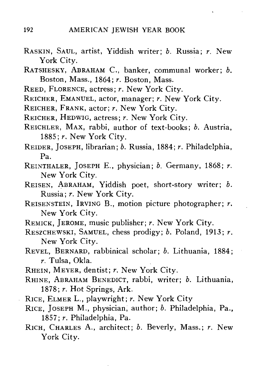- RASKIN, SAUL, artist, Yiddish writer; *b.* Russia; *r.* New York City.
- RATSHESKY, ABRAHAM C., banker, communal worker; b. Boston, Mass., 1864; *r.* Boston, Mass.
- REED, FLORENCE, actress; r. New York City.
- REICHER, EMANUEL, actor, manager; *r.* New York City.
- REICHER, FRANK, actor; *r.* New York City.
- REICHER, HEDWIG, actress; r. New York City.
- REICHLER, MAX, rabbi, author of text-books; *b.* Austria, 1885; r. New York City.
- REIDER, JOSEPH, librarian; *b.* Russia, 1884; *r.* Philadelphia, Pa.
- REINTHALER, JOSEPH E., physician; b. Germany, 1868; r. New York City.
- REISEN, ABRAHAM, Yiddish poet, short-story writer; b. Russia; *r.* New York City.
- REISENSTEIN , IRVING B., motion picture photographer; *r.* New York City.
- REMICK, JEROME, music publisher; *r.* New York City.
- RESZCHEWSKI, SAMUEL, chess prodigy; *b.* Poland, 1913; *r.* New York City.
- REVEL , BERNARD, rabbinical scholar; *b.* Lithuania, 1884; *r.* Tulsa, Okla.
- RHEIN, MEYER, dentist; r. New York City.
- RHINE , ABRAHAM BENEDICT, rabbi, writer; *b.* Lithuania, 1878; *r.* Hot Springs, Ark.
- RICE , ELMER L., playwright; *r.* New York City
- RICE , JOSEPH M., physician, author; *b.* Philadelphia, Pa., 1857; *r.* Philadelphia, Pa.
- RICH , CHARLES A., architect; *b.* Beverly, Mass.; *r.* New York City.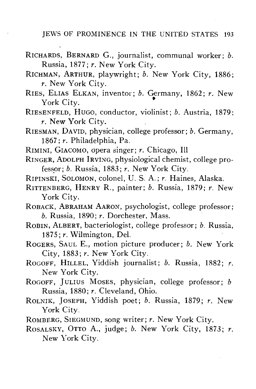- RICHARDS, BERNARD G., journalist, communal worker; *b.* Russia, 1877; *r.* New York City.
- RICHMAN, ARTHUR, playwright; *b.* New York City, 1886; *r.* New York City.
- RIES, ELIAS ELKAN, inventor; *b.* Germany, 1862; *r.* New York City.

RIESENFELD, HUGO, conductor, violinist; *b.* Austria, 1879; *r.* New York City.

- RIESMAN, DAVID, physician, college professor; *b.* Germany, 1867; *r.* Philadelphia, Pa.
- RIMINI, GIACOMO, opera singer; *r.* Chicago, 111
- RINGER, ADOLPH IRVING, physiological chemist, college professor; *b.* Russia, 1883; *r.* New York City.
- RIPINSKI, SOLOMON, colonel, U. S. A.; *r.* Haines, Alaska.
- RITTENBERG, HENRY R., painter; *b.* Russia, 1879; *r.* New York City.
- ROBACK, ABRAHAM AARON, psychologist, college professor; *b.* Russia, 1890; *r.* Dorchester, Mass.
- ROBIN, ALBERT, bacteriologist, college professor; *b.* Russia, 1875; *r.* Wilmington, Del.
- ROGERS, SAUL E., motion picture producer; *b.* New York City, 1883; *r.* New York City.
- ROGOFF, HILLEL, Yiddish journalist; *b.* Russia, 1882; *r.* New York City.
- ROGOFF, JULIUS MOSES, physician, college professor; *b* Russia, 1880; *r.* Cleveland, Ohio.
- ROLNIK, JOSEPH, Yiddish poet; *b.* Russia, 1879; *r.* New York City.
- ROMBERG, SIEGMUND, song writer; *r.* New York City.
- ROSALSKY, OTTO A., judge; *b.* New York City, 1873; *r.* New York City.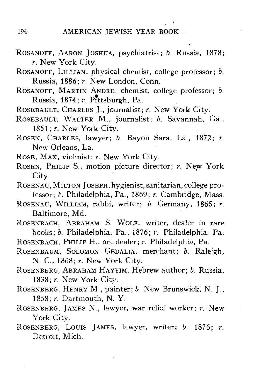- ROSANOFF, AARON JOSHUA, psychiatrist; *b.* Russia, 1878; *r.* New York City.
- ROSANOFF, LILLIAN, physical chemist, college professor; *b.* Russia, 1886; *r.* New London, Conn.
- ROSANOFF, MARTIN ANDRE, chemist, college professor; *b.* Russia, 1874; *r.* Pittsburgh, Pa.
- ROSEBAULT, CHARLES J., journalist; *r.* New York City.
- ROSEBAULT, WALTER M., journalist; *b.* Savannah, Ga., 1851; *r.* New York City.
- ROSEN, CHARLES, lawyer; *b.* Bayou Sara, La., 1872; *r.* New Orleans, La.
- ROSE, MAX, violinist; *r.* New York City.
- ROSEN, PHILIP S., motion picture director; *r.* New York City.
- ROSENAU, MILTON JOSEPH, hygienist, sanitarian, college professor; *b.* Philadelphia, Pa., 1869; *r.* Cambridge, Mass.
- ROSENAU, WILLIAM, rabbi, writer; *b.* Germany, 1865; *r.* Baltimore, Md.
- ROSENBACH, ABRAHAM S. WOLF, writer, dealer in rare books; *b.* Philadelphia, Pa., 1876; *r.* Philadelphia, Pa.
- ROSENBACH, PHILIP H., art dealer; *r.* Philadelphia, Pa.
- ROSENBAUM, SOLOMON GEDALIA, merchant; *b.* Rale: gh, N. C, 1868; *r.* New York City.
- ROSENBERG, ABRAHAM HAYYIM, Hebrew author; *b.* Russia, 1838; *r.* New York City.
- ROSENBERG, HENRY M., painter; *b.* New Brunswick, N. J., 1858; *r.* Dartmouth, N. Y.
- ROSENBERG, JAMES N., lawyer, war relief worker; *r.* New York City.
- ROSENBERG, LOUIS JAMES, lawyer, writer; *b,* 1876; *r.* Detroit, Mich.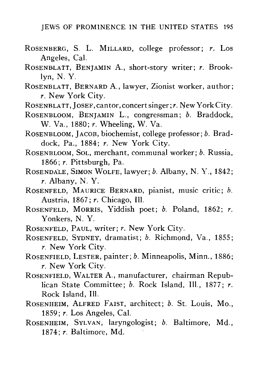- ROSENBERG, S. L. MILLARD, college professor; *r.* Los Angeles, Cal.
- ROSENBLATT, BENJAMIN A., short-story writer; *r.* Brooklyn, N. Y.
- ROSENBLATT, BERNARD A., lawyer, Zionist worker, author; *r.* New York City.
- ROSENBLATT, JOSEF, cantor, concert singer; *r.* New York City.
- ROSENBLOOM, BENJAMIN L., congressman; *b.* Braddock, W. Va., 1880; *r.* Wheeling, W. Va.
- ROSENBLOOM, JACOB, biochemist, college professor; *b.* Braddock, Pa., 1884; *r.* New York City.
- ROSENBLOOM, SOL, merchant, communal worker; *b.* Russia, 1866; *r.* Pittsburgh, Pa.
- ROSENDALE, SIMON WOLFE, lawyer; *b.* Albany, N. Y., 1842; *r.* Albany, N. Y.
- ROSENFELD, MAURICE BERNARD, pianist, music critic; *b.* Austria, 1867; *r.* Chicago, 111.
- ROSENFELD, MORRIS, Yiddish poet; *b.* Poland, 1862; *r.* Yonkers, N. Y.
- ROSENFELD, PAUL, writer; *r.* New York City.
- ROSENFELD, SYDNEY, dramatist; *b.* Richmond, Va., 1855; *r.* New York City.
- ROSENFIELD, LESTER, painter; *b.* Minneapolis, Minn., 1886; *r.* New York City.
- ROSENFIELD, WALTER A., manufacturer, chairman Republican State Committee; *b.* Rock Island, 111., 1877; *r.* Rock Island, 111.
- ROSENHEIM, ALFRED FAIST, architect; *b.* St. Louis, Mo., 1859; *r.* Los Angeles, Cal.
- ROSENHEIM, SYLVAN, laryngologist; *b.* Baltimore, Md., 1874; *r.* Baltimore, Md.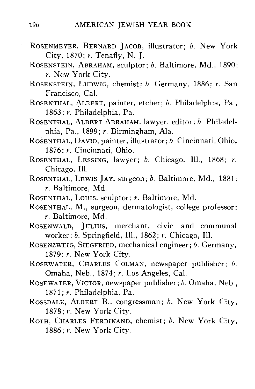- ROSENMEYER, BERNARD JACOB, illustrator; *b.* New York City, 1870; *r.* Tenafly, N. J.
	- ROSENSTEIN, ABRAHAM, sculptor; *b.* Baltimore, Md., 1890; *r.* New York City.
	- ROSENSTEIN, LUDWIG, chemist; *b.* Germany, 1886; *r.* San Francisco, Cal.
	- ROSENTHAL, ALBERT, painter, etcher; *b.* Philadelphia, Pa., 1863; *r.* Philadelphia, Pa.
- ROSENTHAL, ALBERT ABRAHAM, lawyer, editor; *b.* Philadelphia, Pa., 1899; *r.* Birmingham, Ala.
- ROSENTHAL, DAVID, painter, illustrator; *b.* Cincinnati, Ohio, 1876; *r.* Cincinnati, Ohio.
- ROSENTHAL, LESSING, lawyer; *b.* Chicago, 111., 1868; *r.* Chicago, 111.
- ROSENTHAL, LEWIS JAY, surgeon; *b.* Baltimore, Md., 1881; *r.* Baltimore, Md.
- ROSENTHAL, LOUIS, sculptor; *r.* Baltimore, Md.
- ROSENTHAL, M., surgeon, dermatologist, college professor; *r.* Baltimore, Md.
- ROSENWALD, JULIUS, merchant, civic and communal worker; *b.* Springfield, 111., 1862; *r.* Chicago, 111.
- ROSENZWEIG, SIEGFRIED, mechanical engineer; *b.* Germany, 1879; *r.* New York City.
- ROSEWATER, CHARLES COLMAN, newspaper publisher; *b.* Omaha, Neb., 1874; *r.* Los Angeles, Cal.
- ROSEWATER, VICTOR, newspaper publisher; *b.* Omaha, Neb., 1871; *r.* Philadelphia, Pa.
- ROSSDALE, ALBERT B., congressman; *b.* New York City, 1878; *r.* New York City.
- ROTH, CHARLES FERDINAND, chemist; *b.* New York City, 1886; *r.* New York City.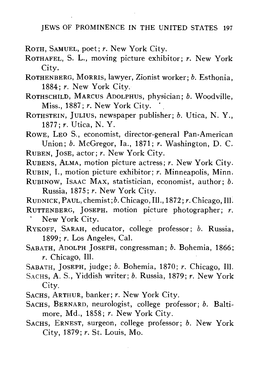ROTH, SAMUEL, poet; *r.* New York City.

ROTHAFEL, S. L., moving picture exhibitor; *r.* New York City.

ROTHENBERG, MORRIS, lawyer, Zionist worker; *b.* Esthonia, 1884; *r.* New York City.

ROTHSCHILD, MARCUS ADOLPHUS, physician; *b.* Woodville, Miss., 1887; r. New York City.

ROTHSTEIN, JULIUS, newspaper publisher; *b.* Utica, N. Y., 1877; *r.* Utica, N. Y.

ROWE, LEO S., economist, director-general Pan-American Union; *b.* McGregor, la., 1871; *r.* Washington, D. C. RUBEN, JOSE, actor; *r.* New York City.

RUBENS, ALMA, motion picture actress; *r.* New York City. RUBIN, I., motion picture exhibitor; *r.* Minneapolis, Minn. RUBINOW, ISAAC MAX, statistician, economist, author; *b.* Russia, 1875; *r.* New York City.

RUDNICK, PAUL,chemist*;b.*Chicago, 111., 1872; *r.* Chicago, 111. RUTTENBERG, JOSEPH, motion picture photographer; *r.*

New York City.

RYKOFF, SARAH, educator, college professor; *b.* Russia, 1899; *r.* Los Angeles, Cal.

SABATH, ADOLPH JOSEPH, congressman; *b.* Bohemia, 1866; *r.* Chicago, 111.

SABATH, JOSEPH, judge; *b.* Bohemia, 1870; *r.* Chicago, 111.

SACHS, A. S., Yiddish writer; *b.* Russia, 1879; *r.* New York City.

SACHS, ARTHUR, banker; *r.* New York City.

SACHS, BERNARD, neurologist, college professor; *b.* Baltimore, Md., 1858; *r.* New York City.

SACHS, ERNEST, surgeon, college professor; *b.* New York City, 1879; *r.* St. Louis, Mo.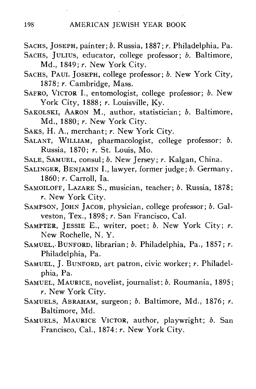- SACHS, JOSEPH, painter; *b.* Russia, 1887; *r.* Philadelphia, Pa.
- SACHS, JULIUS, educator, college professor; *b.* Baltimore, Md., 1849; *r.* New York City.
- SACHS, PAUL JOSEPH, college professor; *b.* New York City, 1878; *r.* Cambridge, Mass.
- SAFRO, VICTOR I., entomologist, college professor; *b.* New York City, 1888; *r.* Louisville, Ky.
- SAKOLSKI, AARON M., author, statistician; *b.* Baltimore, Md., 1880; *r.* New York City.
- SAKS, H. A., merchant; *r.* New York City.
- SALANT, WILLIAM, pharmacologist, college professor; *b.* Russia, 1870; *r.* St. Louis, Mo.
- SALE, SAMUEL, consul; *b.* New Jersey; *r.* Kalgan, China.
- SALINGER, BENJAMIN I., lawyer, former judge; *b.* Germany, 1860; *r.* Carroll, la.
- SAMOILOFF, LAZARE S., musician, teacher; *b.* Russia, 1878; *r.* New York City.
- SAMPSON, JOHN JACOB, physician, college professor; *b.* Galveston, Tex., 1898; *r.* San Francisco, Cal.
- SAMPTER, JESSIE E., writer, poet; *b.* New York City; *r.* New Rochelle, N. Y.
- SAMUEL,-BUNFORD, librarian; *b.* Philadelphia, Pa., 1857; *r.* Philadelphia, Pa.
- SAMUEL, J. BUNFORD, art patron, civic worker; *r.* Philadelphia, Pa.
- SAMUEL, MAURICE , novelist, journalist; *b.* Roumania, 1895; *r.* New York City.
- SAMUELS, ABRAHAM, surgeon; *b.* Baltimore, Md., 1876; *r.* Baltimore, Md.
- SAMUELS, MAURICE VICTOR, author, playwright; *b.* San Francisco, Cal., 1874; *r.* New York City.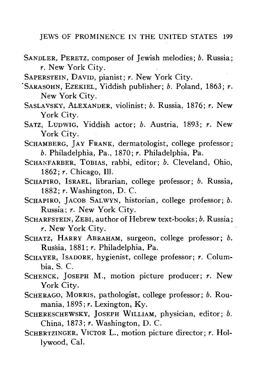- SANDLER, PERETZ, composer of Jewish melodies; *b.* Russia; *r.* New York City.
- SAPERSTEIN, DAVID, pianist; *r.* New York City.
- 'SARASOHN, EZEKIEL, Yiddish publisher; *b.* Poland, 1863; *r.* New York City.
- SASLAVSKY, ALEXANDER, violinist; *b.* Russia, 1870; *r.* New York City.
- SATZ, LUDWIG, Yiddish actor; *b.* Austria, 1893; *r.* New York City.
- SCHAMBERG, JAY FRANK, dermatologist, college professor; *b.* Philadelphia, Pa., 1870; *r.* Philadelphia, Pa.
- SCHANFARBER, TOBIAS, rabbi, editor; *b.* Cleveland, Ohio, 1862; *r.* Chicago, 111.
- SCHAPIRO, ISRAEL, librarian, college professor; *b.* Russia, 1882; *r.* Washington, D. C.
- SCHAPIRO, JACOB SALWYN, historian, college professor; *b.* Russia; *r.* New York City.
- SCHARFSTEIN, ZEBI, author of Hebrew text-books*;b.* Russia; *r.* New York City.
- SCHATZ, HARRY ABRAHAM, surgeon, college professor; *b.* Russia, 1881; *r.* Philadelphia, Pa.
- SCHAYER, ISADORE, hygienist, college professor; *r.* Columbia, S. C.
- SCHENCK, JOSEPH M., motion picture producer; *r.* New York City.
- SCHERAGO, MORRIS, pathologist, college professor; *b.* Roumania, 1895; *r.* Lexington, Ky.
- SCHERESCHEWSKY, JOSEPH WILLIAM, physician, editor; *b.* China, 1873; *r.* Washington, D. C.
- SCHERTZINGER, VICTOR L., motion picture director; *r.* Hollywood, Cal.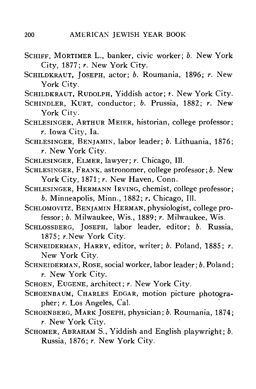- SCHIFF, MORTIMER L., banker, civic worker; *b.* New York City, 1877; *r.* New York City.
- SCHILDKRAUT, JOSEPH, actor; *b.* Roumania, 1896; *r.* New York City.
- SCHILDKRAUT, RUDOLPH, Yiddish actor; *t.* New York City.
- SCHINDLER, KURT, conductor; *b.* Prussia, 1882; *r.* New York City.
- SCHLESINGER, ARTHUR MEIER, historian, college professor; *r.* Iowa City, la.
- SCHLESINGER, BENJAMIN, labor leader; *b.* Lithuania, 1876; *r.* New York City.
- SCHLESINGER, ELMER, lawyer; *r.* Chicago, 111.
- SCHLESINGER, FRANK, astronomer, college professor; *b.* New York City, 1871; r. New Haven, Conn.
- SCHLESINGER, HERMANN IRVING, chemist, college professor; *b.* Minneapolis, Minn., 1882; *r.* Chicago, 111.
- SCHLOMOVITZ, BENJAMIN HERMAN, physiologist, college professor; *b.* Milwaukee, Wis., 1889; *r.* Milwaukee, Wis.
- SCHLOSSBERG, JOSEPH, labor leader, editor; *b.* Russia, 1875; r.New York City.
- SCHNEIDERMAN, HARRY, editor, writer; *b.* Poland, 1885; *r.* New York City.
- SCHNEIDERMAN, ROSE, social worker, labor leader; *b.* Poland; *r.* New York City.
- SCHOEN, EUGENE, architect; *r.* New York City.
- SCHOENBAUM, CHARLES EDGAR, motion picture photographer; *r.* Los Angeles, Cal.
- SCHOENBERG, MARK JOSEPH, physician; *b.* Roumania, 1874; *r.* New York City.
- SCHOMER, ABRAHAM S., Yiddish and English playwright; *b.* Russia, 1876; *r.* New York City.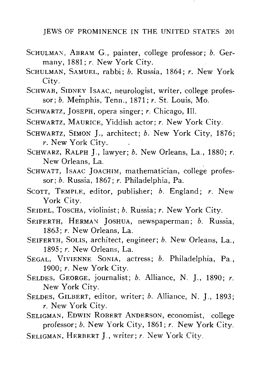- SCHULMAN, ABRAM G., painter, college professor; *b.* Germany, 1881; *r.* New York City.
- SCHULMAN, SAMUEL, rabbi; *b.* Russia, 1864; *r.* New York City.
- SCHWAB, SIDNEY ISAAC, neurologist, writer, college professor; *b.* Memphis, Tenn., 1871; *r.* St. Louis, Mo.
- SCHWARTZ, JOSEPH, opera singer; *r.* Chicago, 111.
- SCHWARTZ, MAURICE, Yiddish actor; *r.* New York City.
- SCHWARTZ, SIMON J., architect; *b.* New York City, 1876; r. New York City.
- SCHWARZ, RALPH J., lawyer; *b.* New Orleans, La., 1880; *r.* New Orleans, La.
- SCHWATT, ISAAC JOACHIM, mathematician, college professor; *b.* Russia, 1867; *r.* Philadelphia, Pa.
- SCOTT, TEMPLE, editor, publisher; *b.* England; *r.* New York City.
- SEIDEL, TOSCHA, violinist; *b.* Russia; *r.* New York City.
- SEIFERTH, HERMAN JOSHUA, newspaperman; *b.* Russia, 1863; *r.* New Orleans, La.
- SEIFERTH, SOUS, architect, engineer; *b.* New Orleans, La., 1895; *r.* New Orleans, La.
- SEGAL, VIVIENNE SONIA, actress; *b.* Philadelphia, Pa., 1900; *r.* New York City.
- SELDES, GEORGE, journalist; *b.* Alliance, N. J., 1890; *r.* New York City.
- SELDES, GILBERT, editor, writer; *b.* Alliance, N. J., 1893; *r.* New York City.

SELIGMAN, EDWIN ROBERT ANDERSON, economist, college professor; *b.* New York City, 1861; *r.* New York City.

SELIGMAN, HERBERT J., writer; *r.* New York City.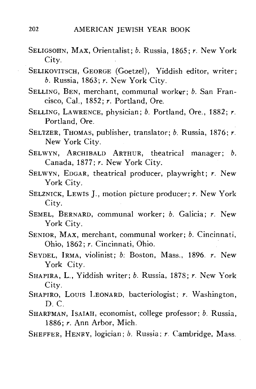- SELIGSOHN, MAX, Orientalist; *b.* Russia, 1865; *r.* New York City.
- SELIKOVITSCH, GEORGE (Goetzel), Yiddish editor, writer; *b.* Russia, 1863; *r.* New York City.
- SELLING, BEN, merchant, communal worker; *b.* San Francisco, Cal., 1852; *r.* Portland, Ore.
- SELLING, LAWRENCE, physician; *b.* Portland, Ore., 1882; *r.* Portland, Ore.
- SELTZER, THOMAS, publisher, translator; *b.* Russia, 1876; *r.* New York City.
- SELWYN, ARCHIBALD ARTHUR, theatrical manager; *b*.<br>Canada, 1877; *r*. New York City. Canada, 1877; *r.* New York City.
- SELWYN, EDGAR, theatrical producer, playwright; *r.* New York City.<br>SELZNICK, LEWIS J., motion picture producer: r. New York
- SERVICE PRODUCER: **SELVICE PRODUCER;** *r.* New York: **1999**
- SEMEL, BERNARD, communal worker; b. Galicia; r. New York City.
- SENIOR, MAX, merchant, communal worker; b. Cincinnati, Ohio, 1862; r. Cincinnati, Ohio.
- SEYDEL. IRMA, violinist; b: Boston, Mass., 1896. r. New York City.
- SHAPIRA, L., Yiddish writer; b. Russia, 1878; r. New York City. SHAPIRA, L., Yiddish writer; *b.* Russia, 1878; *r.* New York
- $\frac{1}{D}$ . SHAPIRO, LOUIS LEONARD, bacteriologist; *r.* Washington,
- lFMAN<br>1005 1886; r. Ann Arbor, Mich.
- SHEFFER, HENRY, logician; b. Russia; r. Cambridge, Mass.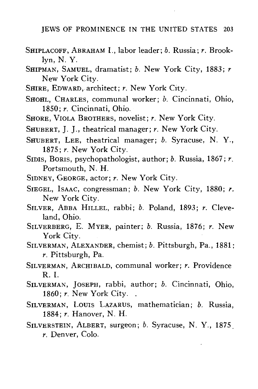- SHIPLACOFF, ABRAHAM I., labor leader; *b.* Russia; *r.* Brooklyn, N. Y.
- SHIPMAN, SAMUEL, dramatist; *b.* New York City, 1883; *r* New York City.
- SHIRE, EDWARD, architect; *r.* New York City.
- SHOHL, CHARLES, communal worker; *b.* Cincinnati, Ohio, 1850; *r.* Cincinnati, Ohio.
- SHORE, VIOLA BROTHERS, novelist; *r.* New York City.
- SHUBERT, J. J., theatrical manager; *r.* New York City.
- SHUBERT, LEE, theatrical manager; *b.* Syracuse, N. Y., 1875; *r.* New York City.
- SIDIS, BORIS, psychopathologist, author; *b.* Russia, 1867; *r.* Portsmouth, N. H.
- SIDNEY, GEORGE, actor; *r.* New York City.
- SIEGEL, ISAAC, congressman; *b.* New York City, 1880; *r.* New York City.
- New York City. SILVER, ABBA HILLEL, rabbi; *b.* Poland, 1893; *r.* Cleveland, Ohio.
- SILVERBERG, E. MYER, painter; *b.* Russia, 1876; *r.* New York City.
- SILVERMAN, ALEXANDER, chemist; *b.* Pittsburgh, Pa., 1881; *r.* Pittsburgh, Pa.
- SILVERMAN, ARCHIBALD, communal worker; *r.* Providence
- R. I. SILVERMAN, JOSEPH, rabbi, author; *b.* Cincinnati, Ohio, 1860; *r.* New York City. .<br>SILVERMAN, LOUIS LAZARUS, mathematician; *b.* Russia.
- 1884; r. Hanover, N. H.
- SILVERSTEIN, ALBERT, surgeon; b. Syracuse, N. Y., 1875  $r.$  Denver, Colo.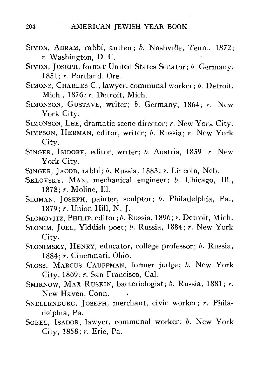- SIMON, ABRAM, rabbi, author; *b.* Nashville, Tenn., 1872; *r.* Washington, D. C.
- SIMON, JOSEPH, former United States Senator; *b.* Germany, 1851; *r.* Portland, Ore.
- SIMONS, CHARLES C., lawyer, communal worker; *b.* Detroit, Mich., 1876; *r.* Detroit, Mich.
- SIMONSON, GUSTAVE, writer; *b.* Germany, 1864; *r.* New York City.
- SIMONSON, LEE, dramatic scene director; *r.* New York City.
- SIMPSON, HERMAN, editor, writer; *b.* Russia; *r.* New York City.
- SINGER, ISIDORE, editor, writer; *b.* Austria, 1859 *r.* New York City.
- SINGER, JACOB, rabbi; *b.* Russia, 1883; *r.* Lincoln, Neb.
- SKLOVSKY, MAX, mechanical engineer; *b.* Chicago, Ill., 1878; *r.* Moline, 111.
- SLOMAN, JOSEPH, painter, sculptor; *b.* Philadelphia, Pa., 1879; *r.* Union Hill, N. J.
- SLOMOVITZ, PHILIP, editor; *b.* Russia, 1896; *r.* Detroit, Mich.
- SLONIM, JOEL, Yiddish poet; *b.* Russia, 1884; *r.* New York City.
- SLONIMSKY, HENRY, educator, college professor; *b.* Russia, 1884; *r.* Cincinnati, Ohio.
- SLOSS, MARCUS CAUFFMAN, former judge; *b.* New York City, 1869; *r.* San Francisco, Cal.
- SMIRNOW, MAX RUSKIN, bacteriologist; *b.* Russia, 1881; *r.* New Haven, Conn.
- SNELLENBURG, JOSEPH, merchant, civic worker; *r.* Philadelphia, Pa.
- SOBEL, ISADOR, lawyer, communal worker; *b.* New York City, 1858; r. Erie, Pa.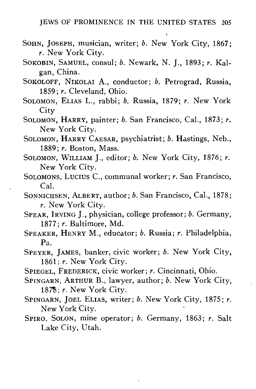- SOHN, JOSEPH, musician, writer; *b.* New York City, 1867; *r.* New York City.
- SOKOBIN, SAMUEL, consul; *b.* Newark, N. J., 1893; *r.* Kalgan, China.
- SOKOLOFF, NIKOLAI A., conductor; *b.* Petrograd, Russia, 1859; *r.* Cleveland, Ohio.
- SOLOMON, ELIAS L., rabbi; *b.* Russia, 1879; *r.* New York **City**
- SOLOMON, HARRY, painter; *b.* San Francisco, Cal., 1873; *r.* New York City.
- SOLOMON, HARRY CAESAR, psychiatrist; *b.* Hastings, Neb., 1889; *r.* Boston, Mass.
- SOLOMON, WILLIAM J., editor; *b.* New York City, 1876; *r.* New York City.
- SOLOMONS, LUCIUS C, communal worker; *r.* San Francisco, Cal.
- SONNICHSEN, ALBERT, author; *b.* San Francisco, Cal., 1878; *r.* New York City.
- SPEAR, IRVING J., physician, college professor; *b.* Germany, 1877; *r.* Baltimore, Md.
- SPEAKER, HENRY M., educator; *b.* Russia; *r.* Philadelphia, Pa.
- SPEYER, JAMES, banker, civic worker; *b.* New York City, 1861; *r.* New York City.
- SPIEGEL, FREDERICK, civic worker; *r.* Cincinnati, Ohio.
- SPINGARN, ARTHUR B., lawyer, author; *b.* New York City, 187\$; *r.* New York City.
- SPINGARN, JOEL ELIAS, writer; *b.* New York City, 1875; *r.* New York City.
- SPIRO, SOLON, mine operator; *b.* Germany, 1863; *r.* Salt Lake City, Utah.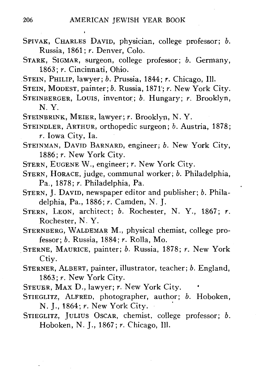- SPIVAK, CHARLES DAVID, physician, college professor; *b.* Russia, 1861; *r.* Denver, Colo.
- STARK, SIGMAR, surgeon, college professor; *b.* Germany, 1863; *r.* Cincinnati, Ohio.
- STEIN, PHILIP, lawyer; *b.* Prussia, 1844; *r.* Chicago, 111.
- STEIN, MODEST, painter; *b.* Russia, 1871'; *r.* New York City.
- STEINBERGER, LOUIS, inventor; *b.* Hungary; *r.* Brooklyn, N. Y.
- STEINBRINK, MEIER, lawyer; *r.* Brooklyn, N. Y.
- STEINDLER, ARTHUR, orthopedic surgeon; *b.* Austria, 1878; *r.* Iowa City, la.
- STEINMAN, DAVID BARNARD, engineer; *b.* New York City, 1886; *r.* New York City.
- STERN, EUGENE W., engineer; *r.* New York City.
- STERN, HORACE, judge, communal worker; *b.* Philadelphia, Pa., 1878; *r.* Philadelphia, Pa.
- STERN, J. DAVID, newspaper editor and publisher; *b.* Philadelphia, Pa., 1886; *r.* Camden, N. J.
- STERN, LEON, architect; *b.* Rochester, N. Y., 1867; *r.* Rochester, N. Y.
- STERNBERG, WALDEMAR M., physical chemist, college professor; *b.* Russia, 1884; *r.* Rolla, Mo.
- STERNE, MAURICE, painter; *b.* Russia, 1878; *r.* New York Ctiy.
- STERNER, ALBERT, painter, illustrator, teacher; *b.* England, 1863;  $r$ . New York City.
- STEUER, MAX D., lawyer; *r.* New York City.
- STIEGLITZ, ALFRED, photographer, author; *b.* Hoboken, N. J., 1864; *r.* New York City.
- STIEGLITZ, JULIUS OSCAR, chemist, college professor; *b.* Hoboken, N. J., 1867; *r.* Chicago, 111.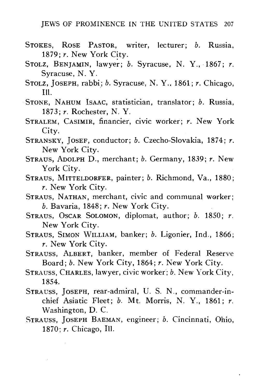- STOKES, ROSE PASTOR, writer, lecturer; *b.* Russia, 1879; *r.* New York City.
- STOLZ, BENJAMIN, lawyer; *b.* Syracuse, N. Y., 1867; *r.* Syracuse, N. Y.
- STOLZ, JOSEPH, rabbi; *b.* Syracuse, N. Y., 1861; *r.* Chicago, 111.
- STONE, NAHUM ISAAC, statistician, translator; *b.* Russia, 1873; *r.* Rochester, N. Y.
- STRALEM, CASIMIR, financier, civic worker; *r.* New York City.
- STRANSKY, JOSEF, conductor; *b.* Czecho-Slovakia, 1874; *r.* New York City.
- STRAUS, ADOLPH D., merchant; *b.* Germany, 1839; *r.* New York City.
- STRAUS, MITTELDORFER, painter; *b.* Richmond, Va., 1880; *r.* New York City.
- STRAUS, NATHAN, merchant, civic and communal worker; *b.* Bavaria, 1848; *r.* New York City.
- STRAUS, OSCAR SOLOMON, diplomat, author; *b.* 1850; *r.* New York City.
- STRAUS, SIMON WILLIAM, banker; *b.* Ligonier, Ind., 1866; *r.* New York City.
- STRAUSS, ALBERT, banker, member of Federal Reserve Board; *b.* New York City, 1864; *r.* New York City.
- STRAUSS, CHARLES, lawyer, civic worker; *b.* New York City, 1854.
- STRAUSS, JOSEPH, rear-admiral, U. S. N., commander-inchief Asiatic Fleet; *b.* Mt. Morris, N. Y., 1861; *r.* Washington, D. C.
- STRAUSS, JOSEPH BAEMAN, engineer; *b.* Cincinnati, Ohio, 1870; *r.* Chicago, 111.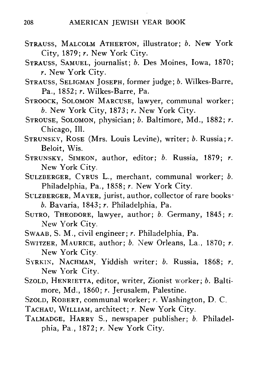- STRAUSS, MALCOLM ATHERTON, illustrator; *b.* New York City, 1879; *r.* New York City.
- STRAUSS, SAMUEL, journalist; *b.* Des Moines, Iowa, 1870; *r.* New York City.
- STRAUSS, SELIGMAN JOSEPH, former judge; *b.* Wilkes-Barre, Pa., 1852; *r.* Wilkes-Barre, Pa.
- STROOCK, SOLOMON MARCUSE, lawyer, communal worker; *b.* New York City, 1873; *r.* New York City.
- STROUSE, SOLOMON, physician; *b.* Baltimore, Md., 1882; *r.* Chicago, 111.
- STRUNSKY, ROSE (Mrs. Louis Levine), writer; *b.* Russia; r. Beloit, Wis.
- STRUNSKY, SIMEON, author, editor; *b.* Russia, 1879; *r.* New York City.
- SULZBERGER, CYRUS L., merchant, communal worker; *b.* Philadelphia, Pa., 1858; *r.* New York City.
- SULZBERGER, MAYER, jurist, author, collector of rare books*b.* Bavaria, 1843; *r.* Philadelphia, Pa.
- SUTRO, THEODORE, lawyer, author; *b.* Germany, 1845; *r.* New York City.
- SWAAB, S. M., civil engineer; *r.* Philadelphia, Pa.
- SWITZER, MAURICE, author; *b.* New Orleans, La., 1870; *r.* New York City.
- SYRKIN, NACHMAN, Yiddish writer; *b.* Russia, 1868; *r.* New York City.
- SZOLD, HENRIETTA, editor, writer, Zionist worker; *b.* Baltimore, Md., 1860; *r.* Jerusalem, Palestine.
- SZOLD, ROBERT, communal worker; *r.* Washington, D. C.
- TACHAU, WILLIAM, architect; *r.* New York City.
- TALMADGE, HARRY S., newspaper publisher; *b.* Philadelphia, Pa., 1872; *r.* New York City.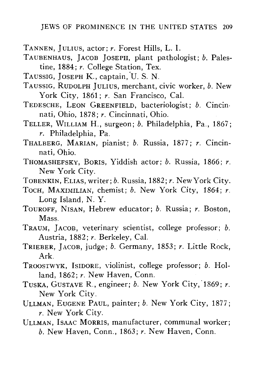- TANNEN, JULIUS, actor; *r.* Forest Hills, L. I.
- TAUBENHAUS, JACOB JOSEPH, plant pathologist; *b.* Palestine, 1884; *r.* College Station, Tex.
- TAUSSIG, JOSEPH K., captain, U. S. N.
- TAUSSIG, RUDOLPH JULIUS, merchant, civic worker, *b.* New-York City, 1861; *r.* San Francisco, Cal.
- TEDESCHE, LEON GREENFIELD, bacteriologist; *b.* Cincinnati, Ohio, 1878; *r.* Cincinnati, Ohio.
- TELLER, WILLIAM H., surgeon; *b.* Philadelphia, Pa., 1867; *r.* Philadelphia, Pa.
- THALBERG, MARIAN, pianist; *b.* Russia, 1877; *r.* Cincinnati, Ohio.
- THOMASHEFSKY, BORIS, Yiddish actor; *b.* Russia, 1866; *r.* New York City.
- TOBENKIN, ELIAS, writer; *b.* Russia, 1882; *r.* New York City.
- TOCH, MAXIMILIAN, chemist; *b.* New York City, 1864; *r.* Long Island, N. Y.
- TOUROFF, NISAN, Hebrew educator; *b.* Russia; *r.* Boston, Mass.
- TRAUM, JACOB, veterinary scientist, college professor; *b.* Austria, 1882; *r.* Berkeley, Cal.
- TRIEBER, JACOB, judge; *b.* Germany, 1853; *r.* Little Rock, Ark.
- TROOSTWYK, ISIDORE, violinist, college professor; *b.* Holland, 1862; *r.* New Haven, Conn.
- TUSKA, GUSTAVE R., engineer; *b.* New York City, 1869; *r.* New York City.
- ULLMAN, EUGENE PAUL, painter; *b.* New York City, 1877; *r.* New York City.
- ULLMAN, ISAAC MORRIS, manufacturer, communal worker; *b.* New Haven, Conn., 1863; *r.* New Haven, Conn.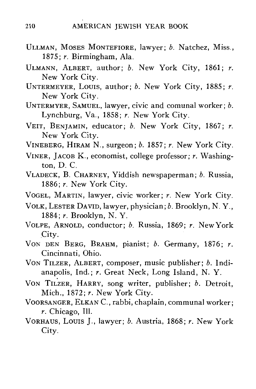- ULLMAN, MOSES MONTEFIORE, lawyer; *b.* Natchez, Miss., 1875; *r.* Birmingham, Ala.
- ULMANN, ALBERT, author; *b.* New York City, 1861; *r.* New York City.
- UNTERMEYER, LOUIS, author; *b.* New York City, 1885; *r.* New York City.
- UNTERMYER, SAMUEL, lawyer, civic and comunal worker; *b.* Lynchburg, Va., 1858; *r.* New York City.
- VEIT, BENJAMIN, educator; *b.* New York City, 1867; *r.* New York City.
- VINEBERG, HIRAM N., surgeon; *b.* 1857; *r.* New York City.
- VINER, JACOB K., economist, college professor; *r.* Washington, D. C.
- VLADECK, B. CHARNEY, Yiddish newspaperman; *b.* Russia, 1886; *r.* New York City.
- VOGEL, MARTIN, lawyer, civic worker; *r.* New York City.
- VOLK, LESTER DAVID, lawyer, physician; *b.* Brooklyn, N. Y., 1884; *r.* Brooklyn, N. Y.
- VOLPE, ARNOLD, conductor; *b.* Russia, 1869; *r.* New York City.
- VON DEN BERG, BRAHM, pianist; *b.* Germany, 1876; *r.* Cincinnati, Ohio.<br>VON TILZER, ALBERT, composer, music publisher; b. Indi-
- anapolis, Ind.; r. Great Neck, Long Island, N.Y. anapolis, Ind.; *r.* Great Neck, Long Island, N. Y.
- VON TILZER, HARRY, song writer, publisher; *b.* Detroit, Mich., 1872; *r.* New York City.
- VOORSANGER, ELKAN C, rabbi, chaplain, communal worker; *r.* Chicago, 111.
- VORHAUS, Louis J., lawyer; *b.* Austria, 1868; *r.* New York City.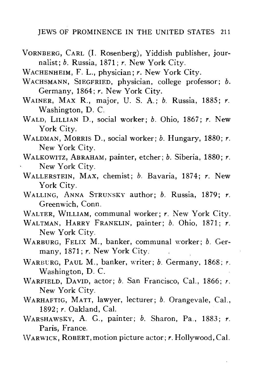- VORNBERG, CARL (I. Rosenberg), Yiddish publisher, journalist; *b.* Russia, 1871; *r.* New York City.
- WACHENHEIM, F. L., physician; *r.* New York City.
- WACHSMANN, SIEGFRIED, physician, college professor; *b.* Germany, 1864; *r.* New York City.
- WAINER, MAX R., major, U. S. A.; *b.* Russia, 1885; *r.* Washington, D. C.
- WALD, LILLIAN D., social worker; *b.* Ohio, 1867; *r.* New York City.
- WALDMAN, MORRIS D., social worker; *b.* Hungary, 1880; *r.* New York City.
- WALKOWITZ, ABRAHAM, painter, etcher; *b.* Siberia, 1880; *r.* New York City.
- WALLERSTEIN, MAX, chemist; *b.* Bavaria, 1874; *r.* New York City.
- WALLING, ANNA STRUNSKY author; *b.* Russia, 1879; *r.* Greenwich, Conn.
- WALTER, WILLIAM, communal worker; *r.* New York City.
- WALTMAN, HARRY FRANKLIN, painter; *b.* Ohio, 1871; *r.* New York City.
- WARBURG, FELIX M., banker, communal worker; *b.* Germany, 1871; r. New York City.
- WARBURG, PAUL M., banker, writer; *b.* Germany, 1868; *r.* Washington, D. C.
- WARFIELD, DAVID, actor; *b.* San Francisco, Cal., 1866; *r.* New York City.
- WARHAFTIG, MATT, lawyer, lecturer; *b.* Orangevale, Cal., 1892; *r.* Oakland, Cal.
- WARSHAWSKY, A. G., painter; *b.* Sharon, Pa., 1883; *r.* Paris, France.
- WARWICK, ROBERT, motion picture actor; *r.* Hollywood, Cal.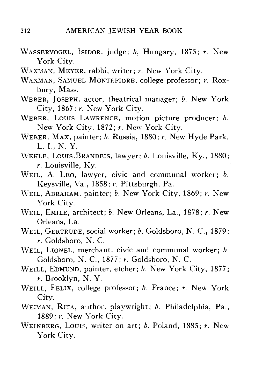- WASSERVOGEL, ISIDOR, judge; *b,* Hungary, 1875; *r.* New York City.
- WAXMAN, MEYER, rabbi, writer; *r.* New York City.
- WAXMAN, SAMUEL MONTEFIORE, college professor; *r.* Roxbury, Mass.
- WEBER, JOSEPH, actor, theatrical manager; *b.* New York City, 1867; *r.* New York City.
- WEBER, LOUIS LAWRENCE, motion picture producer; *b.* New York City, 1872; *r.* New York City.
- WEBER, MAX, painter; *b.* Russia, 1880; *r.* New Hyde Park, L. I., N. Y.
- WEHLE, LOUIS.BRANDEIS, lawyer; *b.* Louisville, Ky., 1880; *r.* Louisville, Ky.
- WEIL, A. LEO, lawyer, civic and communal worker; *b.* Keysville, Va., 1858; *r.* Pittsburgh, Pa.
- WEIL, ABRAHAM, painter; *b.* New York City, 1869; *r.* New York City.
- WEIL, EMILE, architect; *b.* New Orleans, La., 1878; *r.* New Orleans, La.
- WEIL, GERTRUDE, social worker; *b.* Goldsboro, N. C, 1879; *r.* Goldsboro, N. C.
- WEIL, LIONEL, merchant, civic and communal worker; *b.* Goldsboro, N. C, 1877; *r.* Goldsboro, N. C.
- WEILL, EDMUND, painter, etcher; *b.* New York City, 1877; *r.* Brooklyn, N. Y.
- WEILL, FELIX, college professor; *b.* France; *r.* New York City.
- WEIMAN, RITA, author, playwright; *b.* Philadelphia, Pa., 1889; *r.* New York City.
- WEINBERG, LOUIS, writer on art; *b.* Poland, 1885; *r.* New York City.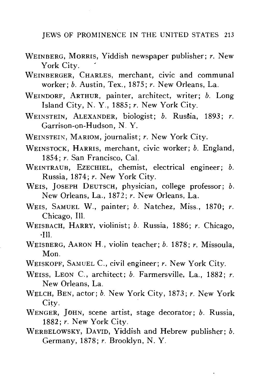- WEINBERG, MORRIS, Yiddish newspaper publisher; *r.* New York City.
- WEINBERGER, CHARLES, merchant, civic and communal worker; *b.* Austin, Tex., 1875; *r.* New Orleans, La.
- WEINDORF, ARTHUR, painter, architect, writer; *b.* Long Island City, N. Y., 1885; *r.* New York City.
- WEINSTEIN, ALEXANDER, biologist; *b.* Russia, 1893; *r.*  $\frac{1}{2}$ Garrison-On-Hudson, N. Y.
- WEINSTEIN, MARIOM, journalist; *r.* New York City.
- WEINSTOCK, HARRIS, merchant, civic worker; *b.* England, 1854: *r.* San Francisco. Cal.
- WEINTRAUB, EZECHIEL, chemist, electrical engineer; b. Russia, 1874; r. New York City.
- WEIS, JOSEPH DEUTSCH, physician, college professor; b. New Orleans, La., 1872; r. New Orleans, La.
- WEIS, SAMUEL W., painter; b. Natchez, Miss., 1870; r. Chicago, Ill.
- WEISBACH. HARRY, violinist; b. Russia, 1886; r. Chicago, WEISBACH, HARRY, violinist; *b.* Russia, 1886; *r.* Chicago,
- ידי<br>פוס WEISBERG, AARON H., violin teacher; *b.* 1878; *r.* Missoula, Mon.<br>WEISKOPF, SAMUEL C., civil engineer; r. New York City.
- WEISKOPF, SAMUEL C, civil engineer; *r.* New York City.
- WEISS, LEON C, architect; *b.* Farmersville, La., 1882; *r.* New Orleans, La.
- WELCH, BEN, actor; *b.* New York City, 1873; *r.* New York City.
- WENGER, JOHN, scene artist, stage decorator; *b.* Russia, 1882; *r.* New York City.
- WERBELOWSKY, DAVID, Yiddish and Hebrew publisher; *b.* Germany, 1878; *r.* Brooklyn, N. Y.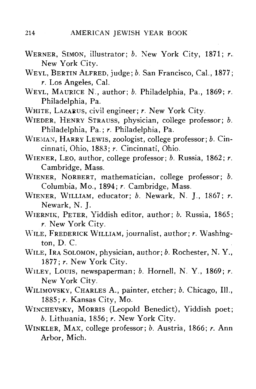- WERNER, SIMON, illustrator; *b.* New York City, 1871; *r.* New York City.
- WEYL, BERTIN ALFRED, judge; *b.* San Francisco, Cal., 1877; *r.* Los Angeles, Cal.
- WEYL, MAURICE N., author; *b.* Philadelphia, Pa., 1869; *r.* Philadelphia, Pa.
- WHITE, LAZARUS, civil engineer; *r.* New York City.
- WIEDER, HENRY STRAUSS, physician, college professor; *b.* Philadelphia, Pa.; *r.* Philadelphia, Pa.
- WIEMAN, HARRY LEWIS, zoologist, college professor; *b.* Cincinnati, Ohio, 1883; *r.* Cincinnati, Ohio.
- WIENER, LEO, author, college professor; *b.* Russia, 1862; *r.* Cambridge, Mass.
- WIENER, NORBERT, mathematician, college professor; *b.* Columbia, Mo., 1894; *r.* Cambridge, Mass.
- WIENER, WILLIAM, educator; *b.* Newark, N. J., 1867; *r.* Newark, N. J.
- WIERNIK, PETER, Yiddish editor, author; *b.* Russia, 1865; *r.* New York City.
- WILE, FREDERICK WILLIAM, journalist, author; *r.* Washington, D. C.
- WILE, IRA SOLOMON, physician, author; *b.* Rochester, N. Y., 1877; *r.* New York City.
- WILEY, LOUIS, newspaperman; *b.* Hornell, N. Y., 1869; *r.* New York City.
- WILIMOVSKY, CHARLES A., painter, etcher; *b.* Chicago, 111., 1885; *r.* Kansas City, Mo.
- WINCHEVSKY, MORRIS (Leopold Benedict), Yiddish poet; *b.* Lithuania, 1856; *r.* New York City.
- WINKLER, MAX, college professor; *b.* Austria, 1866; *r.* Ann Arbor, Mich.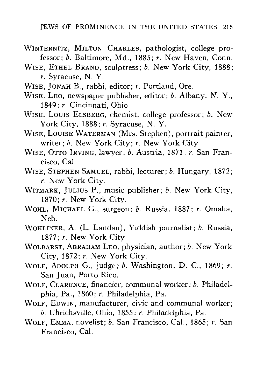- WINTERNITZ, MILTON CHARLES, pathologist, college professor; *b.* Baltimore, Md., 1885; *r.* New Haven, Conn.
- WISE, ETHEL BRAND, sculptress; *b.* New York City, 1888; *r.* Syracuse, N. Y.
- WISE, JONAH B., rabbi, editor; *r.* Portland, Ore.
- WISE, LEO, newspaper publisher, editor; *b.* Albany, N. Y., 1849; *r.* Cincinnati, Ohio.
- WISE, LOUIS ELSBERG, chemist, college professor; *b.* New York City, 1888; *r.* Syracuse, N. Y.
- WISE, LOUISE WATERMAN (Mrs. Stephen), portrait painter, writer; *b.* New York City; *r.* New York City.
- WISE, OTTO IRVING, lawyer; *b.* Austria, 1871; *r.* San Francisco, Cal.
- WISE, STEPHEN SAMUEL, rabbi, lecturer; *b.* Hungary, 1872; *r.* New York City.
- WITMARK, JULIUS P., music publisher; *b.* New York City, 1870; *r.* New York City.
- WOHL, MICHAEL G., surgeon; *b.* Russia, 1887; *r.* Omaha, Neb.
- WOHLINER, A. (L. Landau), Yiddish journalist; *b.* Russia, 1877; *r.* New York City.
- WOLBARST, ABRAHAM LEO, physician, author; *b.* New York City, 1872; *r.* New York City.
- WOLF, ADOLPH G., judge; *b.* Washington, D. C, 1869; *r.* San Juan, Porto Rico.
- WOLF, CLARENCE, financier, communal worker; *b.* Philadelphia, Pa., 1860; *r.* Philadelphia, Pa.
- WOLF, EDWIN, manufacturer, civic and communal worker; *b.* Uhrichsville, Ohio, 1855; *r.* Philadelphia, Pa.
- WOLF, EMMA, novelist; *b.* San Francisco, Cal., 1865; *r.* San Francisco, Cal.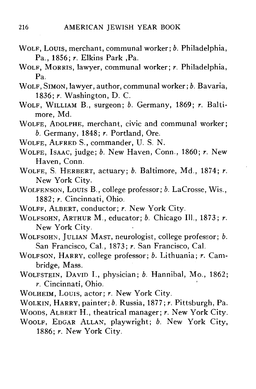- WOLF, LOUIS, merchant, communal worker; *b.* Philadelphia, Pa., 1856; *r.* Elkins Park ,Pa.
- WOLF , MORRIS , lawyer, communal worker; *r.* Philadelphia, Pa.
- WOLF, SIMON, lawyer, author, communal worker; *b.* Bavaria, 1836; *r.* Washington, D. C.
- WOLF , WILLIAM B., surgeon; *b.* Germany, 1869; *r.* Baltimore, Md.
- WOLFE, ADOLPHE, merchant, civic and communal worker; *b.* Germany, 1848; *r.* Portland, Ore.
- WOLFE , ALFRED S., commander, U. S. N.
- WOLFE , ISAAC, judge; *b.* New Haven, Conn., 1860; *r.* New Haven, Conn.
- WOLFE , S. HERBERT, actuary; *b.* Baltimore, Md., 1874; *r.* New York City.
- WOLFENSON, Louis B., college professor; *b.* LaCrosse, Wis., 1882; *r.* Cincinnati, Ohio.
- WOLFF , ALBERT, conductor; *r.* New York City.
- WOLFSOHN, ARTHUR M., educator; *b.* Chicago 111., 1873; *r.* New York City.
- WOLFSOHN, JULIAN MAST, neurologist, college professor; *b.* San Francisco, Cal., 1873; *r.* San Francisco, Cal.
- WOLFSON, HARRY, college professor; *b.* Lithuania; *r.* Cambridge, Mass.
- WOLFSTEIN, DAVID I., physician; *b.* Hannibal, Mo., 1862; *r.* Cincinnati, Ohio.
- WOLHEIM, Louis, actor; *r.* New York City.
- WOLKIN, HARRY, painter; *b.* Russia, 1877; *r.* Pittsburgh, Pa.
- WOODS, ALBERT H., theatrical manager; *r.* New York City.
- WOOLF, EDGAR ALLAN, playwright; *b.* New York City, 1886; *r.* New York City.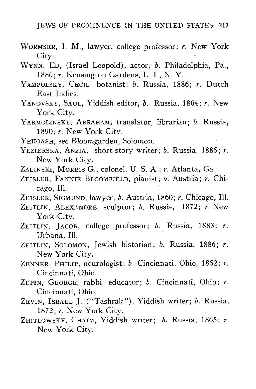- WORMSER, I. M., lawyer, college professor; *r.* New York City.
- WYNN, ED, (Israel Leopold), actor; *b.* Philadelphia, Pa., 1886; *r.* Kensington Gardens, L. I., N. Y.
- YAMPOLSKY, CECIL, botanist; *b.* Russia, 1886; *r.* Dutch East Indies.
- YANOVSKY, SAUL, Yiddish editor, *b.* Russia, 1864; *r.* New York City.
- YARMOLINSKY, ABRAHAM, translator, librarian; *b.* Russia, 1890; *r.* New York City.
- YEHOASH, see Bloomgarden, Solomon.
- YEZIERSKA, ANZIA, short-story writer; *b.* Russia, 1885; *r.* New York City.
- ZALINSKI, MORRIS G., colonel, U. S. A.; *r.* Atlanta, Ga.
- ZEISLER, FANNIE BLOOMFIELD, pianist; *b.* Austria; *r.* Chicago, 111.
- ZEISLER, SIGMUND, lawyer; *b.* Austria, 1860; *r.* Chicago, 111.
- ZEITLIN, ALEXANDRE, sculptor; *b.* Russia, 1872; *r.* New York City.
- ZEITLIN, JACOB, college professor; *b.* Russia, 1883; *r.* Urbana, 111.
- ZEITLIN, SOLOMON, Jewish historian; *b.* Russia, 1886; *r.* New York City.
- ZENNER, PHILIP, neurologist; *b.* Cincinnati, Ohio, 1852; *r.* Cincinnati, Ohio.
- ZEPIN, GEORGE, rabbi, educator; *b.* Cincinnati, Ohio; *r.* Cincinnati, Ohio.
- ZEVIN, ISRAEL J. ("Tashrak"), Yiddish writer; *b.* Russia, 1872; *r.* New York City.
- ZHITLOWSKY, CHAIM, Yiddish writer; *b.* Russia, 1865; *r.* New York City.